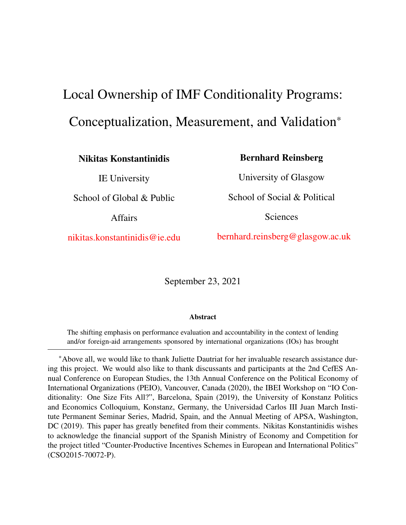# <span id="page-0-0"></span>Local Ownership of IMF Conditionality Programs: Conceptualization, Measurement, and Validation\*

Nikitas Konstantinidis

IE University

School of Global & Public

Affairs

[nikitas.konstantinidis@ie.edu](mailto:Nikitas.Konstantinidis@ie.edu)

Bernhard Reinsberg

University of Glasgow School of Social & Political

Sciences

[bernhard.reinsberg@glasgow.ac.uk](mailto:Bernhard.Reinsberg@glasgow.ac.uk)

September 23, 2021

#### Abstract

The shifting emphasis on performance evaluation and accountability in the context of lending and/or foreign-aid arrangements sponsored by international organizations (IOs) has brought

\*Above all, we would like to thank Juliette Dautriat for her invaluable research assistance during this project. We would also like to thank discussants and participants at the 2nd CefES Annual Conference on European Studies, the 13th Annual Conference on the Political Economy of International Organizations (PEIO), Vancouver, Canada (2020), the IBEI Workshop on "IO Conditionality: One Size Fits All?", Barcelona, Spain (2019), the University of Konstanz Politics and Economics Colloquium, Konstanz, Germany, the Universidad Carlos III Juan March Institute Permanent Seminar Series, Madrid, Spain, and the Annual Meeting of APSA, Washington, DC (2019). This paper has greatly benefited from their comments. Nikitas Konstantinidis wishes to acknowledge the financial support of the Spanish Ministry of Economy and Competition for the project titled "Counter-Productive Incentives Schemes in European and International Politics" (CSO2015-70072-P).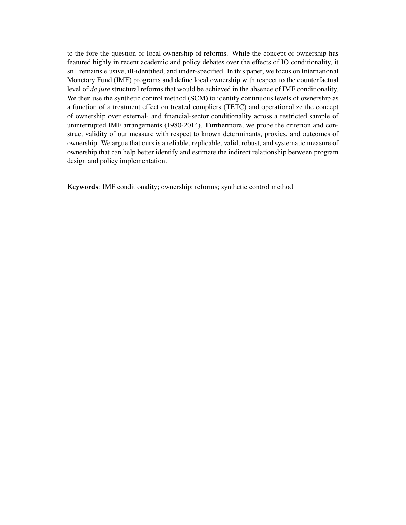to the fore the question of local ownership of reforms. While the concept of ownership has featured highly in recent academic and policy debates over the effects of IO conditionality, it still remains elusive, ill-identified, and under-specified. In this paper, we focus on International Monetary Fund (IMF) programs and define local ownership with respect to the counterfactual level of *de jure* structural reforms that would be achieved in the absence of IMF conditionality. We then use the synthetic control method (SCM) to identify continuous levels of ownership as a function of a treatment effect on treated compliers (TETC) and operationalize the concept of ownership over external- and financial-sector conditionality across a restricted sample of uninterrupted IMF arrangements (1980-2014). Furthermore, we probe the criterion and construct validity of our measure with respect to known determinants, proxies, and outcomes of ownership. We argue that ours is a reliable, replicable, valid, robust, and systematic measure of ownership that can help better identify and estimate the indirect relationship between program design and policy implementation.

Keywords: IMF conditionality; ownership; reforms; synthetic control method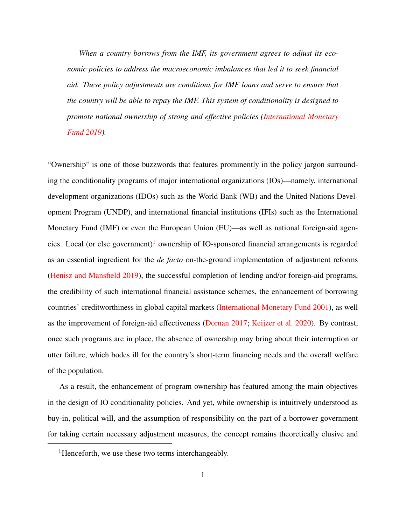*When a country borrows from the IMF, its government agrees to adjust its economic policies to address the macroeconomic imbalances that led it to seek financial aid. These policy adjustments are conditions for IMF loans and serve to ensure that the country will be able to repay the IMF. This system of conditionality is designed to promote national ownership of strong and effective policies [\(International Monetary](#page-55-0) [Fund](#page-55-0) [2019\)](#page-55-0).*

"Ownership" is one of those buzzwords that features prominently in the policy jargon surrounding the conditionality programs of major international organizations (IOs)—namely, international development organizations (IDOs) such as the World Bank (WB) and the United Nations Development Program (UNDP), and international financial institutions (IFIs) such as the International Monetary Fund (IMF) or even the European Union (EU)—as well as national foreign-aid agen-cies. Local (or else government)<sup>[1](#page-0-0)</sup> ownership of IO-sponsored financial arrangements is regarded as an essential ingredient for the *de facto* on-the-ground implementation of adjustment reforms [\(Henisz and Mansfield](#page-54-0) [2019\)](#page-54-0), the successful completion of lending and/or foreign-aid programs, the credibility of such international financial assistance schemes, the enhancement of borrowing countries' creditworthiness in global capital markets [\(International Monetary Fund](#page-55-1) [2001\)](#page-55-1), as well as the improvement of foreign-aid effectiveness [\(Dornan](#page-52-0) [2017;](#page-52-0) [Keijzer et al.](#page-55-2) [2020\)](#page-55-2). By contrast, once such programs are in place, the absence of ownership may bring about their interruption or utter failure, which bodes ill for the country's short-term financing needs and the overall welfare of the population.

As a result, the enhancement of program ownership has featured among the main objectives in the design of IO conditionality policies. And yet, while ownership is intuitively understood as buy-in, political will, and the assumption of responsibility on the part of a borrower government for taking certain necessary adjustment measures, the concept remains theoretically elusive and

<sup>&</sup>lt;sup>1</sup>Henceforth, we use these two terms interchangeably.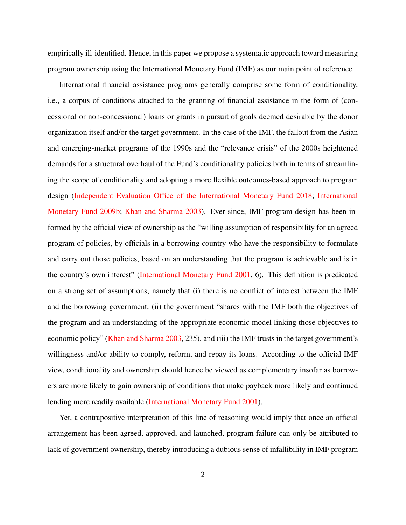empirically ill-identified. Hence, in this paper we propose a systematic approach toward measuring program ownership using the International Monetary Fund (IMF) as our main point of reference.

International financial assistance programs generally comprise some form of conditionality, i.e., a corpus of conditions attached to the granting of financial assistance in the form of (concessional or non-concessional) loans or grants in pursuit of goals deemed desirable by the donor organization itself and/or the target government. In the case of the IMF, the fallout from the Asian and emerging-market programs of the 1990s and the "relevance crisis" of the 2000s heightened demands for a structural overhaul of the Fund's conditionality policies both in terms of streamlining the scope of conditionality and adopting a more flexible outcomes-based approach to program design [\(Independent Evaluation Office of the International Monetary Fund](#page-54-1) [2018;](#page-54-1) [International](#page-55-3) [Monetary Fund](#page-55-3) [2009b;](#page-55-3) [Khan and Sharma](#page-56-0) [2003\)](#page-56-0). Ever since, IMF program design has been informed by the official view of ownership as the "willing assumption of responsibility for an agreed program of policies, by officials in a borrowing country who have the responsibility to formulate and carry out those policies, based on an understanding that the program is achievable and is in the country's own interest" [\(International Monetary Fund](#page-55-1) [2001,](#page-55-1) 6). This definition is predicated on a strong set of assumptions, namely that (i) there is no conflict of interest between the IMF and the borrowing government, (ii) the government "shares with the IMF both the objectives of the program and an understanding of the appropriate economic model linking those objectives to economic policy" [\(Khan and Sharma](#page-56-0) [2003,](#page-56-0) 235), and (iii) the IMF trusts in the target government's willingness and/or ability to comply, reform, and repay its loans. According to the official IMF view, conditionality and ownership should hence be viewed as complementary insofar as borrowers are more likely to gain ownership of conditions that make payback more likely and continued lending more readily available [\(International Monetary Fund](#page-55-1) [2001\)](#page-55-1).

Yet, a contrapositive interpretation of this line of reasoning would imply that once an official arrangement has been agreed, approved, and launched, program failure can only be attributed to lack of government ownership, thereby introducing a dubious sense of infallibility in IMF program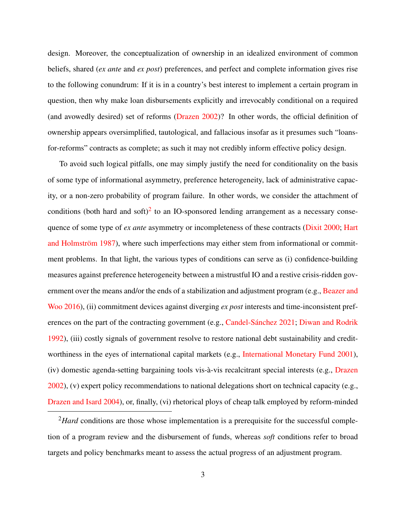design. Moreover, the conceptualization of ownership in an idealized environment of common beliefs, shared (*ex ante* and *ex post*) preferences, and perfect and complete information gives rise to the following conundrum: If it is in a country's best interest to implement a certain program in question, then why make loan disbursements explicitly and irrevocably conditional on a required (and avowedly desired) set of reforms [\(Drazen](#page-52-1) [2002\)](#page-52-1)? In other words, the official definition of ownership appears oversimplified, tautological, and fallacious insofar as it presumes such "loansfor-reforms" contracts as complete; as such it may not credibly inform effective policy design.

To avoid such logical pitfalls, one may simply justify the need for conditionality on the basis of some type of informational asymmetry, preference heterogeneity, lack of administrative capacity, or a non-zero probability of program failure. In other words, we consider the attachment of conditions (both hard and  $\text{soft})^2$  $\text{soft})^2$  to an IO-sponsored lending arrangement as a necessary consequence of some type of *ex ante* asymmetry or incompleteness of these contracts [\(Dixit](#page-52-2) [2000;](#page-52-2) [Hart](#page-54-2) and Holmström [1987\)](#page-54-2), where such imperfections may either stem from informational or commitment problems. In that light, the various types of conditions can serve as (i) confidence-building measures against preference heterogeneity between a mistrustful IO and a restive crisis-ridden government over the means and/or the ends of a stabilization and adjustment program (e.g., [Beazer and](#page-51-0) [Woo](#page-51-0) [2016\)](#page-51-0), (ii) commitment devices against diverging *ex post* interests and time-inconsistent pref-erences on the part of the contracting government (e.g., Candel-Sánchez [2021;](#page-51-1) [Diwan and Rodrik](#page-52-3) [1992\)](#page-52-3), (iii) costly signals of government resolve to restore national debt sustainability and creditworthiness in the eyes of international capital markets (e.g., [International Monetary Fund](#page-55-1) [2001\)](#page-55-1), (iv) domestic agenda-setting bargaining tools vis-à-vis recalcitrant special interests (e.g., [Drazen](#page-52-1)  $2002$ ), (v) expert policy recommendations to national delegations short on technical capacity (e.g., [Drazen and Isard](#page-52-4) [2004\)](#page-52-4), or, finally, (vi) rhetorical ploys of cheap talk employed by reform-minded

<sup>&</sup>lt;sup>2</sup>Hard conditions are those whose implementation is a prerequisite for the successful completion of a program review and the disbursement of funds, whereas *soft* conditions refer to broad targets and policy benchmarks meant to assess the actual progress of an adjustment program.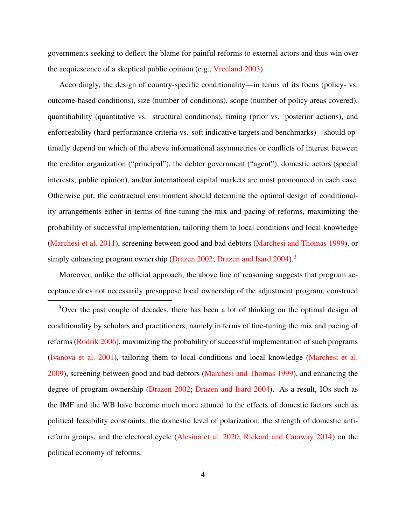governments seeking to deflect the blame for painful reforms to external actors and thus win over the acquiescence of a skeptical public opinion (e.g., [Vreeland](#page-59-0) [2003\)](#page-59-0).

Accordingly, the design of country-specific conditionality—in terms of its focus (policy- vs. outcome-based conditions), size (number of conditions), scope (number of policy areas covered), quantifiability (quantitative vs. structural conditions), timing (prior vs. posterior actions), and enforceability (hard performance criteria vs. soft indicative targets and benchmarks)—should optimally depend on which of the above informational asymmetries or conflicts of interest between the creditor organization ("principal"), the debtor government ("agent"), domestic actors (special interests, public opinion), and/or international capital markets are most pronounced in each case. Otherwise put, the contractual environment should determine the optimal design of conditionality arrangements either in terms of fine-tuning the mix and pacing of reforms, maximizing the probability of successful implementation, tailoring them to local conditions and local knowledge [\(Marchesi et al.](#page-56-1) [2011\)](#page-56-1), screening between good and bad debtors [\(Marchesi and Thomas](#page-56-2) [1999\)](#page-56-2), or simply enhancing program ownership [\(Drazen](#page-52-1) [2002;](#page-52-1) [Drazen and Isard](#page-52-4)  $2004$ ).<sup>[3](#page-0-0)</sup>

Moreover, unlike the official approach, the above line of reasoning suggests that program acceptance does not necessarily presuppose local ownership of the adjustment program, construed

<sup>3</sup>Over the past couple of decades, there has been a lot of thinking on the optimal design of conditionality by scholars and practitioners, namely in terms of fine-tuning the mix and pacing of reforms [\(Rodrik](#page-58-0) [2006\)](#page-58-0), maximizing the probability of successful implementation of such programs [\(Ivanova et al.](#page-55-4) [2001\)](#page-55-4), tailoring them to local conditions and local knowledge [\(Marchesi et al.](#page-56-3) [2009\)](#page-56-3), screening between good and bad debtors [\(Marchesi and Thomas](#page-56-2) [1999\)](#page-56-2), and enhancing the degree of program ownership [\(Drazen](#page-52-1) [2002;](#page-52-1) [Drazen and Isard](#page-52-4) [2004\)](#page-52-4). As a result, IOs such as the IMF and the WB have become much more attuned to the effects of domestic factors such as political feasibility constraints, the domestic level of polarization, the strength of domestic antireform groups, and the electoral cycle [\(Alesina et al.](#page-50-0) [2020;](#page-50-0) [Rickard and Caraway](#page-58-1) [2014\)](#page-58-1) on the political economy of reforms.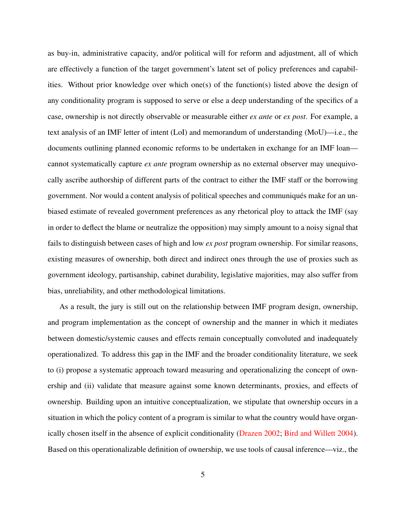as buy-in, administrative capacity, and/or political will for reform and adjustment, all of which are effectively a function of the target government's latent set of policy preferences and capabilities. Without prior knowledge over which one(s) of the function(s) listed above the design of any conditionality program is supposed to serve or else a deep understanding of the specifics of a case, ownership is not directly observable or measurable either *ex ante* or *ex post*. For example, a text analysis of an IMF letter of intent (LoI) and memorandum of understanding (MoU)—i.e., the documents outlining planned economic reforms to be undertaken in exchange for an IMF loan cannot systematically capture *ex ante* program ownership as no external observer may unequivocally ascribe authorship of different parts of the contract to either the IMF staff or the borrowing government. Nor would a content analysis of political speeches and communiques make for an un- ´ biased estimate of revealed government preferences as any rhetorical ploy to attack the IMF (say in order to deflect the blame or neutralize the opposition) may simply amount to a noisy signal that fails to distinguish between cases of high and low *ex post* program ownership. For similar reasons, existing measures of ownership, both direct and indirect ones through the use of proxies such as government ideology, partisanship, cabinet durability, legislative majorities, may also suffer from bias, unreliability, and other methodological limitations.

As a result, the jury is still out on the relationship between IMF program design, ownership, and program implementation as the concept of ownership and the manner in which it mediates between domestic/systemic causes and effects remain conceptually convoluted and inadequately operationalized. To address this gap in the IMF and the broader conditionality literature, we seek to (i) propose a systematic approach toward measuring and operationalizing the concept of ownership and (ii) validate that measure against some known determinants, proxies, and effects of ownership. Building upon an intuitive conceptualization, we stipulate that ownership occurs in a situation in which the policy content of a program is similar to what the country would have organically chosen itself in the absence of explicit conditionality [\(Drazen](#page-52-1) [2002;](#page-52-1) [Bird and Willett](#page-51-2) [2004\)](#page-51-2). Based on this operationalizable definition of ownership, we use tools of causal inference—viz., the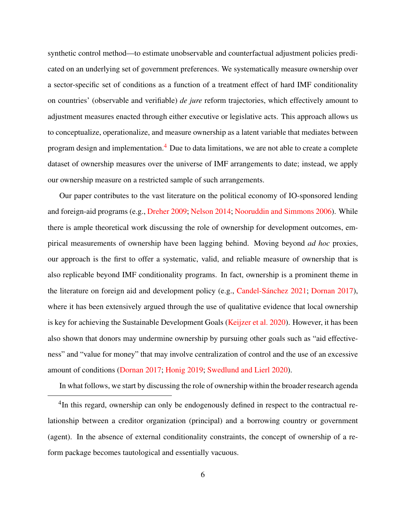synthetic control method—to estimate unobservable and counterfactual adjustment policies predicated on an underlying set of government preferences. We systematically measure ownership over a sector-specific set of conditions as a function of a treatment effect of hard IMF conditionality on countries' (observable and verifiable) *de jure* reform trajectories, which effectively amount to adjustment measures enacted through either executive or legislative acts. This approach allows us to conceptualize, operationalize, and measure ownership as a latent variable that mediates between program design and implementation.[4](#page-0-0) Due to data limitations, we are not able to create a complete dataset of ownership measures over the universe of IMF arrangements to date; instead, we apply our ownership measure on a restricted sample of such arrangements.

Our paper contributes to the vast literature on the political economy of IO-sponsored lending and foreign-aid programs (e.g., [Dreher](#page-52-5) [2009;](#page-52-5) [Nelson](#page-57-0) [2014;](#page-57-0) [Nooruddin and Simmons](#page-57-1) [2006\)](#page-57-1). While there is ample theoretical work discussing the role of ownership for development outcomes, empirical measurements of ownership have been lagging behind. Moving beyond *ad hoc* proxies, our approach is the first to offer a systematic, valid, and reliable measure of ownership that is also replicable beyond IMF conditionality programs. In fact, ownership is a prominent theme in the literature on foreign aid and development policy (e.g., Candel-Sánchez  $2021$ ; [Dornan](#page-52-0)  $2017$ ), where it has been extensively argued through the use of qualitative evidence that local ownership is key for achieving the Sustainable Development Goals [\(Keijzer et al.](#page-55-2) [2020\)](#page-55-2). However, it has been also shown that donors may undermine ownership by pursuing other goals such as "aid effectiveness" and "value for money" that may involve centralization of control and the use of an excessive amount of conditions [\(Dornan](#page-52-0) [2017;](#page-52-0) [Honig](#page-54-3) [2019;](#page-54-3) [Swedlund and Lierl](#page-59-1) [2020\)](#page-59-1).

In what follows, we start by discussing the role of ownership within the broader research agenda

<sup>&</sup>lt;sup>4</sup>In this regard, ownership can only be endogenously defined in respect to the contractual relationship between a creditor organization (principal) and a borrowing country or government (agent). In the absence of external conditionality constraints, the concept of ownership of a reform package becomes tautological and essentially vacuous.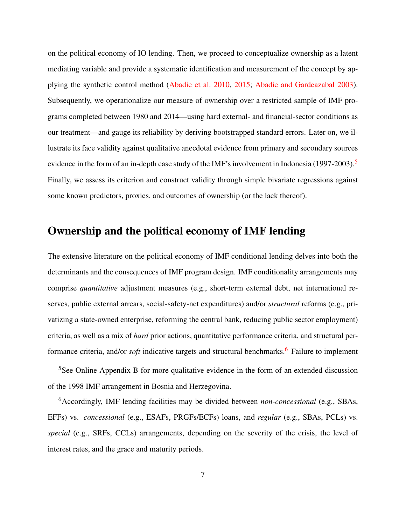on the political economy of IO lending. Then, we proceed to conceptualize ownership as a latent mediating variable and provide a systematic identification and measurement of the concept by applying the synthetic control method [\(Abadie et al.](#page-50-1) [2010,](#page-50-1) [2015;](#page-50-2) [Abadie and Gardeazabal](#page-50-3) [2003\)](#page-50-3). Subsequently, we operationalize our measure of ownership over a restricted sample of IMF programs completed between 1980 and 2014—using hard external- and financial-sector conditions as our treatment—and gauge its reliability by deriving bootstrapped standard errors. Later on, we illustrate its face validity against qualitative anecdotal evidence from primary and secondary sources evidence in the form of an in-depth case study of the IMF's involvement in Indonesia (1997-2003).<sup>[5](#page-0-0)</sup> Finally, we assess its criterion and construct validity through simple bivariate regressions against some known predictors, proxies, and outcomes of ownership (or the lack thereof).

# Ownership and the political economy of IMF lending

The extensive literature on the political economy of IMF conditional lending delves into both the determinants and the consequences of IMF program design. IMF conditionality arrangements may comprise *quantitative* adjustment measures (e.g., short-term external debt, net international reserves, public external arrears, social-safety-net expenditures) and/or *structural* reforms (e.g., privatizing a state-owned enterprise, reforming the central bank, reducing public sector employment) criteria, as well as a mix of *hard* prior actions, quantitative performance criteria, and structural performance criteria, and/or *soft* indicative targets and structural benchmarks.<sup>[6](#page-0-0)</sup> Failure to implement

 $5$ See Online Appendix B for more qualitative evidence in the form of an extended discussion of the 1998 IMF arrangement in Bosnia and Herzegovina.

<sup>6</sup>Accordingly, IMF lending facilities may be divided between *non-concessional* (e.g., SBAs, EFFs) vs. *concessional* (e.g., ESAFs, PRGFs/ECFs) loans, and *regular* (e.g., SBAs, PCLs) vs. *special* (e.g., SRFs, CCLs) arrangements, depending on the severity of the crisis, the level of interest rates, and the grace and maturity periods.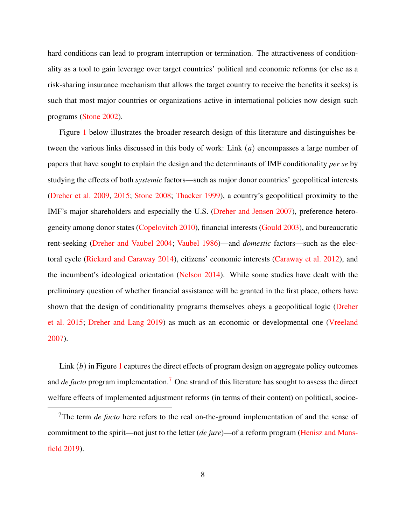hard conditions can lead to program interruption or termination. The attractiveness of conditionality as a tool to gain leverage over target countries' political and economic reforms (or else as a risk-sharing insurance mechanism that allows the target country to receive the benefits it seeks) is such that most major countries or organizations active in international policies now design such programs [\(Stone](#page-58-2) [2002\)](#page-58-2).

Figure [1](#page-10-0) below illustrates the broader research design of this literature and distinguishes between the various links discussed in this body of work: Link (*a*) encompasses a large number of papers that have sought to explain the design and the determinants of IMF conditionality *per se* by studying the effects of both *systemic* factors—such as major donor countries' geopolitical interests [\(Dreher et al.](#page-53-0) [2009,](#page-53-0) [2015;](#page-53-1) [Stone](#page-58-3) [2008;](#page-58-3) [Thacker](#page-59-2) [1999\)](#page-59-2), a country's geopolitical proximity to the IMF's major shareholders and especially the U.S. [\(Dreher and Jensen](#page-52-6) [2007\)](#page-52-6), preference heterogeneity among donor states [\(Copelovitch](#page-52-7) [2010\)](#page-52-7), financial interests [\(Gould](#page-53-2) [2003\)](#page-53-2), and bureaucratic rent-seeking [\(Dreher and Vaubel](#page-53-3) [2004;](#page-53-3) [Vaubel](#page-59-3) [1986\)](#page-59-3)—and *domestic* factors—such as the electoral cycle [\(Rickard and Caraway](#page-58-1) [2014\)](#page-58-1), citizens' economic interests [\(Caraway et al.](#page-51-3) [2012\)](#page-51-3), and the incumbent's ideological orientation [\(Nelson](#page-57-0) [2014\)](#page-57-0). While some studies have dealt with the preliminary question of whether financial assistance will be granted in the first place, others have shown that the design of conditionality programs themselves obeys a geopolitical logic [\(Dreher](#page-53-1) [et al.](#page-53-1) [2015;](#page-53-1) [Dreher and Lang](#page-53-4) [2019\)](#page-53-4) as much as an economic or developmental one [\(Vreeland](#page-59-4) [2007\)](#page-59-4).

Link (*b*) in Figure [1](#page-10-0) captures the direct effects of program design on aggregate policy outcomes and *de facto* program implementation.<sup>[7](#page-0-0)</sup> One strand of this literature has sought to assess the direct welfare effects of implemented adjustment reforms (in terms of their content) on political, socioe-

<sup>7</sup>The term *de facto* here refers to the real on-the-ground implementation of and the sense of commitment to the spirit—not just to the letter (*de jure*)—of a reform program [\(Henisz and Mans](#page-54-0)[field](#page-54-0) [2019\)](#page-54-0).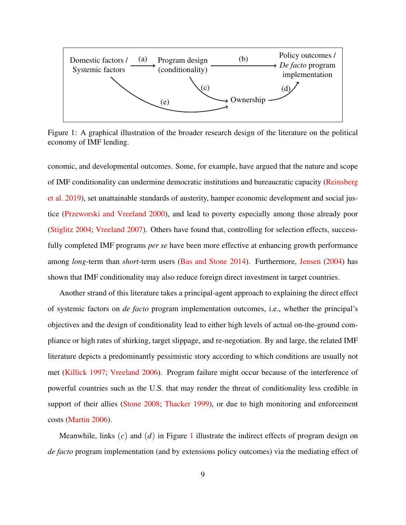<span id="page-10-0"></span>

Figure 1: A graphical illustration of the broader research design of the literature on the political economy of IMF lending.

conomic, and developmental outcomes. Some, for example, have argued that the nature and scope of IMF conditionality can undermine democratic institutions and bureaucratic capacity [\(Reinsberg](#page-57-2) [et al.](#page-57-2) [2019\)](#page-57-2), set unattainable standards of austerity, hamper economic development and social justice [\(Przeworski and Vreeland](#page-57-3) [2000\)](#page-57-3), and lead to poverty especially among those already poor [\(Stiglitz](#page-58-4) [2004;](#page-58-4) [Vreeland](#page-59-4) [2007\)](#page-59-4). Others have found that, controlling for selection effects, successfully completed IMF programs *per se* have been more effective at enhancing growth performance among *long*-term than *short*-term users [\(Bas and Stone](#page-51-4) [2014\)](#page-51-4). Furthermore, [Jensen](#page-55-5) [\(2004\)](#page-55-5) has shown that IMF conditionality may also reduce foreign direct investment in target countries.

Another strand of this literature takes a principal-agent approach to explaining the direct effect of systemic factors on *de facto* program implementation outcomes, i.e., whether the principal's objectives and the design of conditionality lead to either high levels of actual on-the-ground compliance or high rates of shirking, target slippage, and re-negotiation. By and large, the related IMF literature depicts a predominantly pessimistic story according to which conditions are usually not met [\(Killick](#page-56-4) [1997;](#page-56-4) [Vreeland](#page-59-5) [2006\)](#page-59-5). Program failure might occur because of the interference of powerful countries such as the U.S. that may render the threat of conditionality less credible in support of their allies [\(Stone](#page-58-3) [2008;](#page-58-3) [Thacker](#page-59-2) [1999\)](#page-59-2), or due to high monitoring and enforcement costs [\(Martin](#page-56-5) [2006\)](#page-56-5).

Meanwhile, links (*c*) and (*d*) in Figure [1](#page-10-0) illustrate the indirect effects of program design on *de facto* program implementation (and by extensions policy outcomes) via the mediating effect of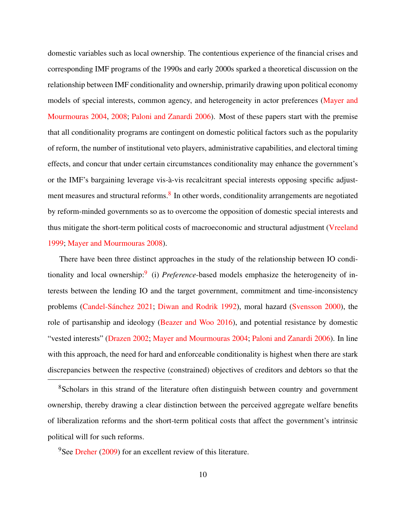domestic variables such as local ownership. The contentious experience of the financial crises and corresponding IMF programs of the 1990s and early 2000s sparked a theoretical discussion on the relationship between IMF conditionality and ownership, primarily drawing upon political economy models of special interests, common agency, and heterogeneity in actor preferences [\(Mayer and](#page-57-4) [Mourmouras](#page-57-4) [2004,](#page-57-4) [2008;](#page-57-5) [Paloni and Zanardi](#page-57-6) [2006\)](#page-57-6). Most of these papers start with the premise that all conditionality programs are contingent on domestic political factors such as the popularity of reform, the number of institutional veto players, administrative capabilities, and electoral timing effects, and concur that under certain circumstances conditionality may enhance the government's or the IMF's bargaining leverage vis-à-vis recalcitrant special interests opposing specific adjust-ment measures and structural reforms.<sup>[8](#page-0-0)</sup> In other words, conditionality arrangements are negotiated by reform-minded governments so as to overcome the opposition of domestic special interests and thus mitigate the short-term political costs of macroeconomic and structural adjustment [\(Vreeland](#page-59-6) [1999;](#page-59-6) [Mayer and Mourmouras](#page-57-5) [2008\)](#page-57-5).

There have been three distinct approaches in the study of the relationship between IO condi-tionality and local ownership:<sup>[9](#page-0-0)</sup> (i) *Preference*-based models emphasize the heterogeneity of interests between the lending IO and the target government, commitment and time-inconsistency problems (Candel-Sánchez [2021;](#page-51-1) [Diwan and Rodrik](#page-52-3) [1992\)](#page-52-3), moral hazard [\(Svensson](#page-59-7) [2000\)](#page-59-7), the role of partisanship and ideology [\(Beazer and Woo](#page-51-0) [2016\)](#page-51-0), and potential resistance by domestic "vested interests" [\(Drazen](#page-52-1) [2002;](#page-52-1) [Mayer and Mourmouras](#page-57-4) [2004;](#page-57-4) [Paloni and Zanardi](#page-57-6) [2006\)](#page-57-6). In line with this approach, the need for hard and enforceable conditionality is highest when there are stark discrepancies between the respective (constrained) objectives of creditors and debtors so that the

<sup>8</sup>Scholars in this strand of the literature often distinguish between country and government ownership, thereby drawing a clear distinction between the perceived aggregate welfare benefits of liberalization reforms and the short-term political costs that affect the government's intrinsic political will for such reforms.

#### <sup>9</sup>See [Dreher](#page-52-5) [\(2009\)](#page-52-5) for an excellent review of this literature.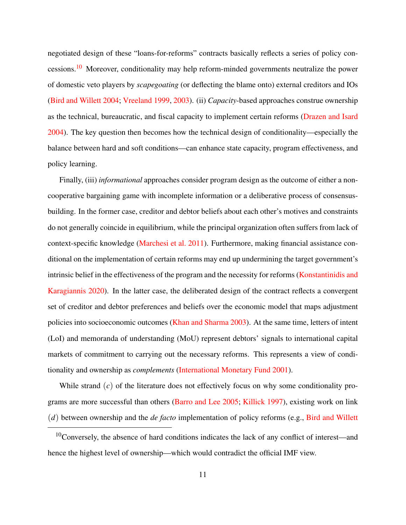negotiated design of these "loans-for-reforms" contracts basically reflects a series of policy con-cessions.<sup>[10](#page-0-0)</sup> Moreover, conditionality may help reform-minded governments neutralize the power of domestic veto players by *scapegoating* (or deflecting the blame onto) external creditors and IOs [\(Bird and Willett](#page-51-2) [2004;](#page-51-2) [Vreeland](#page-59-6) [1999,](#page-59-6) [2003\)](#page-59-0). (ii) *Capacity*-based approaches construe ownership as the technical, bureaucratic, and fiscal capacity to implement certain reforms [\(Drazen and Isard](#page-52-4) [2004\)](#page-52-4). The key question then becomes how the technical design of conditionality—especially the balance between hard and soft conditions—can enhance state capacity, program effectiveness, and policy learning.

Finally, (iii) *informational* approaches consider program design as the outcome of either a noncooperative bargaining game with incomplete information or a deliberative process of consensusbuilding. In the former case, creditor and debtor beliefs about each other's motives and constraints do not generally coincide in equilibrium, while the principal organization often suffers from lack of context-specific knowledge [\(Marchesi et al.](#page-56-1) [2011\)](#page-56-1). Furthermore, making financial assistance conditional on the implementation of certain reforms may end up undermining the target government's intrinsic belief in the effectiveness of the program and the necessity for reforms [\(Konstantinidis and](#page-56-6) [Karagiannis](#page-56-6) [2020\)](#page-56-6). In the latter case, the deliberated design of the contract reflects a convergent set of creditor and debtor preferences and beliefs over the economic model that maps adjustment policies into socioeconomic outcomes [\(Khan and Sharma](#page-56-0) [2003\)](#page-56-0). At the same time, letters of intent (LoI) and memoranda of understanding (MoU) represent debtors' signals to international capital markets of commitment to carrying out the necessary reforms. This represents a view of conditionality and ownership as *complements* [\(International Monetary Fund](#page-55-1) [2001\)](#page-55-1).

While strand (*c*) of the literature does not effectively focus on why some conditionality programs are more successful than others [\(Barro and Lee](#page-51-5) [2005;](#page-51-5) [Killick](#page-56-4) [1997\)](#page-56-4), existing work on link (*d*) between ownership and the *de facto* implementation of policy reforms (e.g., [Bird and Willett](#page-51-2)

<sup>10</sup>Conversely, the absence of hard conditions indicates the lack of any conflict of interest—and hence the highest level of ownership—which would contradict the official IMF view.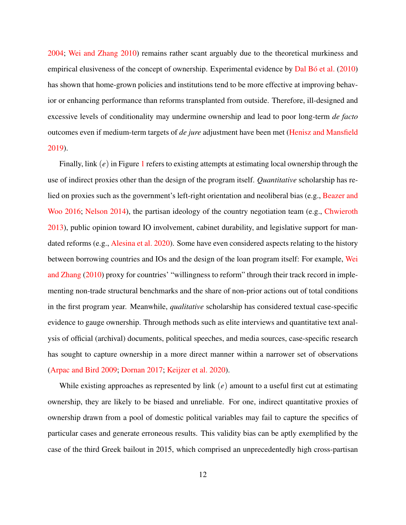[2004;](#page-51-2) [Wei and Zhang](#page-59-8) [2010\)](#page-59-8) remains rather scant arguably due to the theoretical murkiness and empirical elusiveness of the concept of ownership. Experimental evidence by Dal Bó et al. [\(2010\)](#page-52-8) has shown that home-grown policies and institutions tend to be more effective at improving behavior or enhancing performance than reforms transplanted from outside. Therefore, ill-designed and excessive levels of conditionality may undermine ownership and lead to poor long-term *de facto* outcomes even if medium-term targets of *de jure* adjustment have been met [\(Henisz and Mansfield](#page-54-0) [2019\)](#page-54-0).

Finally, link (*e*) in Figure [1](#page-10-0) refers to existing attempts at estimating local ownership through the use of indirect proxies other than the design of the program itself. *Quantitative* scholarship has relied on proxies such as the government's left-right orientation and neoliberal bias (e.g., [Beazer and](#page-51-0) [Woo](#page-51-0) [2016;](#page-51-0) [Nelson](#page-57-0) [2014\)](#page-57-0), the partisan ideology of the country negotiation team (e.g., [Chwieroth](#page-52-9) [2013\)](#page-52-9), public opinion toward IO involvement, cabinet durability, and legislative support for mandated reforms (e.g., [Alesina et al.](#page-50-0) [2020\)](#page-50-0). Some have even considered aspects relating to the history between borrowing countries and IOs and the design of the loan program itself: For example, [Wei](#page-59-8) [and Zhang](#page-59-8) [\(2010\)](#page-59-8) proxy for countries' "willingness to reform" through their track record in implementing non-trade structural benchmarks and the share of non-prior actions out of total conditions in the first program year. Meanwhile, *qualitative* scholarship has considered textual case-specific evidence to gauge ownership. Through methods such as elite interviews and quantitative text analysis of official (archival) documents, political speeches, and media sources, case-specific research has sought to capture ownership in a more direct manner within a narrower set of observations [\(Arpac and Bird](#page-51-6) [2009;](#page-51-6) [Dornan](#page-52-0) [2017;](#page-52-0) [Keijzer et al.](#page-55-2) [2020\)](#page-55-2).

While existing approaches as represented by link (*e*) amount to a useful first cut at estimating ownership, they are likely to be biased and unreliable. For one, indirect quantitative proxies of ownership drawn from a pool of domestic political variables may fail to capture the specifics of particular cases and generate erroneous results. This validity bias can be aptly exemplified by the case of the third Greek bailout in 2015, which comprised an unprecedentedly high cross-partisan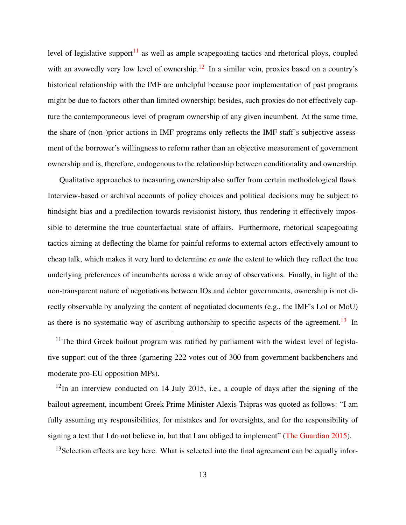level of legislative support<sup>[11](#page-0-0)</sup> as well as ample scapegoating tactics and rhetorical ploys, coupled with an avowedly very low level of ownership.<sup>[12](#page-0-0)</sup> In a similar vein, proxies based on a country's historical relationship with the IMF are unhelpful because poor implementation of past programs might be due to factors other than limited ownership; besides, such proxies do not effectively capture the contemporaneous level of program ownership of any given incumbent. At the same time, the share of (non-)prior actions in IMF programs only reflects the IMF staff's subjective assessment of the borrower's willingness to reform rather than an objective measurement of government ownership and is, therefore, endogenous to the relationship between conditionality and ownership.

Qualitative approaches to measuring ownership also suffer from certain methodological flaws. Interview-based or archival accounts of policy choices and political decisions may be subject to hindsight bias and a predilection towards revisionist history, thus rendering it effectively impossible to determine the true counterfactual state of affairs. Furthermore, rhetorical scapegoating tactics aiming at deflecting the blame for painful reforms to external actors effectively amount to cheap talk, which makes it very hard to determine *ex ante* the extent to which they reflect the true underlying preferences of incumbents across a wide array of observations. Finally, in light of the non-transparent nature of negotiations between IOs and debtor governments, ownership is not directly observable by analyzing the content of negotiated documents (e.g., the IMF's LoI or MoU) as there is no systematic way of ascribing authorship to specific aspects of the agreement.<sup>[13](#page-0-0)</sup> In

 $11$ The third Greek bailout program was ratified by parliament with the widest level of legislative support out of the three (garnering 222 votes out of 300 from government backbenchers and moderate pro-EU opposition MPs).

 $12$ In an interview conducted on 14 July 2015, i.e., a couple of days after the signing of the bailout agreement, incumbent Greek Prime Minister Alexis Tsipras was quoted as follows: "I am fully assuming my responsibilities, for mistakes and for oversights, and for the responsibility of signing a text that I do not believe in, but that I am obliged to implement" [\(The Guardian](#page-59-9) [2015\)](#page-59-9).

<sup>13</sup>Selection effects are key here. What is selected into the final agreement can be equally infor-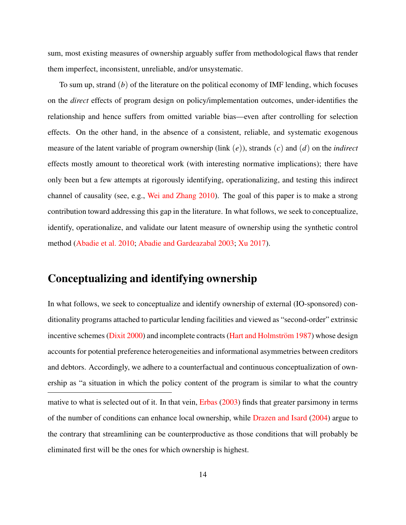sum, most existing measures of ownership arguably suffer from methodological flaws that render them imperfect, inconsistent, unreliable, and/or unsystematic.

To sum up, strand (*b*) of the literature on the political economy of IMF lending, which focuses on the *direct* effects of program design on policy/implementation outcomes, under-identifies the relationship and hence suffers from omitted variable bias—even after controlling for selection effects. On the other hand, in the absence of a consistent, reliable, and systematic exogenous measure of the latent variable of program ownership (link (*e*)), strands (*c*) and (*d*) on the *indirect* effects mostly amount to theoretical work (with interesting normative implications); there have only been but a few attempts at rigorously identifying, operationalizing, and testing this indirect channel of causality (see, e.g., [Wei and Zhang](#page-59-8) [2010\)](#page-59-8). The goal of this paper is to make a strong contribution toward addressing this gap in the literature. In what follows, we seek to conceptualize, identify, operationalize, and validate our latent measure of ownership using the synthetic control method [\(Abadie et al.](#page-50-1) [2010;](#page-50-1) [Abadie and Gardeazabal](#page-50-3) [2003;](#page-50-3) [Xu](#page-59-10) [2017\)](#page-59-10).

### Conceptualizing and identifying ownership

In what follows, we seek to conceptualize and identify ownership of external (IO-sponsored) conditionality programs attached to particular lending facilities and viewed as "second-order" extrinsic incentive schemes [\(Dixit](#page-52-2) [2000\)](#page-52-2) and incomplete contracts (Hart and Holmström [1987\)](#page-54-2) whose design accounts for potential preference heterogeneities and informational asymmetries between creditors and debtors. Accordingly, we adhere to a counterfactual and continuous conceptualization of ownership as "a situation in which the policy content of the program is similar to what the country mative to what is selected out of it. In that vein, [Erbas](#page-53-5) [\(2003\)](#page-53-5) finds that greater parsimony in terms of the number of conditions can enhance local ownership, while [Drazen and Isard](#page-52-4) [\(2004\)](#page-52-4) argue to the contrary that streamlining can be counterproductive as those conditions that will probably be eliminated first will be the ones for which ownership is highest.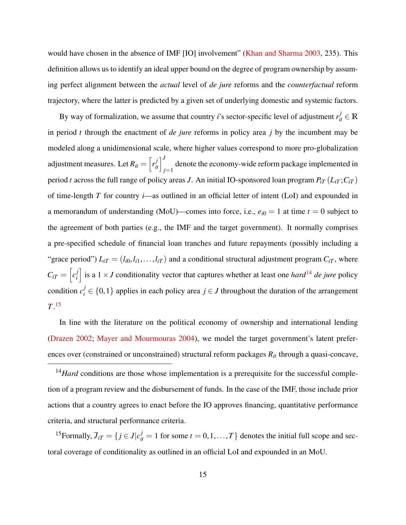would have chosen in the absence of IMF [IO] involvement" [\(Khan and Sharma](#page-56-0) [2003,](#page-56-0) 235). This definition allows us to identify an ideal upper bound on the degree of program ownership by assuming perfect alignment between the *actual* level of *de jure* reforms and the *counterfactual* reform trajectory, where the latter is predicted by a given set of underlying domestic and systemic factors.

By way of formalization, we assume that country *i*'s sector-specific level of adjustment  $r_{it}^j \in \mathbb{R}$ in period *t* through the enactment of *de jure* reforms in policy area *j* by the incumbent may be modeled along a unidimensional scale, where higher values correspond to more pro-globalization adjustment measures. Let  $R_{it} = \left[ r_{it}^j \right]_{j=1}^J$  denote the economy-wide reform package implemented in period *t* across the full range of policy areas *J*. An initial IO-sponsored loan program  $P_{iT}(L_{iT};C_{iT})$ of time-length *T* for country *i*—as outlined in an official letter of intent (LoI) and expounded in a memorandum of understanding (MoU)—comes into force, i.e.,  $e_{i0} = 1$  at time  $t = 0$  subject to the agreement of both parties (e.g., the IMF and the target government). It normally comprises a pre-specified schedule of financial loan tranches and future repayments (possibly including a "grace period")  $L_{iT} = (l_{i0}, l_{i1}, \ldots, l_{iT})$  and a conditional structural adjustment program  $C_{iT}$ , where  $C_{iT} = \left[c_i^j\right]$  $\int_{i}^{j}$  is a 1 × *J* conditionality vector that captures whether at least one *hard*<sup>[14](#page-0-0)</sup> *de jure* policy condition  $c_i^j \in \{0,1\}$  applies in each policy area  $j \in J$  throughout the duration of the arrangement *T*. [15](#page-0-0)

In line with the literature on the political economy of ownership and international lending [\(Drazen](#page-52-1) [2002;](#page-52-1) [Mayer and Mourmouras](#page-57-4) [2004\)](#page-57-4), we model the target government's latent preferences over (constrained or unconstrained) structural reform packages *Rit* through a quasi-concave,

<sup>15</sup>Formally,  $\bar{J}_{iT} = \{j \in J | c_{it}^j = 1 \text{ for some } t = 0, 1, ..., T\}$  denotes the initial full scope and sectoral coverage of conditionality as outlined in an official LoI and expounded in an MoU.

<sup>&</sup>lt;sup>14</sup>Hard conditions are those whose implementation is a prerequisite for the successful completion of a program review and the disbursement of funds. In the case of the IMF, those include prior actions that a country agrees to enact before the IO approves financing, quantitative performance criteria, and structural performance criteria.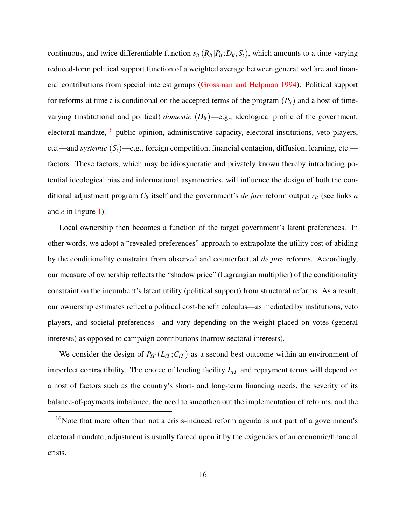continuous, and twice differentiable function  $s_{it}$  ( $R_{it}$  | $P_{it}$ ;  $D_{it}$ ,  $S_t$ ), which amounts to a time-varying reduced-form political support function of a weighted average between general welfare and financial contributions from special interest groups [\(Grossman and Helpman](#page-53-6) [1994\)](#page-53-6). Political support for reforms at time *t* is conditional on the accepted terms of the program  $(P_t)$  and a host of timevarying (institutional and political) *domestic* (*Dit*)—e.g., ideological profile of the government, electoral mandate,<sup>[16](#page-0-0)</sup> public opinion, administrative capacity, electoral institutions, veto players, etc.—and *systemic* (*St*)—e.g., foreign competition, financial contagion, diffusion, learning, etc. factors. These factors, which may be idiosyncratic and privately known thereby introducing potential ideological bias and informational asymmetries, will influence the design of both the conditional adjustment program *Cit* itself and the government's *de jure* reform output *rit* (see links *a* and *e* in Figure [1\)](#page-10-0).

Local ownership then becomes a function of the target government's latent preferences. In other words, we adopt a "revealed-preferences" approach to extrapolate the utility cost of abiding by the conditionality constraint from observed and counterfactual *de jure* reforms. Accordingly, our measure of ownership reflects the "shadow price" (Lagrangian multiplier) of the conditionality constraint on the incumbent's latent utility (political support) from structural reforms. As a result, our ownership estimates reflect a political cost-benefit calculus—as mediated by institutions, veto players, and societal preferences—and vary depending on the weight placed on votes (general interests) as opposed to campaign contributions (narrow sectoral interests).

We consider the design of  $P_{iT}$  ( $L_{iT}$ ; $C_{iT}$ ) as a second-best outcome within an environment of imperfect contractibility. The choice of lending facility *LiT* and repayment terms will depend on a host of factors such as the country's short- and long-term financing needs, the severity of its balance-of-payments imbalance, the need to smoothen out the implementation of reforms, and the

<sup>&</sup>lt;sup>16</sup>Note that more often than not a crisis-induced reform agenda is not part of a government's electoral mandate; adjustment is usually forced upon it by the exigencies of an economic/financial crisis.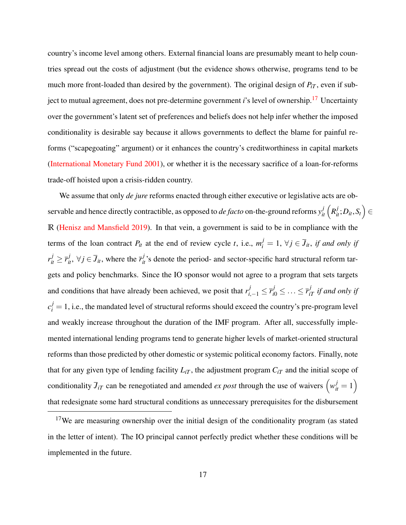country's income level among others. External financial loans are presumably meant to help countries spread out the costs of adjustment (but the evidence shows otherwise, programs tend to be much more front-loaded than desired by the government). The original design of  $P_{iT}$ , even if subject to mutual agreement, does not pre-determine government *i*'s level of ownership.[17](#page-0-0) Uncertainty over the government's latent set of preferences and beliefs does not help infer whether the imposed conditionality is desirable say because it allows governments to deflect the blame for painful reforms ("scapegoating" argument) or it enhances the country's creditworthiness in capital markets [\(International Monetary Fund](#page-55-1) [2001\)](#page-55-1), or whether it is the necessary sacrifice of a loan-for-reforms trade-off hoisted upon a crisis-ridden country.

We assume that only *de jure* reforms enacted through either executive or legislative acts are observable and hence directly contractible, as opposed to *de facto* on-the-ground reforms  $y_{it}^j\left(R_{it}^j;D_{it},S_t\right)\in$ **R** [\(Henisz and Mansfield](#page-54-0) [2019\)](#page-54-0). In that vein, a government is said to be in compliance with the terms of the loan contract  $P_{it}$  at the end of review cycle *t*, i.e.,  $m_i^j = 1$ ,  $\forall j \in \overline{J}_{it}$ , *if and only if*  $r_{it}^j \geq \bar{r}_{it}^j$ ,  $\forall j \in \bar{J}_{it}$ , where the  $\bar{r}_{it}^j$ 's denote the period- and sector-specific hard structural reform targets and policy benchmarks. Since the IO sponsor would not agree to a program that sets targets and conditions that have already been achieved, we posit that  $r_{i,-1}^j \leq \bar{r}_{i0}^j \leq \ldots \leq \bar{r}_{iT}^j$  *if and only if*  $c_i^j = 1$ , i.e., the mandated level of structural reforms should exceed the country's pre-program level and weakly increase throughout the duration of the IMF program. After all, successfully implemented international lending programs tend to generate higher levels of market-oriented structural reforms than those predicted by other domestic or systemic political economy factors. Finally, note that for any given type of lending facility  $L_{iT}$ , the adjustment program  $C_{iT}$  and the initial scope of conditionality  $\bar{J}_{iT}$  can be renegotiated and amended *ex post* through the use of waivers  $\left(w_{it}^j = 1\right)$ that redesignate some hard structural conditions as unnecessary prerequisites for the disbursement

<sup>&</sup>lt;sup>17</sup>We are measuring ownership over the initial design of the conditionality program (as stated in the letter of intent). The IO principal cannot perfectly predict whether these conditions will be implemented in the future.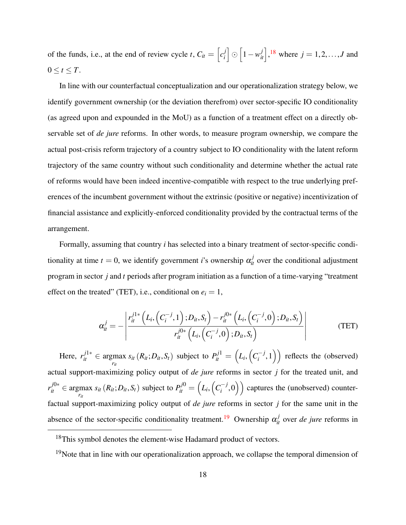of the funds, i.e., at the end of review cycle *t*,  $C_{it} = \begin{bmatrix} c_i^j \end{bmatrix}$ *i*<sup>1</sup> ⊙  $\left[1 - w_{it}^j\right]$ ,<sup>[18](#page-0-0)</sup> where *j* = 1, 2, ..., *J* and  $0 \leq t \leq T$ .

In line with our counterfactual conceptualization and our operationalization strategy below, we identify government ownership (or the deviation therefrom) over sector-specific IO conditionality (as agreed upon and expounded in the MoU) as a function of a treatment effect on a directly observable set of *de jure* reforms. In other words, to measure program ownership, we compare the actual post-crisis reform trajectory of a country subject to IO conditionality with the latent reform trajectory of the same country without such conditionality and determine whether the actual rate of reforms would have been indeed incentive-compatible with respect to the true underlying preferences of the incumbent government without the extrinsic (positive or negative) incentivization of financial assistance and explicitly-enforced conditionality provided by the contractual terms of the arrangement.

Formally, assuming that country *i* has selected into a binary treatment of sector-specific conditionality at time  $t = 0$ , we identify government *i*'s ownership  $\alpha_{it}^j$  over the conditional adjustment program in sector *j* and *t* periods after program initiation as a function of a time-varying "treatment effect on the treated" (TET), i.e., conditional on  $e_i = 1$ ,

<span id="page-19-0"></span>
$$
\alpha_{it}^{j} = -\left| \frac{r_{it}^{j1*}\left(L_i, \left(C_i^{-j}, 1\right); D_{it}, S_t\right) - r_{it}^{j0*}\left(L_i, \left(C_i^{-j}, 0\right); D_{it}, S_t\right)}{r_{it}^{j0*}\left(L_i, \left(C_i^{-j}, 0\right); D_{it}, S_t\right)} \right| \tag{TET}
$$

Here,  $r_{it}^{j1*} \in \underset{r_{it}}{\operatorname{argmax}}$  $s_{it} (R_{it}; D_{it}, S_t)$  subject to  $P_{it}^{j1} = (L_i, (C_i^{-j}))$  $\binom{-j}{i}, 1$ ) reflects the (observed) actual support-maximizing policy output of *de jure* reforms in sector *j* for the treated unit, and *r*<sup>*j*0∗</sup> ∈ argmax *r*<sup>*it*</sup></sup>  $s_{it}$  ( $R_{it}$ ;  $D_{it}$ ,  $S_t$ ) subject to  $P_{it}^{j0} = \left( L_i, \left( C_i^{-j} \right) \right)$  $\binom{-j}{i}$  captures the (unobserved) counterfactual support-maximizing policy output of *de jure* reforms in sector *j* for the same unit in the absence of the sector-specific conditionality treatment.<sup>[19](#page-0-0)</sup> Ownership  $\alpha_{it}^j$  over *de jure* reforms in

<sup>&</sup>lt;sup>18</sup>This symbol denotes the element-wise Hadamard product of vectors.

<sup>&</sup>lt;sup>19</sup>Note that in line with our operationalization approach, we collapse the temporal dimension of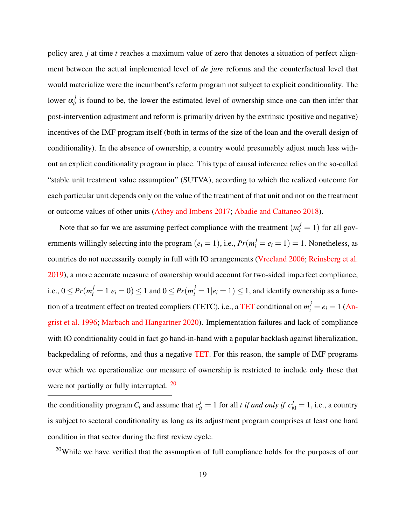policy area *j* at time *t* reaches a maximum value of zero that denotes a situation of perfect alignment between the actual implemented level of *de jure* reforms and the counterfactual level that would materialize were the incumbent's reform program not subject to explicit conditionality. The lower  $\alpha_{it}^{j}$  is found to be, the lower the estimated level of ownership since one can then infer that post-intervention adjustment and reform is primarily driven by the extrinsic (positive and negative) incentives of the IMF program itself (both in terms of the size of the loan and the overall design of conditionality). In the absence of ownership, a country would presumably adjust much less without an explicit conditionality program in place. This type of causal inference relies on the so-called "stable unit treatment value assumption" (SUTVA), according to which the realized outcome for each particular unit depends only on the value of the treatment of that unit and not on the treatment or outcome values of other units [\(Athey and Imbens](#page-51-7) [2017;](#page-51-7) [Abadie and Cattaneo](#page-50-4) [2018\)](#page-50-4).

Note that so far we are assuming perfect compliance with the treatment  $(m_i^j = 1)$  for all governments willingly selecting into the program  $(e_i = 1)$ , i.e.,  $Pr(m_i^j = e_i = 1) = 1$ . Nonetheless, as countries do not necessarily comply in full with IO arrangements [\(Vreeland](#page-59-5) [2006;](#page-59-5) [Reinsberg et al.](#page-57-7) [2019\)](#page-57-7), a more accurate measure of ownership would account for two-sided imperfect compliance, i.e.,  $0 \le Pr(m_i^j = 1 | e_i = 0) \le 1$  and  $0 \le Pr(m_i^j = 1 | e_i = 1) \le 1$ , and identify ownership as a func-tion of a treatment effect on treated compliers ([TET](#page-19-0)C), i.e., a TET conditional on  $m_i^j = e_i = 1$  [\(An](#page-51-8)[grist et al.](#page-51-8) [1996;](#page-51-8) [Marbach and Hangartner](#page-56-7) [2020\)](#page-56-7). Implementation failures and lack of compliance with IO conditionality could in fact go hand-in-hand with a popular backlash against liberalization, backpedaling of reforms, and thus a negative [TET.](#page-19-0) For this reason, the sample of IMF programs over which we operationalize our measure of ownership is restricted to include only those that were not partially or fully interrupted. <sup>[20](#page-0-0)</sup>

the conditionality program  $C_i$  and assume that  $c_{it}^j = 1$  for all *t if and only if*  $c_{i0}^j = 1$ , i.e., a country is subject to sectoral conditionality as long as its adjustment program comprises at least one hard condition in that sector during the first review cycle.

<sup>20</sup>While we have verified that the assumption of full compliance holds for the purposes of our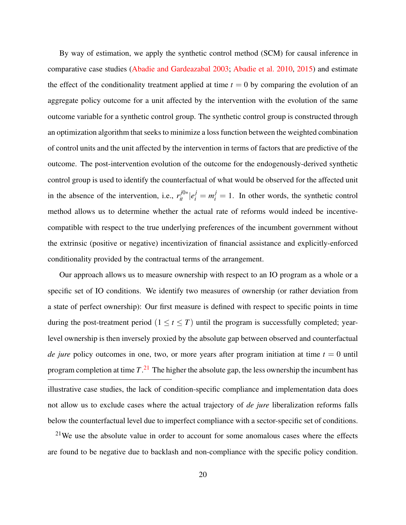By way of estimation, we apply the synthetic control method (SCM) for causal inference in comparative case studies [\(Abadie and Gardeazabal](#page-50-3) [2003;](#page-50-3) [Abadie et al.](#page-50-1) [2010,](#page-50-1) [2015\)](#page-50-2) and estimate the effect of the conditionality treatment applied at time  $t = 0$  by comparing the evolution of an aggregate policy outcome for a unit affected by the intervention with the evolution of the same outcome variable for a synthetic control group. The synthetic control group is constructed through an optimization algorithm that seeks to minimize a loss function between the weighted combination of control units and the unit affected by the intervention in terms of factors that are predictive of the outcome. The post-intervention evolution of the outcome for the endogenously-derived synthetic control group is used to identify the counterfactual of what would be observed for the affected unit in the absence of the intervention, i.e.,  $r_i^{j0*} |e_i^j = m_i^j = 1$ . In other words, the synthetic control method allows us to determine whether the actual rate of reforms would indeed be incentivecompatible with respect to the true underlying preferences of the incumbent government without the extrinsic (positive or negative) incentivization of financial assistance and explicitly-enforced conditionality provided by the contractual terms of the arrangement.

Our approach allows us to measure ownership with respect to an IO program as a whole or a specific set of IO conditions. We identify two measures of ownership (or rather deviation from a state of perfect ownership): Our first measure is defined with respect to specific points in time during the post-treatment period  $(1 \le t \le T)$  until the program is successfully completed; yearlevel ownership is then inversely proxied by the absolute gap between observed and counterfactual *de jure* policy outcomes in one, two, or more years after program initiation at time  $t = 0$  until program completion at time *T*. [21](#page-0-0) The higher the absolute gap, the less ownership the incumbent has illustrative case studies, the lack of condition-specific compliance and implementation data does not allow us to exclude cases where the actual trajectory of *de jure* liberalization reforms falls below the counterfactual level due to imperfect compliance with a sector-specific set of conditions.

 $21$ We use the absolute value in order to account for some anomalous cases where the effects are found to be negative due to backlash and non-compliance with the specific policy condition.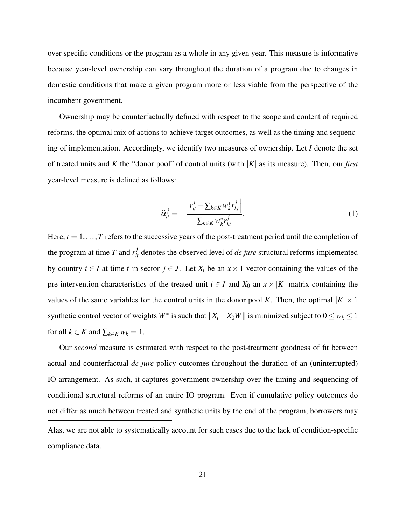over specific conditions or the program as a whole in any given year. This measure is informative because year-level ownership can vary throughout the duration of a program due to changes in domestic conditions that make a given program more or less viable from the perspective of the incumbent government.

Ownership may be counterfactually defined with respect to the scope and content of required reforms, the optimal mix of actions to achieve target outcomes, as well as the timing and sequencing of implementation. Accordingly, we identify two measures of ownership. Let *I* denote the set of treated units and *K* the "donor pool" of control units (with |*K*| as its measure). Then, our *first* year-level measure is defined as follows:

$$
\widehat{\alpha}_{it}^j = -\frac{\left| r_{it}^j - \sum_{k \in K} w_k^* r_{kt}^j \right|}{\sum_{k \in K} w_k^* r_{kt}^j}.
$$
\n(1)

Here,  $t = 1, \ldots, T$  refers to the successive years of the post-treatment period until the completion of the program at time *T* and  $r_{it}^{j}$  denotes the observed level of *de jure* structural reforms implemented by country  $i \in I$  at time *t* in sector  $j \in J$ . Let  $X_i$  be an  $x \times 1$  vector containing the values of the pre-intervention characteristics of the treated unit  $i \in I$  and  $X_0$  an  $x \times |K|$  matrix containing the values of the same variables for the control units in the donor pool *K*. Then, the optimal  $|K| \times 1$ synthetic control vector of weights *W*<sup>∗</sup> is such that  $||X_i - X_0W||$  is minimized subject to  $0 \le w_k \le 1$ for all  $k \in K$  and  $\sum_{k \in K} w_k = 1$ .

Our *second* measure is estimated with respect to the post-treatment goodness of fit between actual and counterfactual *de jure* policy outcomes throughout the duration of an (uninterrupted) IO arrangement. As such, it captures government ownership over the timing and sequencing of conditional structural reforms of an entire IO program. Even if cumulative policy outcomes do not differ as much between treated and synthetic units by the end of the program, borrowers may Alas, we are not able to systematically account for such cases due to the lack of condition-specific compliance data.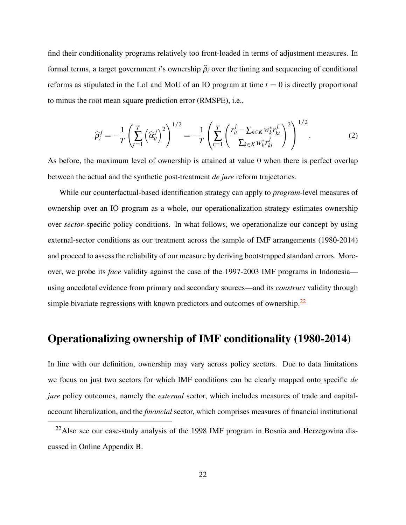find their conditionality programs relatively too front-loaded in terms of adjustment measures. In formal terms, a target government *i*'s ownership  $\hat{\rho}_i$  over the timing and sequencing of conditional reforms as stipulated in the LoI and MoU of an IO program at time  $t = 0$  is directly proportional to minus the root mean square prediction error (RMSPE), i.e.,

$$
\widehat{\rho}_{i}^{j} = -\frac{1}{T} \left( \sum_{t=1}^{T} \left( \widehat{\alpha}_{it}^{j} \right)^{2} \right)^{1/2} = -\frac{1}{T} \left( \sum_{t=1}^{T} \left( \frac{r_{it}^{j} - \sum_{k \in K} w_{k}^{*} r_{kt}^{j}}{\sum_{k \in K} w_{k}^{*} r_{kt}^{j}} \right)^{2} \right)^{1/2}.
$$
 (2)

As before, the maximum level of ownership is attained at value 0 when there is perfect overlap between the actual and the synthetic post-treatment *de jure* reform trajectories.

While our counterfactual-based identification strategy can apply to *program*-level measures of ownership over an IO program as a whole, our operationalization strategy estimates ownership over *sector*-specific policy conditions. In what follows, we operationalize our concept by using external-sector conditions as our treatment across the sample of IMF arrangements (1980-2014) and proceed to assess the reliability of our measure by deriving bootstrapped standard errors. Moreover, we probe its *face* validity against the case of the 1997-2003 IMF programs in Indonesia using anecdotal evidence from primary and secondary sources—and its *construct* validity through simple bivariate regressions with known predictors and outcomes of ownership.<sup>[22](#page-0-0)</sup>

## Operationalizing ownership of IMF conditionality (1980-2014)

In line with our definition, ownership may vary across policy sectors. Due to data limitations we focus on just two sectors for which IMF conditions can be clearly mapped onto specific *de jure* policy outcomes, namely the *external* sector, which includes measures of trade and capitalaccount liberalization, and the *financial* sector, which comprises measures of financial institutional

 $22$ Also see our case-study analysis of the 1998 IMF program in Bosnia and Herzegovina discussed in Online Appendix B.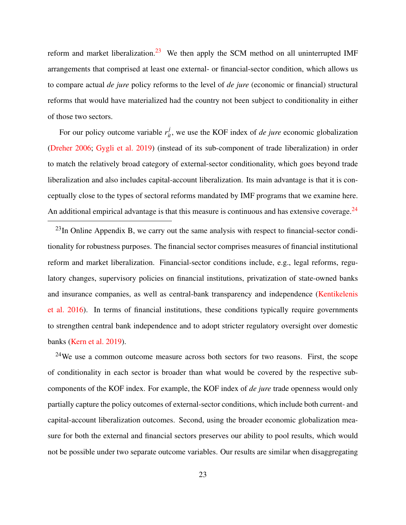reform and market liberalization.<sup>[23](#page-0-0)</sup> We then apply the SCM method on all uninterrupted IMF arrangements that comprised at least one external- or financial-sector condition, which allows us to compare actual *de jure* policy reforms to the level of *de jure* (economic or financial) structural reforms that would have materialized had the country not been subject to conditionality in either of those two sectors.

For our policy outcome variable  $r_{it}^j$ , we use the KOF index of *de jure* economic globalization [\(Dreher](#page-52-10) [2006;](#page-52-10) [Gygli et al.](#page-53-7) [2019\)](#page-53-7) (instead of its sub-component of trade liberalization) in order to match the relatively broad category of external-sector conditionality, which goes beyond trade liberalization and also includes capital-account liberalization. Its main advantage is that it is conceptually close to the types of sectoral reforms mandated by IMF programs that we examine here. An additional empirical advantage is that this measure is continuous and has extensive coverage.<sup>[24](#page-0-0)</sup>

 $^{23}$ In Online Appendix B, we carry out the same analysis with respect to financial-sector conditionality for robustness purposes. The financial sector comprises measures of financial institutional reform and market liberalization. Financial-sector conditions include, e.g., legal reforms, regulatory changes, supervisory policies on financial institutions, privatization of state-owned banks and insurance companies, as well as central-bank transparency and independence [\(Kentikelenis](#page-55-6) [et al.](#page-55-6) [2016\)](#page-55-6). In terms of financial institutions, these conditions typically require governments to strengthen central bank independence and to adopt stricter regulatory oversight over domestic banks [\(Kern et al.](#page-55-7) [2019\)](#page-55-7).

 $24$ We use a common outcome measure across both sectors for two reasons. First, the scope of conditionality in each sector is broader than what would be covered by the respective subcomponents of the KOF index. For example, the KOF index of *de jure* trade openness would only partially capture the policy outcomes of external-sector conditions, which include both current- and capital-account liberalization outcomes. Second, using the broader economic globalization measure for both the external and financial sectors preserves our ability to pool results, which would not be possible under two separate outcome variables. Our results are similar when disaggregating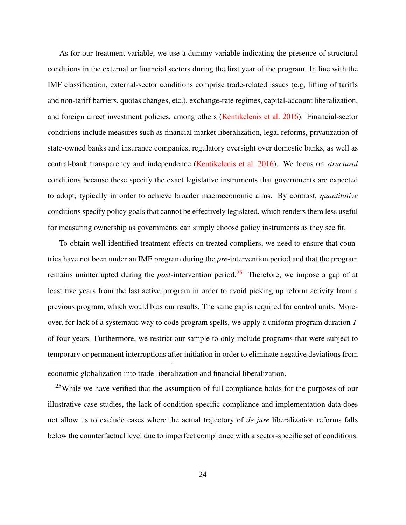As for our treatment variable, we use a dummy variable indicating the presence of structural conditions in the external or financial sectors during the first year of the program. In line with the IMF classification, external-sector conditions comprise trade-related issues (e.g, lifting of tariffs and non-tariff barriers, quotas changes, etc.), exchange-rate regimes, capital-account liberalization, and foreign direct investment policies, among others [\(Kentikelenis et al.](#page-55-6) [2016\)](#page-55-6). Financial-sector conditions include measures such as financial market liberalization, legal reforms, privatization of state-owned banks and insurance companies, regulatory oversight over domestic banks, as well as central-bank transparency and independence [\(Kentikelenis et al.](#page-55-6) [2016\)](#page-55-6). We focus on *structural* conditions because these specify the exact legislative instruments that governments are expected to adopt, typically in order to achieve broader macroeconomic aims. By contrast, *quantitative* conditions specify policy goals that cannot be effectively legislated, which renders them less useful for measuring ownership as governments can simply choose policy instruments as they see fit.

To obtain well-identified treatment effects on treated compliers, we need to ensure that countries have not been under an IMF program during the *pre*-intervention period and that the program remains uninterrupted during the *post*-intervention period.[25](#page-0-0) Therefore, we impose a gap of at least five years from the last active program in order to avoid picking up reform activity from a previous program, which would bias our results. The same gap is required for control units. Moreover, for lack of a systematic way to code program spells, we apply a uniform program duration *T* of four years. Furthermore, we restrict our sample to only include programs that were subject to temporary or permanent interruptions after initiation in order to eliminate negative deviations from economic globalization into trade liberalization and financial liberalization.

<sup>25</sup>While we have verified that the assumption of full compliance holds for the purposes of our illustrative case studies, the lack of condition-specific compliance and implementation data does not allow us to exclude cases where the actual trajectory of *de jure* liberalization reforms falls below the counterfactual level due to imperfect compliance with a sector-specific set of conditions.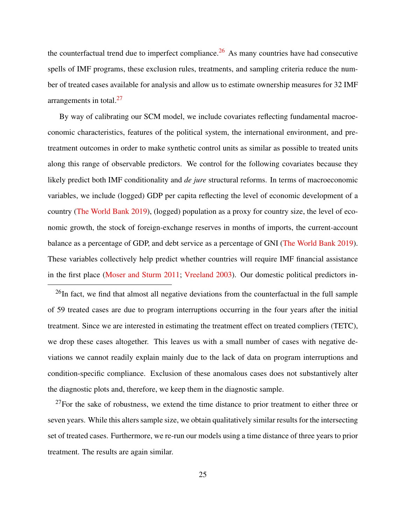the counterfactual trend due to imperfect compliance.<sup>[26](#page-0-0)</sup> As many countries have had consecutive spells of IMF programs, these exclusion rules, treatments, and sampling criteria reduce the number of treated cases available for analysis and allow us to estimate ownership measures for 32 IMF arrangements in total. $27$ 

By way of calibrating our SCM model, we include covariates reflecting fundamental macroeconomic characteristics, features of the political system, the international environment, and pretreatment outcomes in order to make synthetic control units as similar as possible to treated units along this range of observable predictors. We control for the following covariates because they likely predict both IMF conditionality and *de jure* structural reforms. In terms of macroeconomic variables, we include (logged) GDP per capita reflecting the level of economic development of a country [\(The World Bank](#page-59-11) [2019\)](#page-59-11), (logged) population as a proxy for country size, the level of economic growth, the stock of foreign-exchange reserves in months of imports, the current-account balance as a percentage of GDP, and debt service as a percentage of GNI [\(The World Bank](#page-59-11) [2019\)](#page-59-11). These variables collectively help predict whether countries will require IMF financial assistance in the first place [\(Moser and Sturm](#page-57-8) [2011;](#page-57-8) [Vreeland](#page-59-0) [2003\)](#page-59-0). Our domestic political predictors in-

<sup>26</sup>In fact, we find that almost all negative deviations from the counterfactual in the full sample of 59 treated cases are due to program interruptions occurring in the four years after the initial treatment. Since we are interested in estimating the treatment effect on treated compliers (TETC), we drop these cases altogether. This leaves us with a small number of cases with negative deviations we cannot readily explain mainly due to the lack of data on program interruptions and condition-specific compliance. Exclusion of these anomalous cases does not substantively alter the diagnostic plots and, therefore, we keep them in the diagnostic sample.

 $27$ For the sake of robustness, we extend the time distance to prior treatment to either three or seven years. While this alters sample size, we obtain qualitatively similar results for the intersecting set of treated cases. Furthermore, we re-run our models using a time distance of three years to prior treatment. The results are again similar.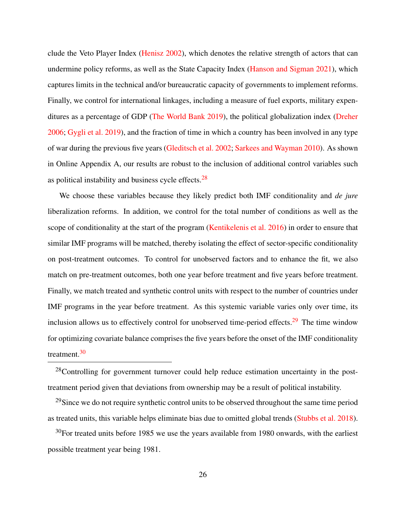clude the Veto Player Index [\(Henisz](#page-54-4) [2002\)](#page-54-4), which denotes the relative strength of actors that can undermine policy reforms, as well as the State Capacity Index [\(Hanson and Sigman](#page-54-5) [2021\)](#page-54-5), which captures limits in the technical and/or bureaucratic capacity of governments to implement reforms. Finally, we control for international linkages, including a measure of fuel exports, military expenditures as a percentage of GDP [\(The World Bank](#page-59-11) [2019\)](#page-59-11), the political globalization index [\(Dreher](#page-52-10) [2006;](#page-52-10) [Gygli et al.](#page-53-7) [2019\)](#page-53-7), and the fraction of time in which a country has been involved in any type of war during the previous five years [\(Gleditsch et al.](#page-53-8) [2002;](#page-53-8) [Sarkees and Wayman](#page-58-5) [2010\)](#page-58-5). As shown in Online Appendix A, our results are robust to the inclusion of additional control variables such as political instability and business cycle effects.[28](#page-0-0)

We choose these variables because they likely predict both IMF conditionality and *de jure* liberalization reforms. In addition, we control for the total number of conditions as well as the scope of conditionality at the start of the program [\(Kentikelenis et al.](#page-55-6) [2016\)](#page-55-6) in order to ensure that similar IMF programs will be matched, thereby isolating the effect of sector-specific conditionality on post-treatment outcomes. To control for unobserved factors and to enhance the fit, we also match on pre-treatment outcomes, both one year before treatment and five years before treatment. Finally, we match treated and synthetic control units with respect to the number of countries under IMF programs in the year before treatment. As this systemic variable varies only over time, its inclusion allows us to effectively control for unobserved time-period effects.<sup>[29](#page-0-0)</sup> The time window for optimizing covariate balance comprises the five years before the onset of the IMF conditionality treatment.[30](#page-0-0)

 $28$ Controlling for government turnover could help reduce estimation uncertainty in the posttreatment period given that deviations from ownership may be a result of political instability.

<sup>29</sup>Since we do not require synthetic control units to be observed throughout the same time period as treated units, this variable helps eliminate bias due to omitted global trends [\(Stubbs et al.](#page-58-6) [2018\)](#page-58-6).

 $30$ For treated units before 1985 we use the years available from 1980 onwards, with the earliest possible treatment year being 1981.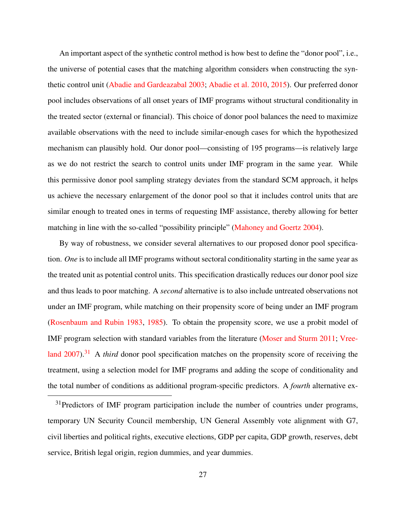An important aspect of the synthetic control method is how best to define the "donor pool", i.e., the universe of potential cases that the matching algorithm considers when constructing the synthetic control unit [\(Abadie and Gardeazabal](#page-50-3) [2003;](#page-50-3) [Abadie et al.](#page-50-1) [2010,](#page-50-1) [2015\)](#page-50-2). Our preferred donor pool includes observations of all onset years of IMF programs without structural conditionality in the treated sector (external or financial). This choice of donor pool balances the need to maximize available observations with the need to include similar-enough cases for which the hypothesized mechanism can plausibly hold. Our donor pool—consisting of 195 programs—is relatively large as we do not restrict the search to control units under IMF program in the same year. While this permissive donor pool sampling strategy deviates from the standard SCM approach, it helps us achieve the necessary enlargement of the donor pool so that it includes control units that are similar enough to treated ones in terms of requesting IMF assistance, thereby allowing for better matching in line with the so-called "possibility principle" [\(Mahoney and Goertz](#page-56-8) [2004\)](#page-56-8).

By way of robustness, we consider several alternatives to our proposed donor pool specification. *One* is to include all IMF programs without sectoral conditionality starting in the same year as the treated unit as potential control units. This specification drastically reduces our donor pool size and thus leads to poor matching. A *second* alternative is to also include untreated observations not under an IMF program, while matching on their propensity score of being under an IMF program [\(Rosenbaum and Rubin](#page-58-7) [1983,](#page-58-7) [1985\)](#page-58-8). To obtain the propensity score, we use a probit model of IMF program selection with standard variables from the literature [\(Moser and Sturm](#page-57-8) [2011;](#page-57-8) [Vree](#page-59-4)[land](#page-59-4) [2007\)](#page-59-4).<sup>[31](#page-0-0)</sup> A *third* donor pool specification matches on the propensity score of receiving the treatment, using a selection model for IMF programs and adding the scope of conditionality and the total number of conditions as additional program-specific predictors. A *fourth* alternative ex-

<sup>&</sup>lt;sup>31</sup>Predictors of IMF program participation include the number of countries under programs, temporary UN Security Council membership, UN General Assembly vote alignment with G7, civil liberties and political rights, executive elections, GDP per capita, GDP growth, reserves, debt service, British legal origin, region dummies, and year dummies.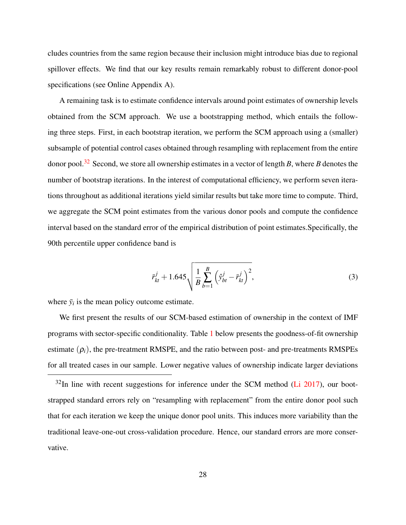cludes countries from the same region because their inclusion might introduce bias due to regional spillover effects. We find that our key results remain remarkably robust to different donor-pool specifications (see Online Appendix A).

A remaining task is to estimate confidence intervals around point estimates of ownership levels obtained from the SCM approach. We use a bootstrapping method, which entails the following three steps. First, in each bootstrap iteration, we perform the SCM approach using a (smaller) subsample of potential control cases obtained through resampling with replacement from the entire donor pool.[32](#page-0-0) Second, we store all ownership estimates in a vector of length *B*, where *B* denotes the number of bootstrap iterations. In the interest of computational efficiency, we perform seven iterations throughout as additional iterations yield similar results but take more time to compute. Third, we aggregate the SCM point estimates from the various donor pools and compute the confidence interval based on the standard error of the empirical distribution of point estimates.Specifically, the 90th percentile upper confidence band is

$$
\bar{r}_{kt}^j + 1.645 \sqrt{\frac{1}{B} \sum_{b=1}^B \left(\hat{y}_{bt}^j - \bar{r}_{kt}^j\right)^2},\tag{3}
$$

where  $\bar{y}_i$  is the mean policy outcome estimate.

We first present the results of our SCM-based estimation of ownership in the context of IMF programs with sector-specific conditionality. Table [1](#page-31-0) below presents the goodness-of-fit ownership estimate  $(\rho_i)$ , the pre-treatment RMSPE, and the ratio between post- and pre-treatments RMSPEs for all treated cases in our sample. Lower negative values of ownership indicate larger deviations

 $32$ In line with recent suggestions for inference under the SCM method [\(Li](#page-56-9) [2017\)](#page-56-9), our bootstrapped standard errors rely on "resampling with replacement" from the entire donor pool such that for each iteration we keep the unique donor pool units. This induces more variability than the traditional leave-one-out cross-validation procedure. Hence, our standard errors are more conservative.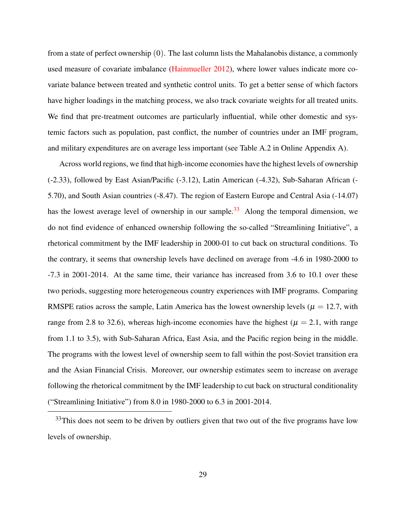from a state of perfect ownership (0). The last column lists the Mahalanobis distance, a commonly used measure of covariate imbalance [\(Hainmueller](#page-54-6) [2012\)](#page-54-6), where lower values indicate more covariate balance between treated and synthetic control units. To get a better sense of which factors have higher loadings in the matching process, we also track covariate weights for all treated units. We find that pre-treatment outcomes are particularly influential, while other domestic and systemic factors such as population, past conflict, the number of countries under an IMF program, and military expenditures are on average less important (see Table A.2 in Online Appendix A).

Across world regions, we find that high-income economies have the highest levels of ownership (-2.33), followed by East Asian/Pacific (-3.12), Latin American (-4.32), Sub-Saharan African (- 5.70), and South Asian countries (-8.47). The region of Eastern Europe and Central Asia (-14.07) has the lowest average level of ownership in our sample.<sup>[33](#page-0-0)</sup> Along the temporal dimension, we do not find evidence of enhanced ownership following the so-called "Streamlining Initiative", a rhetorical commitment by the IMF leadership in 2000-01 to cut back on structural conditions. To the contrary, it seems that ownership levels have declined on average from -4.6 in 1980-2000 to -7.3 in 2001-2014. At the same time, their variance has increased from 3.6 to 10.1 over these two periods, suggesting more heterogeneous country experiences with IMF programs. Comparing RMSPE ratios across the sample, Latin America has the lowest ownership levels ( $\mu = 12.7$ , with range from 2.8 to 32.6), whereas high-income economies have the highest ( $\mu = 2.1$ , with range from 1.1 to 3.5), with Sub-Saharan Africa, East Asia, and the Pacific region being in the middle. The programs with the lowest level of ownership seem to fall within the post-Soviet transition era and the Asian Financial Crisis. Moreover, our ownership estimates seem to increase on average following the rhetorical commitment by the IMF leadership to cut back on structural conditionality ("Streamlining Initiative") from 8.0 in 1980-2000 to 6.3 in 2001-2014.

 $33$ This does not seem to be driven by outliers given that two out of the five programs have low levels of ownership.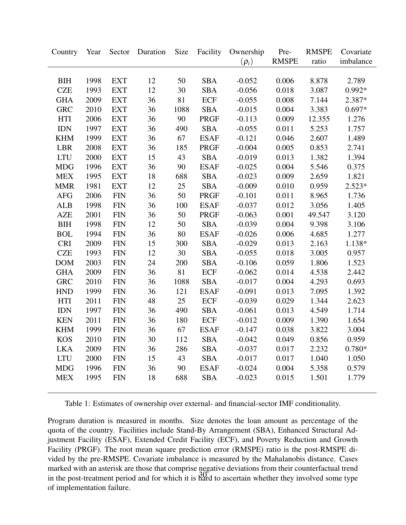<span id="page-31-0"></span>

| <b>RMSPE</b><br>ratio<br>$(\rho_i)$<br>imbalance<br>2.789<br>BIH<br>1998<br><b>EXT</b><br>12<br>50<br><b>SBA</b><br>$-0.052$<br>0.006<br>8.878<br><b>CZE</b><br>12<br><b>SBA</b><br>3.087<br>$0.992*$<br>1993<br><b>EXT</b><br>30<br>$-0.056$<br>0.018<br>36<br>2.387*<br><b>GHA</b><br>2009<br><b>EXT</b><br>81<br><b>ECF</b><br>$-0.055$<br>0.008<br>7.144<br><b>GRC</b><br>2010<br>36<br>0.004<br>3.383<br>$0.697*$<br><b>EXT</b><br>1088<br><b>SBA</b><br>$-0.015$<br>36<br>2006<br>90<br>0.009<br>12.355<br>1.276<br><b>HTI</b><br><b>EXT</b><br><b>PRGF</b><br>$-0.113$<br>36<br>$IDN$<br>1997<br><b>EXT</b><br>490<br><b>SBA</b><br>5.253<br>1.757<br>$-0.055$<br>0.011<br>36<br><b>KHM</b><br>1999<br><b>EXT</b><br>67<br><b>ESAF</b><br>$-0.121$<br>0.046<br>2.607<br>1.489<br>LBR<br>2008<br><b>EXT</b><br>36<br>185<br>$-0.004$<br>0.005<br>0.853<br>2.741<br>PRGF<br><b>LTU</b><br><b>EXT</b><br>15<br>43<br><b>SBA</b><br>0.013<br>1.394<br>2000<br>$-0.019$<br>1.382<br><b>MDG</b><br><b>EXT</b><br>36<br>5.546<br>0.375<br>1996<br>90<br><b>ESAF</b><br>$-0.025$<br>0.004<br>18<br><b>SBA</b><br>0.009<br>2.659<br><b>MEX</b><br>1995<br><b>EXT</b><br>688<br>$-0.023$<br>1.821<br>12<br><b>MMR</b><br>1981<br><b>EXT</b><br>25<br><b>SBA</b><br>0.010<br>0.959<br>$2.523*$<br>$-0.009$<br>36<br>50<br>2006<br><b>FIN</b><br>0.011<br>8.965<br>1.736<br><b>AFG</b><br><b>PRGF</b><br>$-0.101$<br>36<br><b>FIN</b><br>0.012<br>3.056<br>1.405<br><b>ALB</b><br>1998<br>100<br><b>ESAF</b><br>$-0.037$<br><b>AZE</b><br>2001<br><b>FIN</b><br>36<br>50<br>0.001<br>3.120<br><b>PRGF</b><br>$-0.063$<br>49.547<br>$12\,$<br><b>BIH</b><br>1998<br><b>FIN</b><br>50<br><b>SBA</b><br>0.004<br>9.398<br>3.106<br>$-0.039$<br>36<br><b>BOL</b><br>1994<br><b>FIN</b><br>80<br><b>ESAF</b><br>0.006<br>4.685<br>1.277<br>$-0.026$<br><b>CRI</b><br><b>FIN</b><br>15<br>1.138*<br>2009<br>300<br><b>SBA</b><br>$-0.029$<br>0.013<br>2.163<br><b>CZE</b><br><b>FIN</b><br>12<br>30<br><b>SBA</b><br>3.005<br>1993<br>$-0.055$<br>0.018<br>0.957<br>${\rm FIN}$<br>24<br><b>SBA</b><br><b>DOM</b><br>2003<br>200<br>0.059<br>1.806<br>1.523<br>$-0.106$<br>36<br>2009<br>81<br><b>ECF</b><br>0.014<br>4.538<br>2.442<br><b>GHA</b><br><b>FIN</b><br>$-0.062$<br>2010<br>36<br>0.004<br>0.693<br><b>GRC</b><br><b>FIN</b><br>1088<br><b>SBA</b><br>$-0.017$<br>4.293<br>36<br>121<br>1.392<br><b>HND</b><br>1999<br><b>FIN</b><br><b>ESAF</b><br>$-0.091$<br>0.013<br>7.095<br><b>FIN</b><br>48<br>25<br>1.344<br>2.623<br><b>HTI</b><br>2011<br>ECF<br>$-0.039$<br>0.029<br>36<br><b>IDN</b><br><b>FIN</b><br>490<br><b>SBA</b><br>0.013<br>4.549<br>1.714<br>1997<br>$-0.061$<br><b>KEN</b><br>2011<br><b>FIN</b><br>36<br>180<br><b>ECF</b><br>1.390<br>1.654<br>$-0.012$<br>0.009<br>36<br><b>KHM</b><br>1999<br><b>FIN</b><br>67<br><b>ESAF</b><br>$-0.147$<br>0.038<br>3.822<br>3.004<br>2010<br><b>FIN</b><br>30<br><b>SBA</b><br><b>KOS</b><br>112<br>$-0.042$<br>0.049<br>0.856<br>0.959<br>2009<br><b>FIN</b><br>36<br>286<br><b>SBA</b><br>0.017<br>2.232<br>$0.780*$<br><b>LKA</b><br>$-0.037$<br>1.040<br>2000<br>15<br>43<br><b>SBA</b><br>0.017<br>1.050<br><b>LTU</b><br><b>FIN</b><br>$-0.017$<br>36<br>90<br>1996<br><b>FIN</b><br><b>ESAF</b><br>0.004<br>5.358<br>0.579<br><b>MDG</b><br>$-0.024$<br><b>MEX</b><br>1995<br><b>FIN</b><br>18<br>688<br><b>SBA</b><br>0.015<br>1.501<br>1.779<br>$-0.023$ | Country | Year | Sector Duration | Size | Facility | Ownership | Pre- | <b>RMSPE</b> | Covariate |
|---------------------------------------------------------------------------------------------------------------------------------------------------------------------------------------------------------------------------------------------------------------------------------------------------------------------------------------------------------------------------------------------------------------------------------------------------------------------------------------------------------------------------------------------------------------------------------------------------------------------------------------------------------------------------------------------------------------------------------------------------------------------------------------------------------------------------------------------------------------------------------------------------------------------------------------------------------------------------------------------------------------------------------------------------------------------------------------------------------------------------------------------------------------------------------------------------------------------------------------------------------------------------------------------------------------------------------------------------------------------------------------------------------------------------------------------------------------------------------------------------------------------------------------------------------------------------------------------------------------------------------------------------------------------------------------------------------------------------------------------------------------------------------------------------------------------------------------------------------------------------------------------------------------------------------------------------------------------------------------------------------------------------------------------------------------------------------------------------------------------------------------------------------------------------------------------------------------------------------------------------------------------------------------------------------------------------------------------------------------------------------------------------------------------------------------------------------------------------------------------------------------------------------------------------------------------------------------------------------------------------------------------------------------------------------------------------------------------------------------------------------------------------------------------------------------------------------------------------------------------------------------------------------------------------------------------------------------------------------------------------------------------------------------------------------------------------------------------------------------------------------------------------------------------------------------------------------------------------------------------------------------------------------------------------------------------------------------------------------------------------------------------------------------------------------|---------|------|-----------------|------|----------|-----------|------|--------------|-----------|
|                                                                                                                                                                                                                                                                                                                                                                                                                                                                                                                                                                                                                                                                                                                                                                                                                                                                                                                                                                                                                                                                                                                                                                                                                                                                                                                                                                                                                                                                                                                                                                                                                                                                                                                                                                                                                                                                                                                                                                                                                                                                                                                                                                                                                                                                                                                                                                                                                                                                                                                                                                                                                                                                                                                                                                                                                                                                                                                                                                                                                                                                                                                                                                                                                                                                                                                                                                                                                                 |         |      |                 |      |          |           |      |              |           |
|                                                                                                                                                                                                                                                                                                                                                                                                                                                                                                                                                                                                                                                                                                                                                                                                                                                                                                                                                                                                                                                                                                                                                                                                                                                                                                                                                                                                                                                                                                                                                                                                                                                                                                                                                                                                                                                                                                                                                                                                                                                                                                                                                                                                                                                                                                                                                                                                                                                                                                                                                                                                                                                                                                                                                                                                                                                                                                                                                                                                                                                                                                                                                                                                                                                                                                                                                                                                                                 |         |      |                 |      |          |           |      |              |           |
|                                                                                                                                                                                                                                                                                                                                                                                                                                                                                                                                                                                                                                                                                                                                                                                                                                                                                                                                                                                                                                                                                                                                                                                                                                                                                                                                                                                                                                                                                                                                                                                                                                                                                                                                                                                                                                                                                                                                                                                                                                                                                                                                                                                                                                                                                                                                                                                                                                                                                                                                                                                                                                                                                                                                                                                                                                                                                                                                                                                                                                                                                                                                                                                                                                                                                                                                                                                                                                 |         |      |                 |      |          |           |      |              |           |
|                                                                                                                                                                                                                                                                                                                                                                                                                                                                                                                                                                                                                                                                                                                                                                                                                                                                                                                                                                                                                                                                                                                                                                                                                                                                                                                                                                                                                                                                                                                                                                                                                                                                                                                                                                                                                                                                                                                                                                                                                                                                                                                                                                                                                                                                                                                                                                                                                                                                                                                                                                                                                                                                                                                                                                                                                                                                                                                                                                                                                                                                                                                                                                                                                                                                                                                                                                                                                                 |         |      |                 |      |          |           |      |              |           |
|                                                                                                                                                                                                                                                                                                                                                                                                                                                                                                                                                                                                                                                                                                                                                                                                                                                                                                                                                                                                                                                                                                                                                                                                                                                                                                                                                                                                                                                                                                                                                                                                                                                                                                                                                                                                                                                                                                                                                                                                                                                                                                                                                                                                                                                                                                                                                                                                                                                                                                                                                                                                                                                                                                                                                                                                                                                                                                                                                                                                                                                                                                                                                                                                                                                                                                                                                                                                                                 |         |      |                 |      |          |           |      |              |           |
|                                                                                                                                                                                                                                                                                                                                                                                                                                                                                                                                                                                                                                                                                                                                                                                                                                                                                                                                                                                                                                                                                                                                                                                                                                                                                                                                                                                                                                                                                                                                                                                                                                                                                                                                                                                                                                                                                                                                                                                                                                                                                                                                                                                                                                                                                                                                                                                                                                                                                                                                                                                                                                                                                                                                                                                                                                                                                                                                                                                                                                                                                                                                                                                                                                                                                                                                                                                                                                 |         |      |                 |      |          |           |      |              |           |
|                                                                                                                                                                                                                                                                                                                                                                                                                                                                                                                                                                                                                                                                                                                                                                                                                                                                                                                                                                                                                                                                                                                                                                                                                                                                                                                                                                                                                                                                                                                                                                                                                                                                                                                                                                                                                                                                                                                                                                                                                                                                                                                                                                                                                                                                                                                                                                                                                                                                                                                                                                                                                                                                                                                                                                                                                                                                                                                                                                                                                                                                                                                                                                                                                                                                                                                                                                                                                                 |         |      |                 |      |          |           |      |              |           |
|                                                                                                                                                                                                                                                                                                                                                                                                                                                                                                                                                                                                                                                                                                                                                                                                                                                                                                                                                                                                                                                                                                                                                                                                                                                                                                                                                                                                                                                                                                                                                                                                                                                                                                                                                                                                                                                                                                                                                                                                                                                                                                                                                                                                                                                                                                                                                                                                                                                                                                                                                                                                                                                                                                                                                                                                                                                                                                                                                                                                                                                                                                                                                                                                                                                                                                                                                                                                                                 |         |      |                 |      |          |           |      |              |           |
|                                                                                                                                                                                                                                                                                                                                                                                                                                                                                                                                                                                                                                                                                                                                                                                                                                                                                                                                                                                                                                                                                                                                                                                                                                                                                                                                                                                                                                                                                                                                                                                                                                                                                                                                                                                                                                                                                                                                                                                                                                                                                                                                                                                                                                                                                                                                                                                                                                                                                                                                                                                                                                                                                                                                                                                                                                                                                                                                                                                                                                                                                                                                                                                                                                                                                                                                                                                                                                 |         |      |                 |      |          |           |      |              |           |
|                                                                                                                                                                                                                                                                                                                                                                                                                                                                                                                                                                                                                                                                                                                                                                                                                                                                                                                                                                                                                                                                                                                                                                                                                                                                                                                                                                                                                                                                                                                                                                                                                                                                                                                                                                                                                                                                                                                                                                                                                                                                                                                                                                                                                                                                                                                                                                                                                                                                                                                                                                                                                                                                                                                                                                                                                                                                                                                                                                                                                                                                                                                                                                                                                                                                                                                                                                                                                                 |         |      |                 |      |          |           |      |              |           |
|                                                                                                                                                                                                                                                                                                                                                                                                                                                                                                                                                                                                                                                                                                                                                                                                                                                                                                                                                                                                                                                                                                                                                                                                                                                                                                                                                                                                                                                                                                                                                                                                                                                                                                                                                                                                                                                                                                                                                                                                                                                                                                                                                                                                                                                                                                                                                                                                                                                                                                                                                                                                                                                                                                                                                                                                                                                                                                                                                                                                                                                                                                                                                                                                                                                                                                                                                                                                                                 |         |      |                 |      |          |           |      |              |           |
|                                                                                                                                                                                                                                                                                                                                                                                                                                                                                                                                                                                                                                                                                                                                                                                                                                                                                                                                                                                                                                                                                                                                                                                                                                                                                                                                                                                                                                                                                                                                                                                                                                                                                                                                                                                                                                                                                                                                                                                                                                                                                                                                                                                                                                                                                                                                                                                                                                                                                                                                                                                                                                                                                                                                                                                                                                                                                                                                                                                                                                                                                                                                                                                                                                                                                                                                                                                                                                 |         |      |                 |      |          |           |      |              |           |
|                                                                                                                                                                                                                                                                                                                                                                                                                                                                                                                                                                                                                                                                                                                                                                                                                                                                                                                                                                                                                                                                                                                                                                                                                                                                                                                                                                                                                                                                                                                                                                                                                                                                                                                                                                                                                                                                                                                                                                                                                                                                                                                                                                                                                                                                                                                                                                                                                                                                                                                                                                                                                                                                                                                                                                                                                                                                                                                                                                                                                                                                                                                                                                                                                                                                                                                                                                                                                                 |         |      |                 |      |          |           |      |              |           |
|                                                                                                                                                                                                                                                                                                                                                                                                                                                                                                                                                                                                                                                                                                                                                                                                                                                                                                                                                                                                                                                                                                                                                                                                                                                                                                                                                                                                                                                                                                                                                                                                                                                                                                                                                                                                                                                                                                                                                                                                                                                                                                                                                                                                                                                                                                                                                                                                                                                                                                                                                                                                                                                                                                                                                                                                                                                                                                                                                                                                                                                                                                                                                                                                                                                                                                                                                                                                                                 |         |      |                 |      |          |           |      |              |           |
|                                                                                                                                                                                                                                                                                                                                                                                                                                                                                                                                                                                                                                                                                                                                                                                                                                                                                                                                                                                                                                                                                                                                                                                                                                                                                                                                                                                                                                                                                                                                                                                                                                                                                                                                                                                                                                                                                                                                                                                                                                                                                                                                                                                                                                                                                                                                                                                                                                                                                                                                                                                                                                                                                                                                                                                                                                                                                                                                                                                                                                                                                                                                                                                                                                                                                                                                                                                                                                 |         |      |                 |      |          |           |      |              |           |
|                                                                                                                                                                                                                                                                                                                                                                                                                                                                                                                                                                                                                                                                                                                                                                                                                                                                                                                                                                                                                                                                                                                                                                                                                                                                                                                                                                                                                                                                                                                                                                                                                                                                                                                                                                                                                                                                                                                                                                                                                                                                                                                                                                                                                                                                                                                                                                                                                                                                                                                                                                                                                                                                                                                                                                                                                                                                                                                                                                                                                                                                                                                                                                                                                                                                                                                                                                                                                                 |         |      |                 |      |          |           |      |              |           |
|                                                                                                                                                                                                                                                                                                                                                                                                                                                                                                                                                                                                                                                                                                                                                                                                                                                                                                                                                                                                                                                                                                                                                                                                                                                                                                                                                                                                                                                                                                                                                                                                                                                                                                                                                                                                                                                                                                                                                                                                                                                                                                                                                                                                                                                                                                                                                                                                                                                                                                                                                                                                                                                                                                                                                                                                                                                                                                                                                                                                                                                                                                                                                                                                                                                                                                                                                                                                                                 |         |      |                 |      |          |           |      |              |           |
|                                                                                                                                                                                                                                                                                                                                                                                                                                                                                                                                                                                                                                                                                                                                                                                                                                                                                                                                                                                                                                                                                                                                                                                                                                                                                                                                                                                                                                                                                                                                                                                                                                                                                                                                                                                                                                                                                                                                                                                                                                                                                                                                                                                                                                                                                                                                                                                                                                                                                                                                                                                                                                                                                                                                                                                                                                                                                                                                                                                                                                                                                                                                                                                                                                                                                                                                                                                                                                 |         |      |                 |      |          |           |      |              |           |
|                                                                                                                                                                                                                                                                                                                                                                                                                                                                                                                                                                                                                                                                                                                                                                                                                                                                                                                                                                                                                                                                                                                                                                                                                                                                                                                                                                                                                                                                                                                                                                                                                                                                                                                                                                                                                                                                                                                                                                                                                                                                                                                                                                                                                                                                                                                                                                                                                                                                                                                                                                                                                                                                                                                                                                                                                                                                                                                                                                                                                                                                                                                                                                                                                                                                                                                                                                                                                                 |         |      |                 |      |          |           |      |              |           |
|                                                                                                                                                                                                                                                                                                                                                                                                                                                                                                                                                                                                                                                                                                                                                                                                                                                                                                                                                                                                                                                                                                                                                                                                                                                                                                                                                                                                                                                                                                                                                                                                                                                                                                                                                                                                                                                                                                                                                                                                                                                                                                                                                                                                                                                                                                                                                                                                                                                                                                                                                                                                                                                                                                                                                                                                                                                                                                                                                                                                                                                                                                                                                                                                                                                                                                                                                                                                                                 |         |      |                 |      |          |           |      |              |           |
|                                                                                                                                                                                                                                                                                                                                                                                                                                                                                                                                                                                                                                                                                                                                                                                                                                                                                                                                                                                                                                                                                                                                                                                                                                                                                                                                                                                                                                                                                                                                                                                                                                                                                                                                                                                                                                                                                                                                                                                                                                                                                                                                                                                                                                                                                                                                                                                                                                                                                                                                                                                                                                                                                                                                                                                                                                                                                                                                                                                                                                                                                                                                                                                                                                                                                                                                                                                                                                 |         |      |                 |      |          |           |      |              |           |
|                                                                                                                                                                                                                                                                                                                                                                                                                                                                                                                                                                                                                                                                                                                                                                                                                                                                                                                                                                                                                                                                                                                                                                                                                                                                                                                                                                                                                                                                                                                                                                                                                                                                                                                                                                                                                                                                                                                                                                                                                                                                                                                                                                                                                                                                                                                                                                                                                                                                                                                                                                                                                                                                                                                                                                                                                                                                                                                                                                                                                                                                                                                                                                                                                                                                                                                                                                                                                                 |         |      |                 |      |          |           |      |              |           |
|                                                                                                                                                                                                                                                                                                                                                                                                                                                                                                                                                                                                                                                                                                                                                                                                                                                                                                                                                                                                                                                                                                                                                                                                                                                                                                                                                                                                                                                                                                                                                                                                                                                                                                                                                                                                                                                                                                                                                                                                                                                                                                                                                                                                                                                                                                                                                                                                                                                                                                                                                                                                                                                                                                                                                                                                                                                                                                                                                                                                                                                                                                                                                                                                                                                                                                                                                                                                                                 |         |      |                 |      |          |           |      |              |           |
|                                                                                                                                                                                                                                                                                                                                                                                                                                                                                                                                                                                                                                                                                                                                                                                                                                                                                                                                                                                                                                                                                                                                                                                                                                                                                                                                                                                                                                                                                                                                                                                                                                                                                                                                                                                                                                                                                                                                                                                                                                                                                                                                                                                                                                                                                                                                                                                                                                                                                                                                                                                                                                                                                                                                                                                                                                                                                                                                                                                                                                                                                                                                                                                                                                                                                                                                                                                                                                 |         |      |                 |      |          |           |      |              |           |
|                                                                                                                                                                                                                                                                                                                                                                                                                                                                                                                                                                                                                                                                                                                                                                                                                                                                                                                                                                                                                                                                                                                                                                                                                                                                                                                                                                                                                                                                                                                                                                                                                                                                                                                                                                                                                                                                                                                                                                                                                                                                                                                                                                                                                                                                                                                                                                                                                                                                                                                                                                                                                                                                                                                                                                                                                                                                                                                                                                                                                                                                                                                                                                                                                                                                                                                                                                                                                                 |         |      |                 |      |          |           |      |              |           |
|                                                                                                                                                                                                                                                                                                                                                                                                                                                                                                                                                                                                                                                                                                                                                                                                                                                                                                                                                                                                                                                                                                                                                                                                                                                                                                                                                                                                                                                                                                                                                                                                                                                                                                                                                                                                                                                                                                                                                                                                                                                                                                                                                                                                                                                                                                                                                                                                                                                                                                                                                                                                                                                                                                                                                                                                                                                                                                                                                                                                                                                                                                                                                                                                                                                                                                                                                                                                                                 |         |      |                 |      |          |           |      |              |           |
|                                                                                                                                                                                                                                                                                                                                                                                                                                                                                                                                                                                                                                                                                                                                                                                                                                                                                                                                                                                                                                                                                                                                                                                                                                                                                                                                                                                                                                                                                                                                                                                                                                                                                                                                                                                                                                                                                                                                                                                                                                                                                                                                                                                                                                                                                                                                                                                                                                                                                                                                                                                                                                                                                                                                                                                                                                                                                                                                                                                                                                                                                                                                                                                                                                                                                                                                                                                                                                 |         |      |                 |      |          |           |      |              |           |
|                                                                                                                                                                                                                                                                                                                                                                                                                                                                                                                                                                                                                                                                                                                                                                                                                                                                                                                                                                                                                                                                                                                                                                                                                                                                                                                                                                                                                                                                                                                                                                                                                                                                                                                                                                                                                                                                                                                                                                                                                                                                                                                                                                                                                                                                                                                                                                                                                                                                                                                                                                                                                                                                                                                                                                                                                                                                                                                                                                                                                                                                                                                                                                                                                                                                                                                                                                                                                                 |         |      |                 |      |          |           |      |              |           |
|                                                                                                                                                                                                                                                                                                                                                                                                                                                                                                                                                                                                                                                                                                                                                                                                                                                                                                                                                                                                                                                                                                                                                                                                                                                                                                                                                                                                                                                                                                                                                                                                                                                                                                                                                                                                                                                                                                                                                                                                                                                                                                                                                                                                                                                                                                                                                                                                                                                                                                                                                                                                                                                                                                                                                                                                                                                                                                                                                                                                                                                                                                                                                                                                                                                                                                                                                                                                                                 |         |      |                 |      |          |           |      |              |           |
|                                                                                                                                                                                                                                                                                                                                                                                                                                                                                                                                                                                                                                                                                                                                                                                                                                                                                                                                                                                                                                                                                                                                                                                                                                                                                                                                                                                                                                                                                                                                                                                                                                                                                                                                                                                                                                                                                                                                                                                                                                                                                                                                                                                                                                                                                                                                                                                                                                                                                                                                                                                                                                                                                                                                                                                                                                                                                                                                                                                                                                                                                                                                                                                                                                                                                                                                                                                                                                 |         |      |                 |      |          |           |      |              |           |
|                                                                                                                                                                                                                                                                                                                                                                                                                                                                                                                                                                                                                                                                                                                                                                                                                                                                                                                                                                                                                                                                                                                                                                                                                                                                                                                                                                                                                                                                                                                                                                                                                                                                                                                                                                                                                                                                                                                                                                                                                                                                                                                                                                                                                                                                                                                                                                                                                                                                                                                                                                                                                                                                                                                                                                                                                                                                                                                                                                                                                                                                                                                                                                                                                                                                                                                                                                                                                                 |         |      |                 |      |          |           |      |              |           |
|                                                                                                                                                                                                                                                                                                                                                                                                                                                                                                                                                                                                                                                                                                                                                                                                                                                                                                                                                                                                                                                                                                                                                                                                                                                                                                                                                                                                                                                                                                                                                                                                                                                                                                                                                                                                                                                                                                                                                                                                                                                                                                                                                                                                                                                                                                                                                                                                                                                                                                                                                                                                                                                                                                                                                                                                                                                                                                                                                                                                                                                                                                                                                                                                                                                                                                                                                                                                                                 |         |      |                 |      |          |           |      |              |           |
|                                                                                                                                                                                                                                                                                                                                                                                                                                                                                                                                                                                                                                                                                                                                                                                                                                                                                                                                                                                                                                                                                                                                                                                                                                                                                                                                                                                                                                                                                                                                                                                                                                                                                                                                                                                                                                                                                                                                                                                                                                                                                                                                                                                                                                                                                                                                                                                                                                                                                                                                                                                                                                                                                                                                                                                                                                                                                                                                                                                                                                                                                                                                                                                                                                                                                                                                                                                                                                 |         |      |                 |      |          |           |      |              |           |
|                                                                                                                                                                                                                                                                                                                                                                                                                                                                                                                                                                                                                                                                                                                                                                                                                                                                                                                                                                                                                                                                                                                                                                                                                                                                                                                                                                                                                                                                                                                                                                                                                                                                                                                                                                                                                                                                                                                                                                                                                                                                                                                                                                                                                                                                                                                                                                                                                                                                                                                                                                                                                                                                                                                                                                                                                                                                                                                                                                                                                                                                                                                                                                                                                                                                                                                                                                                                                                 |         |      |                 |      |          |           |      |              |           |

Table 1: Estimates of ownership over external- and financial-sector IMF conditionality.

Program duration is measured in months. Size denotes the loan amount as percentage of the quota of the country. Facilities include Stand-By Arrangement (SBA), Enhanced Structural Adjustment Facility (ESAF), Extended Credit Facility (ECF), and Poverty Reduction and Growth Facility (PRGF). The root mean square prediction error (RMSPE) ratio is the post-RMSPE divided by the pre-RMSPE. Covariate imbalance is measured by the Mahalanobis distance. Cases marked with an asterisk are those that comprise negative deviations from their counterfactual trend in the post-treatment period and for which it is  $\frac{30}{100}$  to ascertain whether they involved some type of implementation failure.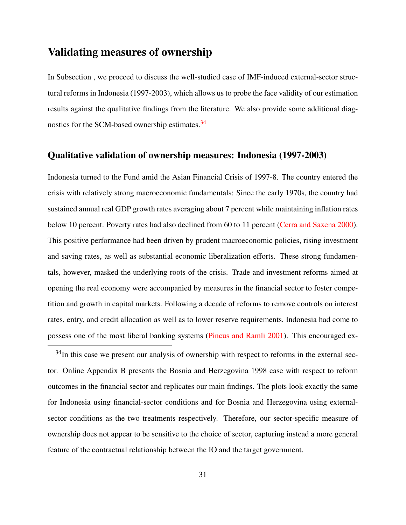## Validating measures of ownership

In Subsection , we proceed to discuss the well-studied case of IMF-induced external-sector structural reforms in Indonesia (1997-2003), which allows us to probe the face validity of our estimation results against the qualitative findings from the literature. We also provide some additional diag-nostics for the SCM-based ownership estimates.<sup>[34](#page-0-0)</sup>

#### Qualitative validation of ownership measures: Indonesia (1997-2003)

Indonesia turned to the Fund amid the Asian Financial Crisis of 1997-8. The country entered the crisis with relatively strong macroeconomic fundamentals: Since the early 1970s, the country had sustained annual real GDP growth rates averaging about 7 percent while maintaining inflation rates below 10 percent. Poverty rates had also declined from 60 to 11 percent [\(Cerra and Saxena](#page-51-9) [2000\)](#page-51-9). This positive performance had been driven by prudent macroeconomic policies, rising investment and saving rates, as well as substantial economic liberalization efforts. These strong fundamentals, however, masked the underlying roots of the crisis. Trade and investment reforms aimed at opening the real economy were accompanied by measures in the financial sector to foster competition and growth in capital markets. Following a decade of reforms to remove controls on interest rates, entry, and credit allocation as well as to lower reserve requirements, Indonesia had come to possess one of the most liberal banking systems [\(Pincus and Ramli](#page-57-9) [2001\)](#page-57-9). This encouraged ex-

<sup>34</sup>In this case we present our analysis of ownership with respect to reforms in the external sector. Online Appendix B presents the Bosnia and Herzegovina 1998 case with respect to reform outcomes in the financial sector and replicates our main findings. The plots look exactly the same for Indonesia using financial-sector conditions and for Bosnia and Herzegovina using externalsector conditions as the two treatments respectively. Therefore, our sector-specific measure of ownership does not appear to be sensitive to the choice of sector, capturing instead a more general feature of the contractual relationship between the IO and the target government.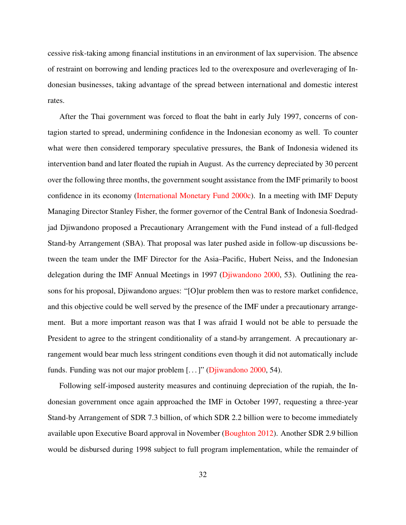cessive risk-taking among financial institutions in an environment of lax supervision. The absence of restraint on borrowing and lending practices led to the overexposure and overleveraging of Indonesian businesses, taking advantage of the spread between international and domestic interest rates.

After the Thai government was forced to float the baht in early July 1997, concerns of contagion started to spread, undermining confidence in the Indonesian economy as well. To counter what were then considered temporary speculative pressures, the Bank of Indonesia widened its intervention band and later floated the rupiah in August. As the currency depreciated by 30 percent over the following three months, the government sought assistance from the IMF primarily to boost confidence in its economy [\(International Monetary Fund](#page-55-8) [2000c\)](#page-55-8). In a meeting with IMF Deputy Managing Director Stanley Fisher, the former governor of the Central Bank of Indonesia Soedradjad Djiwandono proposed a Precautionary Arrangement with the Fund instead of a full-fledged Stand-by Arrangement (SBA). That proposal was later pushed aside in follow-up discussions between the team under the IMF Director for the Asia–Pacific, Hubert Neiss, and the Indonesian delegation during the IMF Annual Meetings in 1997 [\(Djiwandono](#page-52-11) [2000,](#page-52-11) 53). Outlining the reasons for his proposal, Djiwandono argues: "[O]ur problem then was to restore market confidence, and this objective could be well served by the presence of the IMF under a precautionary arrangement. But a more important reason was that I was afraid I would not be able to persuade the President to agree to the stringent conditionality of a stand-by arrangement. A precautionary arrangement would bear much less stringent conditions even though it did not automatically include funds. Funding was not our major problem [...]" [\(Djiwandono](#page-52-11) [2000,](#page-52-11) 54).

Following self-imposed austerity measures and continuing depreciation of the rupiah, the Indonesian government once again approached the IMF in October 1997, requesting a three-year Stand-by Arrangement of SDR 7.3 billion, of which SDR 2.2 billion were to become immediately available upon Executive Board approval in November [\(Boughton](#page-51-10) [2012\)](#page-51-10). Another SDR 2.9 billion would be disbursed during 1998 subject to full program implementation, while the remainder of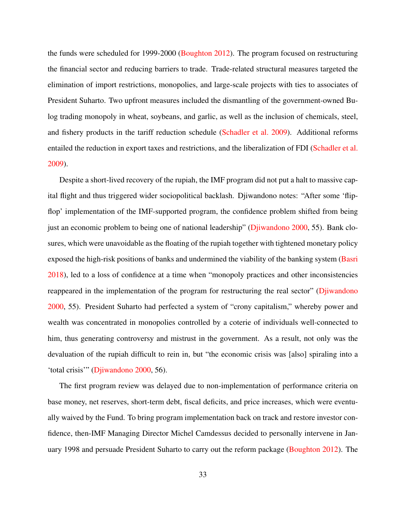the funds were scheduled for 1999-2000 [\(Boughton](#page-51-10) [2012\)](#page-51-10). The program focused on restructuring the financial sector and reducing barriers to trade. Trade-related structural measures targeted the elimination of import restrictions, monopolies, and large-scale projects with ties to associates of President Suharto. Two upfront measures included the dismantling of the government-owned Bulog trading monopoly in wheat, soybeans, and garlic, as well as the inclusion of chemicals, steel, and fishery products in the tariff reduction schedule [\(Schadler et al.](#page-58-9) [2009\)](#page-58-9). Additional reforms entailed the reduction in export taxes and restrictions, and the liberalization of FDI [\(Schadler et al.](#page-58-9) [2009\)](#page-58-9).

Despite a short-lived recovery of the rupiah, the IMF program did not put a halt to massive capital flight and thus triggered wider sociopolitical backlash. Djiwandono notes: "After some 'flipflop' implementation of the IMF-supported program, the confidence problem shifted from being just an economic problem to being one of national leadership" [\(Djiwandono](#page-52-11) [2000,](#page-52-11) 55). Bank closures, which were unavoidable as the floating of the rupiah together with tightened monetary policy exposed the high-risk positions of banks and undermined the viability of the banking system [\(Basri](#page-51-11) [2018\)](#page-51-11), led to a loss of confidence at a time when "monopoly practices and other inconsistencies reappeared in the implementation of the program for restructuring the real sector" [\(Djiwandono](#page-52-11) [2000,](#page-52-11) 55). President Suharto had perfected a system of "crony capitalism," whereby power and wealth was concentrated in monopolies controlled by a coterie of individuals well-connected to him, thus generating controversy and mistrust in the government. As a result, not only was the devaluation of the rupiah difficult to rein in, but "the economic crisis was [also] spiraling into a 'total crisis'" [\(Djiwandono](#page-52-11) [2000,](#page-52-11) 56).

The first program review was delayed due to non-implementation of performance criteria on base money, net reserves, short-term debt, fiscal deficits, and price increases, which were eventually waived by the Fund. To bring program implementation back on track and restore investor confidence, then-IMF Managing Director Michel Camdessus decided to personally intervene in January 1998 and persuade President Suharto to carry out the reform package [\(Boughton](#page-51-10) [2012\)](#page-51-10). The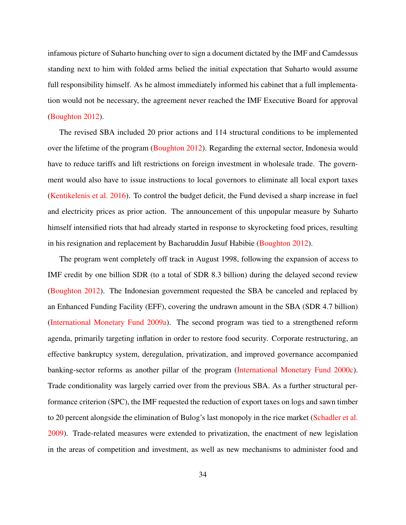infamous picture of Suharto hunching over to sign a document dictated by the IMF and Camdessus standing next to him with folded arms belied the initial expectation that Suharto would assume full responsibility himself. As he almost immediately informed his cabinet that a full implementation would not be necessary, the agreement never reached the IMF Executive Board for approval [\(Boughton](#page-51-10) [2012\)](#page-51-10).

The revised SBA included 20 prior actions and 114 structural conditions to be implemented over the lifetime of the program [\(Boughton](#page-51-10) [2012\)](#page-51-10). Regarding the external sector, Indonesia would have to reduce tariffs and lift restrictions on foreign investment in wholesale trade. The government would also have to issue instructions to local governors to eliminate all local export taxes [\(Kentikelenis et al.](#page-55-6) [2016\)](#page-55-6). To control the budget deficit, the Fund devised a sharp increase in fuel and electricity prices as prior action. The announcement of this unpopular measure by Suharto himself intensified riots that had already started in response to skyrocketing food prices, resulting in his resignation and replacement by Bacharuddin Jusuf Habibie [\(Boughton](#page-51-10) [2012\)](#page-51-10).

The program went completely off track in August 1998, following the expansion of access to IMF credit by one billion SDR (to a total of SDR 8.3 billion) during the delayed second review [\(Boughton](#page-51-10) [2012\)](#page-51-10). The Indonesian government requested the SBA be canceled and replaced by an Enhanced Funding Facility (EFF), covering the undrawn amount in the SBA (SDR 4.7 billion) [\(International Monetary Fund](#page-55-9) [2009a\)](#page-55-9). The second program was tied to a strengthened reform agenda, primarily targeting inflation in order to restore food security. Corporate restructuring, an effective bankruptcy system, deregulation, privatization, and improved governance accompanied banking-sector reforms as another pillar of the program [\(International Monetary Fund](#page-55-8) [2000c\)](#page-55-8). Trade conditionality was largely carried over from the previous SBA. As a further structural performance criterion (SPC), the IMF requested the reduction of export taxes on logs and sawn timber to 20 percent alongside the elimination of Bulog's last monopoly in the rice market [\(Schadler et al.](#page-58-9) [2009\)](#page-58-9). Trade-related measures were extended to privatization, the enactment of new legislation in the areas of competition and investment, as well as new mechanisms to administer food and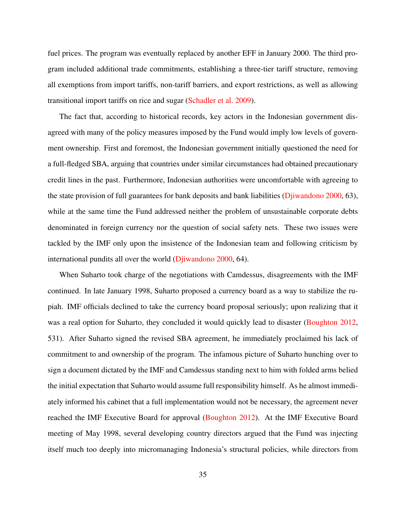fuel prices. The program was eventually replaced by another EFF in January 2000. The third program included additional trade commitments, establishing a three-tier tariff structure, removing all exemptions from import tariffs, non-tariff barriers, and export restrictions, as well as allowing transitional import tariffs on rice and sugar [\(Schadler et al.](#page-58-0) [2009\)](#page-58-0).

The fact that, according to historical records, key actors in the Indonesian government disagreed with many of the policy measures imposed by the Fund would imply low levels of government ownership. First and foremost, the Indonesian government initially questioned the need for a full-fledged SBA, arguing that countries under similar circumstances had obtained precautionary credit lines in the past. Furthermore, Indonesian authorities were uncomfortable with agreeing to the state provision of full guarantees for bank deposits and bank liabilities [\(Djiwandono](#page-52-0) [2000,](#page-52-0) 63), while at the same time the Fund addressed neither the problem of unsustainable corporate debts denominated in foreign currency nor the question of social safety nets. These two issues were tackled by the IMF only upon the insistence of the Indonesian team and following criticism by international pundits all over the world [\(Djiwandono](#page-52-0) [2000,](#page-52-0) 64).

When Suharto took charge of the negotiations with Camdessus, disagreements with the IMF continued. In late January 1998, Suharto proposed a currency board as a way to stabilize the rupiah. IMF officials declined to take the currency board proposal seriously; upon realizing that it was a real option for Suharto, they concluded it would quickly lead to disaster [\(Boughton](#page-51-0) [2012,](#page-51-0) 531). After Suharto signed the revised SBA agreement, he immediately proclaimed his lack of commitment to and ownership of the program. The infamous picture of Suharto hunching over to sign a document dictated by the IMF and Camdessus standing next to him with folded arms belied the initial expectation that Suharto would assume full responsibility himself. As he almost immediately informed his cabinet that a full implementation would not be necessary, the agreement never reached the IMF Executive Board for approval [\(Boughton](#page-51-0) [2012\)](#page-51-0). At the IMF Executive Board meeting of May 1998, several developing country directors argued that the Fund was injecting itself much too deeply into micromanaging Indonesia's structural policies, while directors from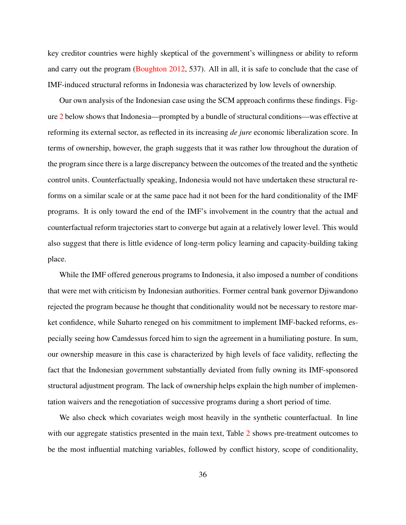key creditor countries were highly skeptical of the government's willingness or ability to reform and carry out the program [\(Boughton](#page-51-0) [2012,](#page-51-0) 537). All in all, it is safe to conclude that the case of IMF-induced structural reforms in Indonesia was characterized by low levels of ownership.

Our own analysis of the Indonesian case using the SCM approach confirms these findings. Figure [2](#page-38-0) below shows that Indonesia—prompted by a bundle of structural conditions—was effective at reforming its external sector, as reflected in its increasing *de jure* economic liberalization score. In terms of ownership, however, the graph suggests that it was rather low throughout the duration of the program since there is a large discrepancy between the outcomes of the treated and the synthetic control units. Counterfactually speaking, Indonesia would not have undertaken these structural reforms on a similar scale or at the same pace had it not been for the hard conditionality of the IMF programs. It is only toward the end of the IMF's involvement in the country that the actual and counterfactual reform trajectories start to converge but again at a relatively lower level. This would also suggest that there is little evidence of long-term policy learning and capacity-building taking place.

While the IMF offered generous programs to Indonesia, it also imposed a number of conditions that were met with criticism by Indonesian authorities. Former central bank governor Djiwandono rejected the program because he thought that conditionality would not be necessary to restore market confidence, while Suharto reneged on his commitment to implement IMF-backed reforms, especially seeing how Camdessus forced him to sign the agreement in a humiliating posture. In sum, our ownership measure in this case is characterized by high levels of face validity, reflecting the fact that the Indonesian government substantially deviated from fully owning its IMF-sponsored structural adjustment program. The lack of ownership helps explain the high number of implementation waivers and the renegotiation of successive programs during a short period of time.

We also check which covariates weigh most heavily in the synthetic counterfactual. In line with our aggregate statistics presented in the main text, Table [2](#page-39-0) shows pre-treatment outcomes to be the most influential matching variables, followed by conflict history, scope of conditionality,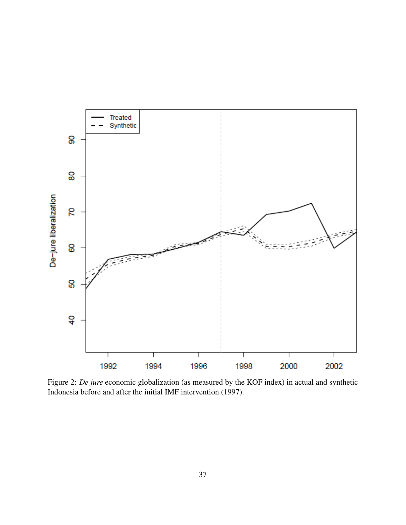<span id="page-38-0"></span>

Figure 2: *De jure* economic globalization (as measured by the KOF index) in actual and synthetic Indonesia before and after the initial IMF intervention (1997).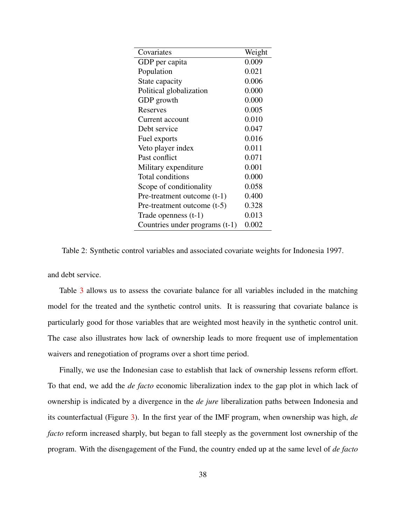<span id="page-39-0"></span>

| 0.009<br>GDP per capita<br>0.021<br>Population<br>0.006<br>State capacity<br>0.000<br>Political globalization<br>0.000<br>GDP growth<br>0.005<br>Reserves<br>0.010<br>Current account<br>0.047<br>Debt service<br>0.016<br>Fuel exports<br>0.011<br>Veto player index |
|-----------------------------------------------------------------------------------------------------------------------------------------------------------------------------------------------------------------------------------------------------------------------|
|                                                                                                                                                                                                                                                                       |
|                                                                                                                                                                                                                                                                       |
|                                                                                                                                                                                                                                                                       |
|                                                                                                                                                                                                                                                                       |
|                                                                                                                                                                                                                                                                       |
|                                                                                                                                                                                                                                                                       |
|                                                                                                                                                                                                                                                                       |
|                                                                                                                                                                                                                                                                       |
|                                                                                                                                                                                                                                                                       |
|                                                                                                                                                                                                                                                                       |
| 0.071<br>Past conflict                                                                                                                                                                                                                                                |
| 0.001<br>Military expenditure                                                                                                                                                                                                                                         |
| Total conditions<br>0.000                                                                                                                                                                                                                                             |
| 0.058<br>Scope of conditionality                                                                                                                                                                                                                                      |
| 0.400<br>Pre-treatment outcome (t-1)                                                                                                                                                                                                                                  |
| 0.328<br>Pre-treatment outcome $(t-5)$                                                                                                                                                                                                                                |
| 0.013<br>Trade openness $(t-1)$                                                                                                                                                                                                                                       |
| 0.002<br>Countries under programs (t-1)                                                                                                                                                                                                                               |

Table 2: Synthetic control variables and associated covariate weights for Indonesia 1997.

and debt service.

Table [3](#page-40-0) allows us to assess the covariate balance for all variables included in the matching model for the treated and the synthetic control units. It is reassuring that covariate balance is particularly good for those variables that are weighted most heavily in the synthetic control unit. The case also illustrates how lack of ownership leads to more frequent use of implementation waivers and renegotiation of programs over a short time period.

Finally, we use the Indonesian case to establish that lack of ownership lessens reform effort. To that end, we add the *de facto* economic liberalization index to the gap plot in which lack of ownership is indicated by a divergence in the *de jure* liberalization paths between Indonesia and its counterfactual (Figure [3\)](#page-41-0). In the first year of the IMF program, when ownership was high, *de facto* reform increased sharply, but began to fall steeply as the government lost ownership of the program. With the disengagement of the Fund, the country ended up at the same level of *de facto*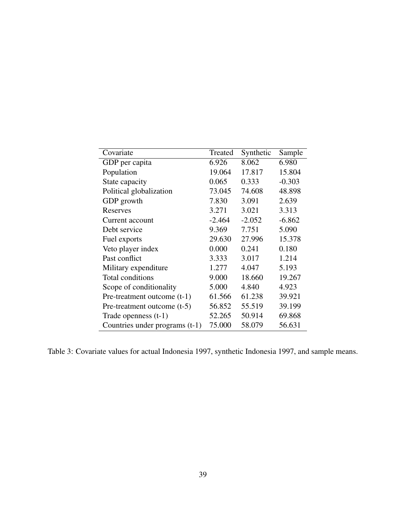<span id="page-40-0"></span>

| Covariate                      | Treated  | Synthetic | Sample   |
|--------------------------------|----------|-----------|----------|
| GDP per capita                 | 6.926    | 8.062     | 6.980    |
| Population                     | 19.064   | 17.817    | 15.804   |
| State capacity                 | 0.065    | 0.333     | $-0.303$ |
| Political globalization        | 73.045   | 74.608    | 48.898   |
| GDP growth                     | 7.830    | 3.091     | 2.639    |
| Reserves                       | 3.271    | 3.021     | 3.313    |
| Current account                | $-2.464$ | $-2.052$  | $-6.862$ |
| Debt service                   | 9.369    | 7.751     | 5.090    |
| Fuel exports                   | 29.630   | 27.996    | 15.378   |
| Veto player index              | 0.000    | 0.241     | 0.180    |
| Past conflict                  | 3.333    | 3.017     | 1.214    |
| Military expenditure           | 1.277    | 4.047     | 5.193    |
| Total conditions               | 9.000    | 18.660    | 19.267   |
| Scope of conditionality        | 5.000    | 4.840     | 4.923    |
| Pre-treatment outcome (t-1)    | 61.566   | 61.238    | 39.921   |
| Pre-treatment outcome $(t-5)$  | 56.852   | 55.519    | 39.199   |
| Trade openness $(t-1)$         | 52.265   | 50.914    | 69.868   |
| Countries under programs (t-1) | 75.000   | 58.079    | 56.631   |

Table 3: Covariate values for actual Indonesia 1997, synthetic Indonesia 1997, and sample means.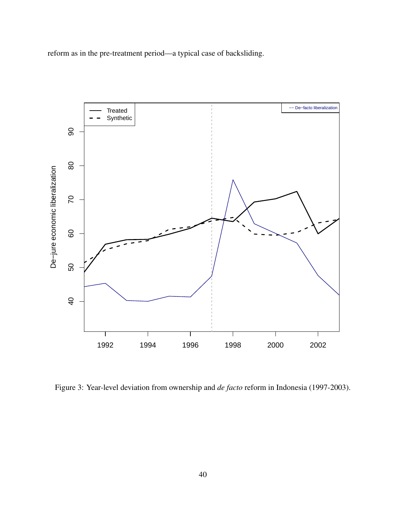<span id="page-41-0"></span>reform as in the pre-treatment period—a typical case of backsliding.



Figure 3: Year-level deviation from ownership and *de facto* reform in Indonesia (1997-2003).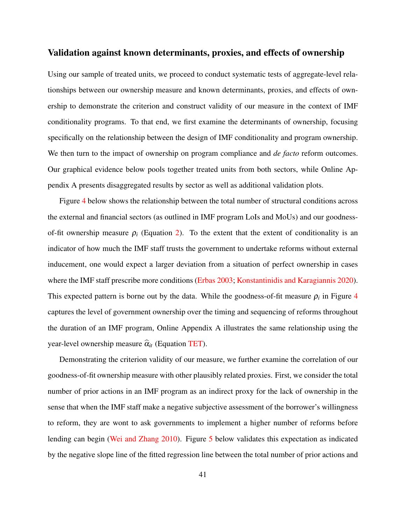#### Validation against known determinants, proxies, and effects of ownership

Using our sample of treated units, we proceed to conduct systematic tests of aggregate-level relationships between our ownership measure and known determinants, proxies, and effects of ownership to demonstrate the criterion and construct validity of our measure in the context of IMF conditionality programs. To that end, we first examine the determinants of ownership, focusing specifically on the relationship between the design of IMF conditionality and program ownership. We then turn to the impact of ownership on program compliance and *de facto* reform outcomes. Our graphical evidence below pools together treated units from both sectors, while Online Appendix A presents disaggregated results by sector as well as additional validation plots.

Figure [4](#page-43-0) below shows the relationship between the total number of structural conditions across the external and financial sectors (as outlined in IMF program LoIs and MoUs) and our goodnessof-fit ownership measure  $\rho_i$  (Equation [2\)](#page-23-0). To the extent that the extent of conditionality is an indicator of how much the IMF staff trusts the government to undertake reforms without external inducement, one would expect a larger deviation from a situation of perfect ownership in cases where the IMF staff prescribe more conditions [\(Erbas](#page-53-0) [2003;](#page-53-0) [Konstantinidis and Karagiannis](#page-56-0) [2020\)](#page-56-0). This expected pattern is borne out by the data. While the goodness-of-fit measure  $\rho_i$  in Figure [4](#page-43-0) captures the level of government ownership over the timing and sequencing of reforms throughout the duration of an IMF program, Online Appendix A illustrates the same relationship using the year-level ownership measure  $\hat{\alpha}_{it}$  (Equation [TET\)](#page-19-0).

Demonstrating the criterion validity of our measure, we further examine the correlation of our goodness-of-fit ownership measure with other plausibly related proxies. First, we consider the total number of prior actions in an IMF program as an indirect proxy for the lack of ownership in the sense that when the IMF staff make a negative subjective assessment of the borrower's willingness to reform, they are wont to ask governments to implement a higher number of reforms before lending can begin [\(Wei and Zhang](#page-59-0) [2010\)](#page-59-0). Figure [5](#page-44-0) below validates this expectation as indicated by the negative slope line of the fitted regression line between the total number of prior actions and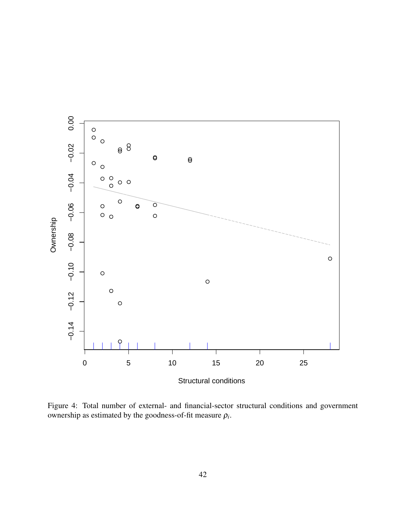<span id="page-43-0"></span>

Figure 4: Total number of external- and financial-sector structural conditions and government ownership as estimated by the goodness-of-fit measure  $\rho_i$ .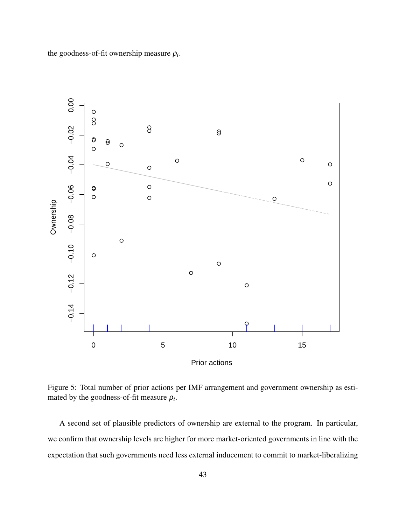<span id="page-44-0"></span>the goodness-of-fit ownership measure  $\rho_i$ .



Figure 5: Total number of prior actions per IMF arrangement and government ownership as estimated by the goodness-of-fit measure  $\rho_i$ .

A second set of plausible predictors of ownership are external to the program. In particular, we confirm that ownership levels are higher for more market-oriented governments in line with the expectation that such governments need less external inducement to commit to market-liberalizing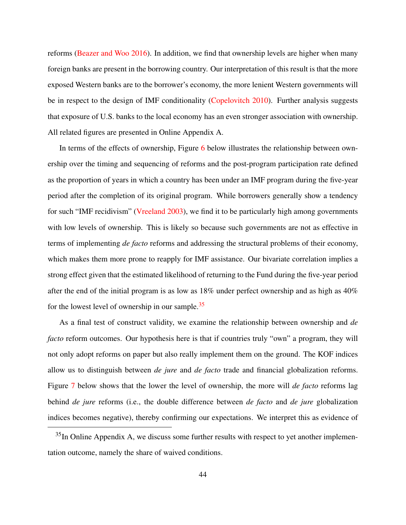reforms [\(Beazer and Woo](#page-51-1) [2016\)](#page-51-1). In addition, we find that ownership levels are higher when many foreign banks are present in the borrowing country. Our interpretation of this result is that the more exposed Western banks are to the borrower's economy, the more lenient Western governments will be in respect to the design of IMF conditionality [\(Copelovitch](#page-52-1) [2010\)](#page-52-1). Further analysis suggests that exposure of U.S. banks to the local economy has an even stronger association with ownership. All related figures are presented in Online Appendix A.

In terms of the effects of ownership, Figure [6](#page-46-0) below illustrates the relationship between ownership over the timing and sequencing of reforms and the post-program participation rate defined as the proportion of years in which a country has been under an IMF program during the five-year period after the completion of its original program. While borrowers generally show a tendency for such "IMF recidivism" [\(Vreeland](#page-59-1) [2003\)](#page-59-1), we find it to be particularly high among governments with low levels of ownership. This is likely so because such governments are not as effective in terms of implementing *de facto* reforms and addressing the structural problems of their economy, which makes them more prone to reapply for IMF assistance. Our bivariate correlation implies a strong effect given that the estimated likelihood of returning to the Fund during the five-year period after the end of the initial program is as low as 18% under perfect ownership and as high as 40% for the lowest level of ownership in our sample. $35$ 

As a final test of construct validity, we examine the relationship between ownership and *de facto* reform outcomes. Our hypothesis here is that if countries truly "own" a program, they will not only adopt reforms on paper but also really implement them on the ground. The KOF indices allow us to distinguish between *de jure* and *de facto* trade and financial globalization reforms. Figure [7](#page-47-0) below shows that the lower the level of ownership, the more will *de facto* reforms lag behind *de jure* reforms (i.e., the double difference between *de facto* and *de jure* globalization indices becomes negative), thereby confirming our expectations. We interpret this as evidence of

<sup>&</sup>lt;sup>35</sup>In Online Appendix A, we discuss some further results with respect to yet another implementation outcome, namely the share of waived conditions.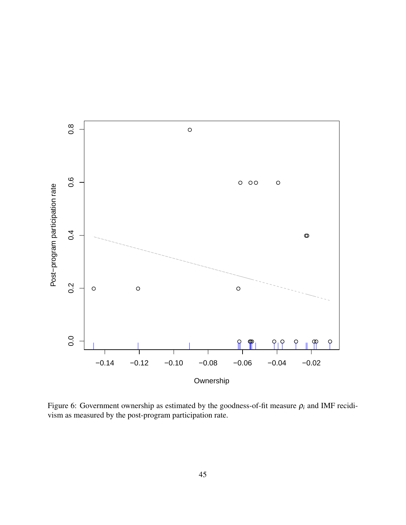<span id="page-46-0"></span>

Figure 6: Government ownership as estimated by the goodness-of-fit measure  $\rho_i$  and IMF recidivism as measured by the post-program participation rate.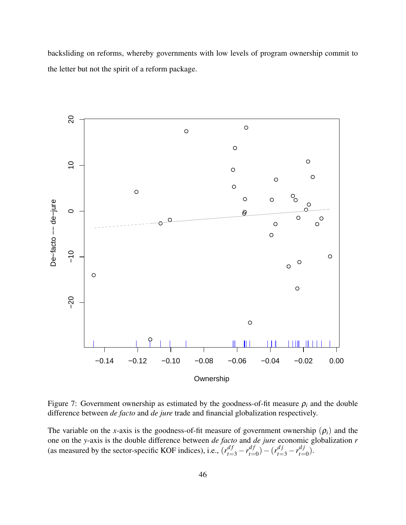backsliding on reforms, whereby governments with low levels of program ownership commit to the letter but not the spirit of a reform package.

<span id="page-47-0"></span>

Figure 7: Government ownership as estimated by the goodness-of-fit measure  $\rho_i$  and the double difference between *de facto* and *de jure* trade and financial globalization respectively.

The variable on the *x*-axis is the goodness-of-fit measure of government ownership  $(\rho_i)$  and the one on the *y*-axis is the double difference between *de facto* and *de jure* economic globalization *r* (as measured by the sector-specific KOF indices), i.e.,  $(r_{t=3}^{df} - r_{t=3}^{df})$  $(r_{t=0}^{df}) - (r_{t=3}^{dj} - r_{t=3}^{dj})$  $\binom{a_j}{t=0}$ .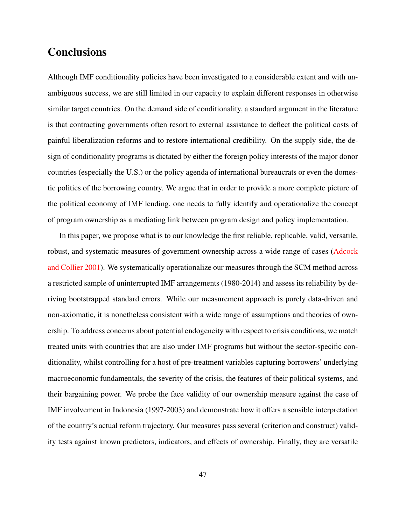#### **Conclusions**

Although IMF conditionality policies have been investigated to a considerable extent and with unambiguous success, we are still limited in our capacity to explain different responses in otherwise similar target countries. On the demand side of conditionality, a standard argument in the literature is that contracting governments often resort to external assistance to deflect the political costs of painful liberalization reforms and to restore international credibility. On the supply side, the design of conditionality programs is dictated by either the foreign policy interests of the major donor countries (especially the U.S.) or the policy agenda of international bureaucrats or even the domestic politics of the borrowing country. We argue that in order to provide a more complete picture of the political economy of IMF lending, one needs to fully identify and operationalize the concept of program ownership as a mediating link between program design and policy implementation.

In this paper, we propose what is to our knowledge the first reliable, replicable, valid, versatile, robust, and systematic measures of government ownership across a wide range of cases [\(Adcock](#page-50-0) [and Collier](#page-50-0) [2001\)](#page-50-0). We systematically operationalize our measures through the SCM method across a restricted sample of uninterrupted IMF arrangements (1980-2014) and assess its reliability by deriving bootstrapped standard errors. While our measurement approach is purely data-driven and non-axiomatic, it is nonetheless consistent with a wide range of assumptions and theories of ownership. To address concerns about potential endogeneity with respect to crisis conditions, we match treated units with countries that are also under IMF programs but without the sector-specific conditionality, whilst controlling for a host of pre-treatment variables capturing borrowers' underlying macroeconomic fundamentals, the severity of the crisis, the features of their political systems, and their bargaining power. We probe the face validity of our ownership measure against the case of IMF involvement in Indonesia (1997-2003) and demonstrate how it offers a sensible interpretation of the country's actual reform trajectory. Our measures pass several (criterion and construct) validity tests against known predictors, indicators, and effects of ownership. Finally, they are versatile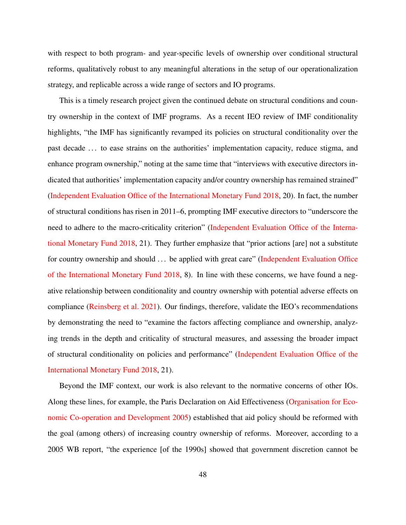with respect to both program- and year-specific levels of ownership over conditional structural reforms, qualitatively robust to any meaningful alterations in the setup of our operationalization strategy, and replicable across a wide range of sectors and IO programs.

This is a timely research project given the continued debate on structural conditions and country ownership in the context of IMF programs. As a recent IEO review of IMF conditionality highlights, "the IMF has significantly revamped its policies on structural conditionality over the past decade . . . to ease strains on the authorities' implementation capacity, reduce stigma, and enhance program ownership," noting at the same time that "interviews with executive directors indicated that authorities' implementation capacity and/or country ownership has remained strained" [\(Independent Evaluation Office of the International Monetary Fund](#page-54-0) [2018,](#page-54-0) 20). In fact, the number of structural conditions has risen in 2011–6, prompting IMF executive directors to "underscore the need to adhere to the macro-criticality criterion" [\(Independent Evaluation Office of the Interna](#page-54-0)[tional Monetary Fund](#page-54-0) [2018,](#page-54-0) 21). They further emphasize that "prior actions [are] not a substitute for country ownership and should ... be applied with great care" [\(Independent Evaluation Office](#page-54-0) [of the International Monetary Fund](#page-54-0) [2018,](#page-54-0) 8). In line with these concerns, we have found a negative relationship between conditionality and country ownership with potential adverse effects on compliance [\(Reinsberg et al.](#page-58-1) [2021\)](#page-58-1). Our findings, therefore, validate the IEO's recommendations by demonstrating the need to "examine the factors affecting compliance and ownership, analyzing trends in the depth and criticality of structural measures, and assessing the broader impact of structural conditionality on policies and performance" [\(Independent Evaluation Office of the](#page-54-0) [International Monetary Fund](#page-54-0) [2018,](#page-54-0) 21).

Beyond the IMF context, our work is also relevant to the normative concerns of other IOs. Along these lines, for example, the Paris Declaration on Aid Effectiveness [\(Organisation for Eco](#page-57-0)[nomic Co-operation and Development](#page-57-0) [2005\)](#page-57-0) established that aid policy should be reformed with the goal (among others) of increasing country ownership of reforms. Moreover, according to a 2005 WB report, "the experience [of the 1990s] showed that government discretion cannot be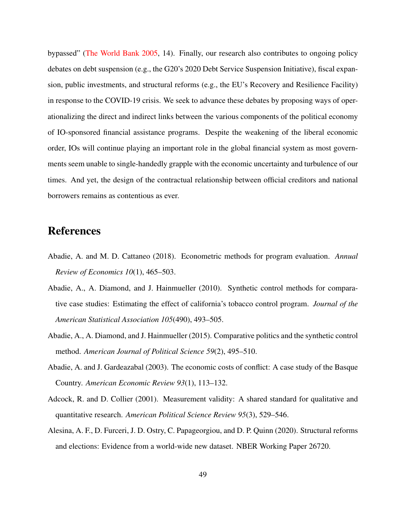bypassed" [\(The World Bank](#page-59-2) [2005,](#page-59-2) 14). Finally, our research also contributes to ongoing policy debates on debt suspension (e.g., the G20's 2020 Debt Service Suspension Initiative), fiscal expansion, public investments, and structural reforms (e.g., the EU's Recovery and Resilience Facility) in response to the COVID-19 crisis. We seek to advance these debates by proposing ways of operationalizing the direct and indirect links between the various components of the political economy of IO-sponsored financial assistance programs. Despite the weakening of the liberal economic order, IOs will continue playing an important role in the global financial system as most governments seem unable to single-handedly grapple with the economic uncertainty and turbulence of our times. And yet, the design of the contractual relationship between official creditors and national borrowers remains as contentious as ever.

### References

- Abadie, A. and M. D. Cattaneo (2018). Econometric methods for program evaluation. *Annual Review of Economics 10*(1), 465–503.
- Abadie, A., A. Diamond, and J. Hainmueller (2010). Synthetic control methods for comparative case studies: Estimating the effect of california's tobacco control program. *Journal of the American Statistical Association 105*(490), 493–505.
- Abadie, A., A. Diamond, and J. Hainmueller (2015). Comparative politics and the synthetic control method. *American Journal of Political Science 59*(2), 495–510.
- Abadie, A. and J. Gardeazabal (2003). The economic costs of conflict: A case study of the Basque Country. *American Economic Review 93*(1), 113–132.
- <span id="page-50-0"></span>Adcock, R. and D. Collier (2001). Measurement validity: A shared standard for qualitative and quantitative research. *American Political Science Review 95*(3), 529–546.
- <span id="page-50-1"></span>Alesina, A. F., D. Furceri, J. D. Ostry, C. Papageorgiou, and D. P. Quinn (2020). Structural reforms and elections: Evidence from a world-wide new dataset. NBER Working Paper 26720.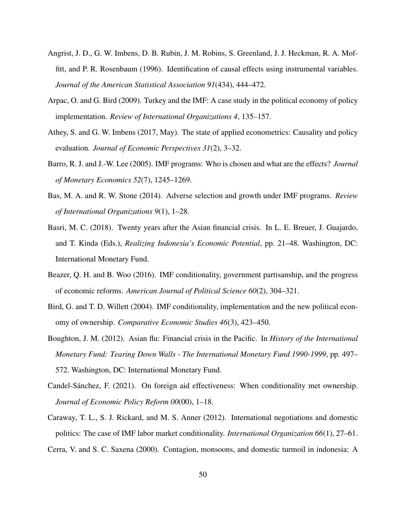- Angrist, J. D., G. W. Imbens, D. B. Rubin, J. M. Robins, S. Greenland, J. J. Heckman, R. A. Moffitt, and P. R. Rosenbaum (1996). Identification of causal effects using instrumental variables. *Journal of the American Statistical Association 91*(434), 444–472.
- Arpac, O. and G. Bird (2009). Turkey and the IMF: A case study in the political economy of policy implementation. *Review of International Organizations 4*, 135–157.
- Athey, S. and G. W. Imbens (2017, May). The state of applied econometrics: Causality and policy evaluation. *Journal of Economic Perspectives 31*(2), 3–32.
- Barro, R. J. and J.-W. Lee (2005). IMF programs: Who is chosen and what are the effects? *Journal of Monetary Economics 52*(7), 1245–1269.
- Bas, M. A. and R. W. Stone (2014). Adverse selection and growth under IMF programs. *Review of International Organizations 9*(1), 1–28.
- Basri, M. C. (2018). Twenty years after the Asian financial crisis. In L. E. Breuer, J. Guajardo, and T. Kinda (Eds.), *Realizing Indonesia's Economic Potential*, pp. 21–48. Washington, DC: International Monetary Fund.
- <span id="page-51-1"></span>Beazer, Q. H. and B. Woo (2016). IMF conditionality, government partisanship, and the progress of economic reforms. *American Journal of Political Science 60*(2), 304–321.
- Bird, G. and T. D. Willett (2004). IMF conditionality, implementation and the new political economy of ownership. *Comparative Economic Studies 46*(3), 423–450.
- <span id="page-51-0"></span>Boughton, J. M. (2012). Asian flu: Financial crisis in the Pacific. In *History of the International Monetary Fund: Tearing Down Walls - The International Monetary Fund 1990-1999*, pp. 497– 572. Washington, DC: International Monetary Fund.
- Candel-Sanchez, F. (2021). On foreign aid effectiveness: When conditionality met ownership. ´ *Journal of Economic Policy Reform 00*(00), 1–18.
- Caraway, T. L., S. J. Rickard, and M. S. Anner (2012). International negotiations and domestic politics: The case of IMF labor market conditionality. *International Organization 66*(1), 27–61.
- Cerra, V. and S. C. Saxena (2000). Contagion, monsoons, and domestic turmoil in indonesia: A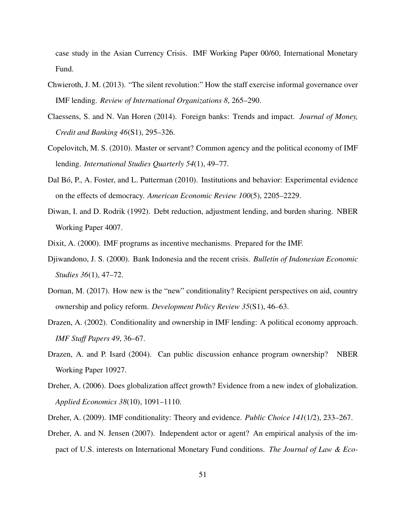case study in the Asian Currency Crisis. IMF Working Paper 00/60, International Monetary Fund.

- Chwieroth, J. M. (2013). "The silent revolution:" How the staff exercise informal governance over IMF lending. *Review of International Organizations 8*, 265–290.
- <span id="page-52-2"></span>Claessens, S. and N. Van Horen (2014). Foreign banks: Trends and impact. *Journal of Money, Credit and Banking 46*(S1), 295–326.
- <span id="page-52-1"></span>Copelovitch, M. S. (2010). Master or servant? Common agency and the political economy of IMF lending. *International Studies Quarterly 54*(1), 49–77.
- Dal Bó, P., A. Foster, and L. Putterman (2010). Institutions and behavior: Experimental evidence on the effects of democracy. *American Economic Review 100*(5), 2205–2229.
- Diwan, I. and D. Rodrik (1992). Debt reduction, adjustment lending, and burden sharing. NBER Working Paper 4007.
- <span id="page-52-0"></span>Dixit, A. (2000). IMF programs as incentive mechanisms. Prepared for the IMF.
- Djiwandono, J. S. (2000). Bank Indonesia and the recent crisis. *Bulletin of Indonesian Economic Studies 36*(1), 47–72.
- Dornan, M. (2017). How new is the "new" conditionality? Recipient perspectives on aid, country ownership and policy reform. *Development Policy Review 35*(S1), 46–63.
- Drazen, A. (2002). Conditionality and ownership in IMF lending: A political economy approach. *IMF Staff Papers 49*, 36–67.
- Drazen, A. and P. Isard (2004). Can public discussion enhance program ownership? NBER Working Paper 10927.
- Dreher, A. (2006). Does globalization affect growth? Evidence from a new index of globalization. *Applied Economics 38*(10), 1091–1110.
- Dreher, A. (2009). IMF conditionality: Theory and evidence. *Public Choice 141*(1/2), 233–267.
- Dreher, A. and N. Jensen (2007). Independent actor or agent? An empirical analysis of the impact of U.S. interests on International Monetary Fund conditions. *The Journal of Law & Eco-*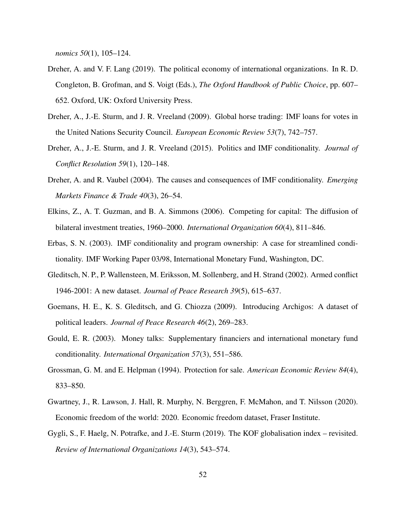*nomics 50*(1), 105–124.

- Dreher, A. and V. F. Lang (2019). The political economy of international organizations. In R. D. Congleton, B. Grofman, and S. Voigt (Eds.), *The Oxford Handbook of Public Choice*, pp. 607– 652. Oxford, UK: Oxford University Press.
- Dreher, A., J.-E. Sturm, and J. R. Vreeland (2009). Global horse trading: IMF loans for votes in the United Nations Security Council. *European Economic Review 53*(7), 742–757.
- Dreher, A., J.-E. Sturm, and J. R. Vreeland (2015). Politics and IMF conditionality. *Journal of Conflict Resolution 59*(1), 120–148.
- Dreher, A. and R. Vaubel (2004). The causes and consequences of IMF conditionality. *Emerging Markets Finance & Trade 40*(3), 26–54.
- <span id="page-53-2"></span>Elkins, Z., A. T. Guzman, and B. A. Simmons (2006). Competing for capital: The diffusion of bilateral investment treaties, 1960–2000. *International Organization 60*(4), 811–846.
- <span id="page-53-0"></span>Erbas, S. N. (2003). IMF conditionality and program ownership: A case for streamlined conditionality. IMF Working Paper 03/98, International Monetary Fund, Washington, DC.
- Gleditsch, N. P., P. Wallensteen, M. Eriksson, M. Sollenberg, and H. Strand (2002). Armed conflict 1946-2001: A new dataset. *Journal of Peace Research 39*(5), 615–637.
- <span id="page-53-3"></span>Goemans, H. E., K. S. Gleditsch, and G. Chiozza (2009). Introducing Archigos: A dataset of political leaders. *Journal of Peace Research 46*(2), 269–283.
- Gould, E. R. (2003). Money talks: Supplementary financiers and international monetary fund conditionality. *International Organization 57*(3), 551–586.
- Grossman, G. M. and E. Helpman (1994). Protection for sale. *American Economic Review 84*(4), 833–850.
- <span id="page-53-1"></span>Gwartney, J., R. Lawson, J. Hall, R. Murphy, N. Berggren, F. McMahon, and T. Nilsson (2020). Economic freedom of the world: 2020. Economic freedom dataset, Fraser Institute.
- Gygli, S., F. Haelg, N. Potrafke, and J.-E. Sturm (2019). The KOF globalisation index revisited. *Review of International Organizations 14*(3), 543–574.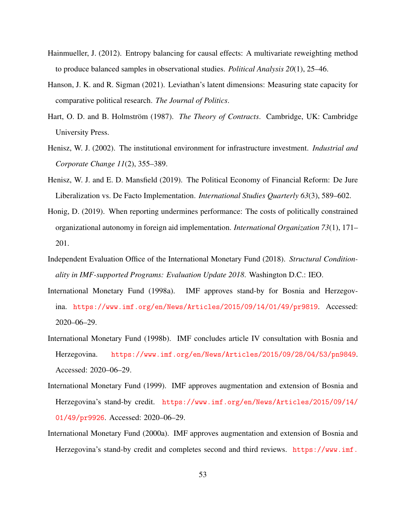- Hainmueller, J. (2012). Entropy balancing for causal effects: A multivariate reweighting method to produce balanced samples in observational studies. *Political Analysis 20*(1), 25–46.
- Hanson, J. K. and R. Sigman (2021). Leviathan's latent dimensions: Measuring state capacity for comparative political research. *The Journal of Politics*.
- Hart, O. D. and B. Holmström (1987). *The Theory of Contracts*. Cambridge, UK: Cambridge University Press.
- Henisz, W. J. (2002). The institutional environment for infrastructure investment. *Industrial and Corporate Change 11*(2), 355–389.
- Henisz, W. J. and E. D. Mansfield (2019). The Political Economy of Financial Reform: De Jure Liberalization vs. De Facto Implementation. *International Studies Quarterly 63*(3), 589–602.
- Honig, D. (2019). When reporting undermines performance: The costs of politically constrained organizational autonomy in foreign aid implementation. *International Organization 73*(1), 171– 201.
- <span id="page-54-0"></span>Independent Evaluation Office of the International Monetary Fund (2018). *Structural Conditionality in IMF-supported Programs: Evaluation Update 2018*. Washington D.C.: IEO.
- <span id="page-54-2"></span>International Monetary Fund (1998a). IMF approves stand-by for Bosnia and Herzegovina. <https://www.imf.org/en/News/Articles/2015/09/14/01/49/pr9819>. Accessed: 2020–06–29.
- <span id="page-54-1"></span>International Monetary Fund (1998b). IMF concludes article IV consultation with Bosnia and Herzegovina. <https://www.imf.org/en/News/Articles/2015/09/28/04/53/pn9849>. Accessed: 2020–06–29.
- <span id="page-54-3"></span>International Monetary Fund (1999). IMF approves augmentation and extension of Bosnia and Herzegovina's stand-by credit. [https://www.imf.org/en/News/Articles/2015/09/14/](https://www.imf.org/en/News/Articles/2015/09/14/01/49/pr9926) [01/49/pr9926](https://www.imf.org/en/News/Articles/2015/09/14/01/49/pr9926). Accessed: 2020–06–29.
- <span id="page-54-4"></span>International Monetary Fund (2000a). IMF approves augmentation and extension of Bosnia and Herzegovina's stand-by credit and completes second and third reviews. [https://www.imf.](https://www.imf.org/en/News/Articles/2015/09/14/01/49/pr0024)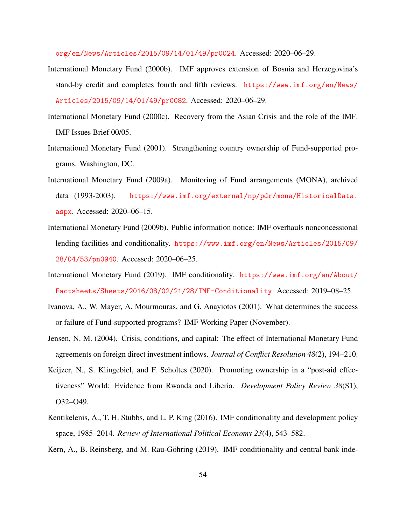[org/en/News/Articles/2015/09/14/01/49/pr0024](https://www.imf.org/en/News/Articles/2015/09/14/01/49/pr0024). Accessed: 2020–06–29.

- <span id="page-55-2"></span>International Monetary Fund (2000b). IMF approves extension of Bosnia and Herzegovina's stand-by credit and completes fourth and fifth reviews. [https://www.imf.org/en/News/](https://www.imf.org/en/News/Articles/2015/09/14/01/49/pr0082) [Articles/2015/09/14/01/49/pr0082](https://www.imf.org/en/News/Articles/2015/09/14/01/49/pr0082). Accessed: 2020–06–29.
- <span id="page-55-0"></span>International Monetary Fund (2000c). Recovery from the Asian Crisis and the role of the IMF. IMF Issues Brief 00/05.
- International Monetary Fund (2001). Strengthening country ownership of Fund-supported programs. Washington, DC.
- International Monetary Fund (2009a). Monitoring of Fund arrangements (MONA), archived data (1993-2003). [https://www.imf.org/external/np/pdr/mona/HistoricalData.](https://www.imf.org/external/np/pdr/mona/HistoricalData.aspx) [aspx](https://www.imf.org/external/np/pdr/mona/HistoricalData.aspx). Accessed: 2020–06–15.
- International Monetary Fund (2009b). Public information notice: IMF overhauls nonconcessional lending facilities and conditionality. [https://www.imf.org/en/News/Articles/2015/09/](https://www.imf.org/en/News/Articles/2015/09/28/04/53/pn0940) [28/04/53/pn0940](https://www.imf.org/en/News/Articles/2015/09/28/04/53/pn0940). Accessed: 2020–06–25.
- International Monetary Fund (2019). IMF conditionality. [https://www.imf.org/en/About/](https://www.imf.org/en/About/Factsheets/Sheets/2016/08/02/21/28/IMF-Conditionality) [Factsheets/Sheets/2016/08/02/21/28/IMF-Conditionality](https://www.imf.org/en/About/Factsheets/Sheets/2016/08/02/21/28/IMF-Conditionality). Accessed: 2019–08–25.
- Ivanova, A., W. Mayer, A. Mourmouras, and G. Anayiotos (2001). What determines the success or failure of Fund-supported programs? IMF Working Paper (November).
- Jensen, N. M. (2004). Crisis, conditions, and capital: The effect of International Monetary Fund agreements on foreign direct investment inflows. *Journal of Conflict Resolution 48*(2), 194–210.
- Keijzer, N., S. Klingebiel, and F. Scholtes (2020). Promoting ownership in a "post-aid effectiveness" World: Evidence from Rwanda and Liberia. *Development Policy Review 38*(S1), O32–O49.
- <span id="page-55-1"></span>Kentikelenis, A., T. H. Stubbs, and L. P. King (2016). IMF conditionality and development policy space, 1985–2014. *Review of International Political Economy 23*(4), 543–582.
- Kern, A., B. Reinsberg, and M. Rau-Göhring (2019). IMF conditionality and central bank inde-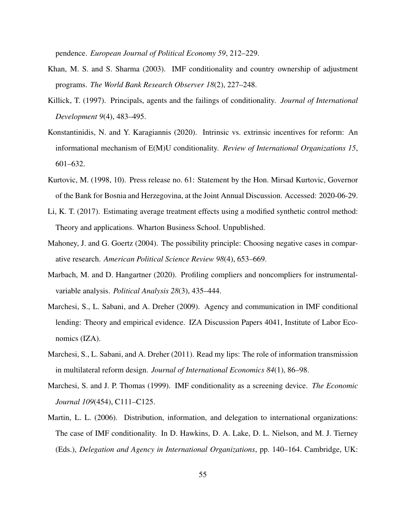pendence. *European Journal of Political Economy 59*, 212–229.

- Khan, M. S. and S. Sharma (2003). IMF conditionality and country ownership of adjustment programs. *The World Bank Research Observer 18*(2), 227–248.
- Killick, T. (1997). Principals, agents and the failings of conditionality. *Journal of International Development 9*(4), 483–495.
- <span id="page-56-0"></span>Konstantinidis, N. and Y. Karagiannis (2020). Intrinsic vs. extrinsic incentives for reform: An informational mechanism of E(M)U conditionality. *Review of International Organizations 15*, 601–632.
- <span id="page-56-1"></span>Kurtovic, M. (1998, 10). Press release no. 61: Statement by the Hon. Mirsad Kurtovic, Governor of the Bank for Bosnia and Herzegovina, at the Joint Annual Discussion. Accessed: 2020-06-29.
- Li, K. T. (2017). Estimating average treatment effects using a modified synthetic control method: Theory and applications. Wharton Business School. Unpublished.
- Mahoney, J. and G. Goertz (2004). The possibility principle: Choosing negative cases in comparative research. *American Political Science Review 98*(4), 653–669.
- Marbach, M. and D. Hangartner (2020). Profiling compliers and noncompliers for instrumentalvariable analysis. *Political Analysis 28*(3), 435–444.
- Marchesi, S., L. Sabani, and A. Dreher (2009). Agency and communication in IMF conditional lending: Theory and empirical evidence. IZA Discussion Papers 4041, Institute of Labor Economics (IZA).
- Marchesi, S., L. Sabani, and A. Dreher (2011). Read my lips: The role of information transmission in multilateral reform design. *Journal of International Economics 84*(1), 86–98.
- Marchesi, S. and J. P. Thomas (1999). IMF conditionality as a screening device. *The Economic Journal 109*(454), C111–C125.
- Martin, L. L. (2006). Distribution, information, and delegation to international organizations: The case of IMF conditionality. In D. Hawkins, D. A. Lake, D. L. Nielson, and M. J. Tierney (Eds.), *Delegation and Agency in International Organizations*, pp. 140–164. Cambridge, UK: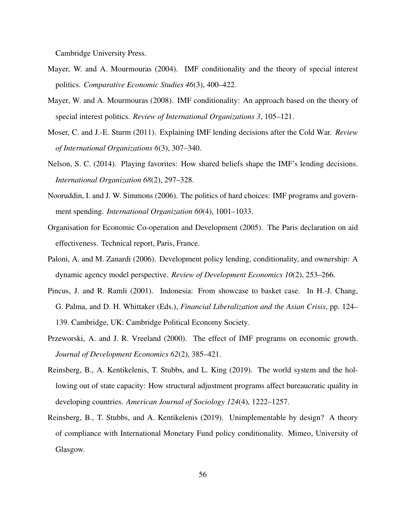Cambridge University Press.

- Mayer, W. and A. Mourmouras (2004). IMF conditionality and the theory of special interest politics. *Comparative Economic Studies 46*(3), 400–422.
- Mayer, W. and A. Mourmouras (2008). IMF conditionality: An approach based on the theory of special interest politics. *Review of International Organizations 3*, 105–121.
- Moser, C. and J.-E. Sturm (2011). Explaining IMF lending decisions after the Cold War. *Review of International Organizations 6*(3), 307–340.
- Nelson, S. C. (2014). Playing favorites: How shared beliefs shape the IMF's lending decisions. *International Organization 68*(2), 297–328.
- Nooruddin, I. and J. W. Simmons (2006). The politics of hard choices: IMF programs and government spending. *International Organization 60*(4), 1001–1033.
- <span id="page-57-0"></span>Organisation for Economic Co-operation and Development (2005). The Paris declaration on aid effectiveness. Technical report, Paris, France.
- Paloni, A. and M. Zanardi (2006). Development policy lending, conditionality, and ownership: A dynamic agency model perspective. *Review of Development Economics 10*(2), 253–266.
- Pincus, J. and R. Ramli (2001). Indonesia: From showcase to basket case. In H.-J. Chang, G. Palma, and D. H. Whittaker (Eds.), *Financial Liberalization and the Asian Crisis*, pp. 124– 139. Cambridge, UK: Cambridge Political Economy Society.
- Przeworski, A. and J. R. Vreeland (2000). The effect of IMF programs on economic growth. *Journal of Development Economics 62*(2), 385–421.
- Reinsberg, B., A. Kentikelenis, T. Stubbs, and L. King (2019). The world system and the hollowing out of state capacity: How structural adjustment programs affect bureaucratic quality in developing countries. *American Journal of Sociology 124*(4), 1222–1257.
- Reinsberg, B., T. Stubbs, and A. Kentikelenis (2019). Unimplementable by design? A theory of compliance with International Monetary Fund policy conditionality. Mimeo, University of Glasgow.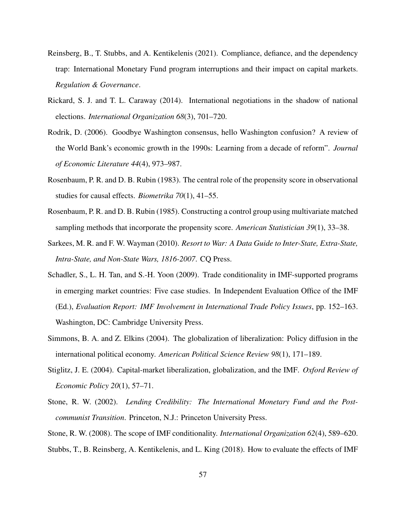- <span id="page-58-1"></span>Reinsberg, B., T. Stubbs, and A. Kentikelenis (2021). Compliance, defiance, and the dependency trap: International Monetary Fund program interruptions and their impact on capital markets. *Regulation & Governance*.
- Rickard, S. J. and T. L. Caraway (2014). International negotiations in the shadow of national elections. *International Organization 68*(3), 701–720.
- Rodrik, D. (2006). Goodbye Washington consensus, hello Washington confusion? A review of the World Bank's economic growth in the 1990s: Learning from a decade of reform". *Journal of Economic Literature 44*(4), 973–987.
- Rosenbaum, P. R. and D. B. Rubin (1983). The central role of the propensity score in observational studies for causal effects. *Biometrika 70*(1), 41–55.
- Rosenbaum, P. R. and D. B. Rubin (1985). Constructing a control group using multivariate matched sampling methods that incorporate the propensity score. *American Statistician 39*(1), 33–38.
- Sarkees, M. R. and F. W. Wayman (2010). *Resort to War: A Data Guide to Inter-State, Extra-State, Intra-State, and Non-State Wars, 1816-2007*. CQ Press.
- <span id="page-58-0"></span>Schadler, S., L. H. Tan, and S.-H. Yoon (2009). Trade conditionality in IMF-supported programs in emerging market countries: Five case studies. In Independent Evaluation Office of the IMF (Ed.), *Evaluation Report: IMF Involvement in International Trade Policy Issues*, pp. 152–163. Washington, DC: Cambridge University Press.
- <span id="page-58-2"></span>Simmons, B. A. and Z. Elkins (2004). The globalization of liberalization: Policy diffusion in the international political economy. *American Political Science Review 98*(1), 171–189.
- Stiglitz, J. E. (2004). Capital-market liberalization, globalization, and the IMF. *Oxford Review of Economic Policy 20*(1), 57–71.
- Stone, R. W. (2002). *Lending Credibility: The International Monetary Fund and the Postcommunist Transition*. Princeton, N.J.: Princeton University Press.
- Stone, R. W. (2008). The scope of IMF conditionality. *International Organization 62*(4), 589–620. Stubbs, T., B. Reinsberg, A. Kentikelenis, and L. King (2018). How to evaluate the effects of IMF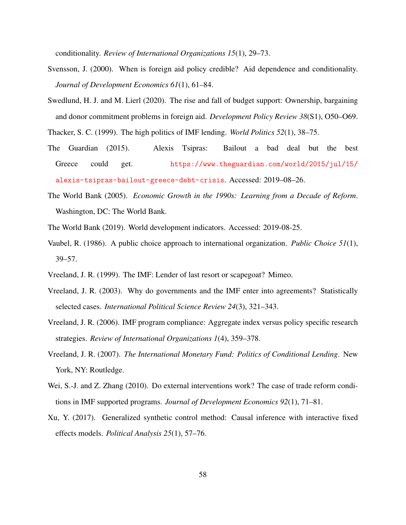conditionality. *Review of International Organizations 15*(1), 29–73.

- Svensson, J. (2000). When is foreign aid policy credible? Aid dependence and conditionality. *Journal of Development Economics 61*(1), 61–84.
- Swedlund, H. J. and M. Lierl (2020). The rise and fall of budget support: Ownership, bargaining and donor commitment problems in foreign aid. *Development Policy Review 38*(S1), O50–O69.
- Thacker, S. C. (1999). The high politics of IMF lending. *World Politics 52*(1), 38–75.
- The Guardian (2015). Alexis Tsipras: Bailout a bad deal but the best Greece could get. [https://www.theguardian.com/world/2015/jul/15/](https://www.theguardian.com/world/2015/jul/15/alexis-tsipras-bailout-greece-debt-crisis) [alexis-tsipras-bailout-greece-debt-crisis](https://www.theguardian.com/world/2015/jul/15/alexis-tsipras-bailout-greece-debt-crisis). Accessed: 2019–08–26.
- <span id="page-59-2"></span>The World Bank (2005). *Economic Growth in the 1990s: Learning from a Decade of Reform*. Washington, DC: The World Bank.
- The World Bank (2019). World development indicators. Accessed: 2019-08-25.
- Vaubel, R. (1986). A public choice approach to international organization. *Public Choice 51*(1), 39–57.
- <span id="page-59-1"></span>Vreeland, J. R. (1999). The IMF: Lender of last resort or scapegoat? Mimeo.
- Vreeland, J. R. (2003). Why do governments and the IMF enter into agreements? Statistically selected cases. *International Political Science Review 24*(3), 321–343.
- Vreeland, J. R. (2006). IMF program compliance: Aggregate index versus policy specific research strategies. *Review of International Organizations 1*(4), 359–378.
- Vreeland, J. R. (2007). *The International Monetary Fund: Politics of Conditional Lending*. New York, NY: Routledge.
- <span id="page-59-0"></span>Wei, S.-J. and Z. Zhang (2010). Do external interventions work? The case of trade reform conditions in IMF supported programs. *Journal of Development Economics 92*(1), 71–81.
- Xu, Y. (2017). Generalized synthetic control method: Causal inference with interactive fixed effects models. *Political Analysis 25*(1), 57–76.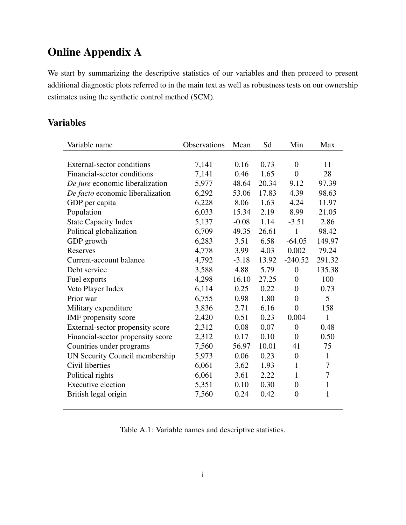# Online Appendix A

We start by summarizing the descriptive statistics of our variables and then proceed to present additional diagnostic plots referred to in the main text as well as robustness tests on our ownership estimates using the synthetic control method (SCM).

### Variables

| Variable name                     | Observations | Mean    | Sd    | Min              | Max            |
|-----------------------------------|--------------|---------|-------|------------------|----------------|
|                                   |              |         |       |                  |                |
| External-sector conditions        | 7,141        | 0.16    | 0.73  | $\overline{0}$   | 11             |
| Financial-sector conditions       | 7,141        | 0.46    | 1.65  | $\boldsymbol{0}$ | 28             |
| De jure economic liberalization   | 5,977        | 48.64   | 20.34 | 9.12             | 97.39          |
| De facto economic liberalization  | 6,292        | 53.06   | 17.83 | 4.39             | 98.63          |
| GDP per capita                    | 6,228        | 8.06    | 1.63  | 4.24             | 11.97          |
| Population                        | 6,033        | 15.34   | 2.19  | 8.99             | 21.05          |
| <b>State Capacity Index</b>       | 5,137        | $-0.08$ | 1.14  | $-3.51$          | 2.86           |
| Political globalization           | 6,709        | 49.35   | 26.61 | 1                | 98.42          |
| GDP growth                        | 6,283        | 3.51    | 6.58  | $-64.05$         | 149.97         |
| Reserves                          | 4,778        | 3.99    | 4.03  | 0.002            | 79.24          |
| Current-account balance           | 4,792        | $-3.18$ | 13.92 | $-240.52$        | 291.32         |
| Debt service                      | 3,588        | 4.88    | 5.79  | $\overline{0}$   | 135.38         |
| Fuel exports                      | 4,298        | 16.10   | 27.25 | $\boldsymbol{0}$ | 100            |
| Veto Player Index                 | 6,114        | 0.25    | 0.22  | $\boldsymbol{0}$ | 0.73           |
| Prior war                         | 6,755        | 0.98    | 1.80  | $\overline{0}$   | 5 <sup>5</sup> |
| Military expenditure              | 3,836        | 2.71    | 6.16  | $\overline{0}$   | 158            |
| IMF propensity score              | 2,420        | 0.51    | 0.23  | 0.004            | $\mathbf{1}$   |
| External-sector propensity score  | 2,312        | 0.08    | 0.07  | $\mathbf{0}$     | 0.48           |
| Financial-sector propensity score | 2,312        | 0.17    | 0.10  | $\overline{0}$   | 0.50           |
| Countries under programs          | 7,560        | 56.97   | 10.01 | 41               | 75             |
| UN Security Council membership    | 5,973        | 0.06    | 0.23  | $\overline{0}$   | 1              |
| Civil liberties                   | 6,061        | 3.62    | 1.93  | 1                | 7              |
| Political rights                  | 6,061        | 3.61    | 2.22  | $\mathbf{1}$     | 7              |
| <b>Executive election</b>         | 5,351        | 0.10    | 0.30  | $\boldsymbol{0}$ | $\mathbf{1}$   |
| British legal origin              | 7,560        | 0.24    | 0.42  | $\overline{0}$   | $\mathbf{1}$   |

Table A.1: Variable names and descriptive statistics.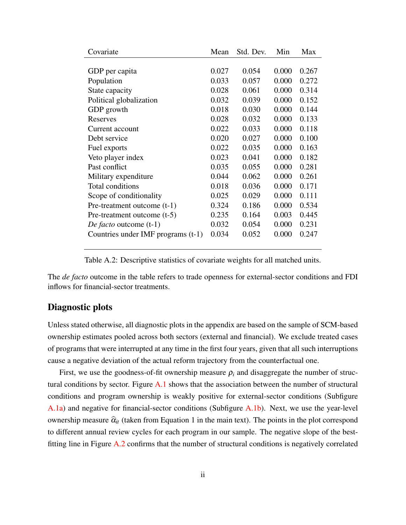| Covariate                          | Mean  | Std. Dev. | Min   | Max   |
|------------------------------------|-------|-----------|-------|-------|
|                                    |       |           |       |       |
| GDP per capita                     | 0.027 | 0.054     | 0.000 | 0.267 |
| Population                         | 0.033 | 0.057     | 0.000 | 0.272 |
| State capacity                     | 0.028 | 0.061     | 0.000 | 0.314 |
| Political globalization            | 0.032 | 0.039     | 0.000 | 0.152 |
| GDP growth                         | 0.018 | 0.030     | 0.000 | 0.144 |
| Reserves                           | 0.028 | 0.032     | 0.000 | 0.133 |
| Current account                    | 0.022 | 0.033     | 0.000 | 0.118 |
| Debt service                       | 0.020 | 0.027     | 0.000 | 0.100 |
| Fuel exports                       | 0.022 | 0.035     | 0.000 | 0.163 |
| Veto player index                  | 0.023 | 0.041     | 0.000 | 0.182 |
| Past conflict                      | 0.035 | 0.055     | 0.000 | 0.281 |
| Military expenditure               | 0.044 | 0.062     | 0.000 | 0.261 |
| Total conditions                   | 0.018 | 0.036     | 0.000 | 0.171 |
| Scope of conditionality            | 0.025 | 0.029     | 0.000 | 0.111 |
| Pre-treatment outcome $(t-1)$      | 0.324 | 0.186     | 0.000 | 0.534 |
| Pre-treatment outcome $(t-5)$      | 0.235 | 0.164     | 0.003 | 0.445 |
| <i>De facto</i> outcome (t-1)      | 0.032 | 0.054     | 0.000 | 0.231 |
| Countries under IMF programs (t-1) | 0.034 | 0.052     | 0.000 | 0.247 |

Table A.2: Descriptive statistics of covariate weights for all matched units.

The *de facto* outcome in the table refers to trade openness for external-sector conditions and FDI inflows for financial-sector treatments.

#### Diagnostic plots

Unless stated otherwise, all diagnostic plots in the appendix are based on the sample of SCM-based ownership estimates pooled across both sectors (external and financial). We exclude treated cases of programs that were interrupted at any time in the first four years, given that all such interruptions cause a negative deviation of the actual reform trajectory from the counterfactual one.

First, we use the goodness-of-fit ownership measure  $\rho_i$  and disaggregate the number of structural conditions by sector. Figure  $A.1$  shows that the association between the number of structural conditions and program ownership is weakly positive for external-sector conditions (Subfigure [A.1a\)](#page-62-0) and negative for financial-sector conditions (Subfigure [A.1b\)](#page-62-0). Next, we use the year-level ownership measure  $\hat{\alpha}_{it}$  (taken from Equation 1 in the main text). The points in the plot correspond to different annual review cycles for each program in our sample. The negative slope of the bestfitting line in Figure [A.2](#page-62-1) confirms that the number of structural conditions is negatively correlated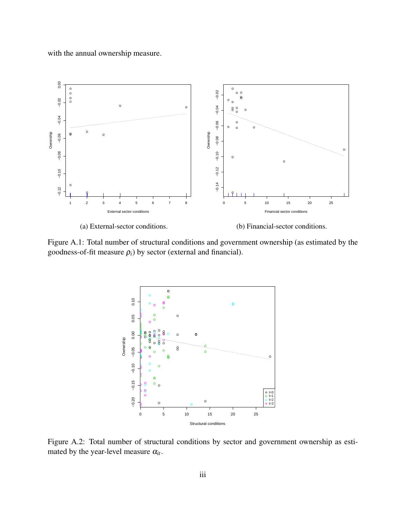<span id="page-62-0"></span>with the annual ownership measure.



(b) Financial-sector conditions.

Figure A.1: Total number of structural conditions and government ownership (as estimated by the goodness-of-fit measure  $\rho_i$ ) by sector (external and financial).



<span id="page-62-1"></span>Figure A.2: Total number of structural conditions by sector and government ownership as estimated by the year-level measure  $\alpha_{it}$ .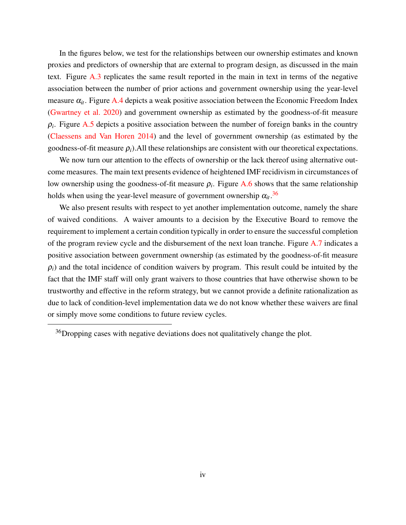In the figures below, we test for the relationships between our ownership estimates and known proxies and predictors of ownership that are external to program design, as discussed in the main text. Figure [A.3](#page-64-0) replicates the same result reported in the main in text in terms of the negative association between the number of prior actions and government ownership using the year-level measure  $\alpha_{it}$ . Figure [A.4](#page-64-1) depicts a weak positive association between the Economic Freedom Index [\(Gwartney et al.](#page-53-1) [2020\)](#page-53-1) and government ownership as estimated by the goodness-of-fit measure  $\rho_i$ . Figure [A.5](#page-65-0) depicts a positive association between the number of foreign banks in the country [\(Claessens and Van Horen](#page-52-2) [2014\)](#page-52-2) and the level of government ownership (as estimated by the goodness-of-fit measure  $\rho_i$ ). All these relationships are consistent with our theoretical expectations.

We now turn our attention to the effects of ownership or the lack thereof using alternative outcome measures. The main text presents evidence of heightened IMF recidivism in circumstances of low ownership using the goodness-of-fit measure  $\rho_i$ . Figure [A.6](#page-65-1) shows that the same relationship holds when using the year-level measure of government ownership  $\alpha_{it}$ .<sup>[36](#page-0-0)</sup>

We also present results with respect to yet another implementation outcome, namely the share of waived conditions. A waiver amounts to a decision by the Executive Board to remove the requirement to implement a certain condition typically in order to ensure the successful completion of the program review cycle and the disbursement of the next loan tranche. Figure [A.7](#page-66-0) indicates a positive association between government ownership (as estimated by the goodness-of-fit measure  $\rho_i$ ) and the total incidence of condition waivers by program. This result could be intuited by the fact that the IMF staff will only grant waivers to those countries that have otherwise shown to be trustworthy and effective in the reform strategy, but we cannot provide a definite rationalization as due to lack of condition-level implementation data we do not know whether these waivers are final or simply move some conditions to future review cycles.

 $36$ Dropping cases with negative deviations does not qualitatively change the plot.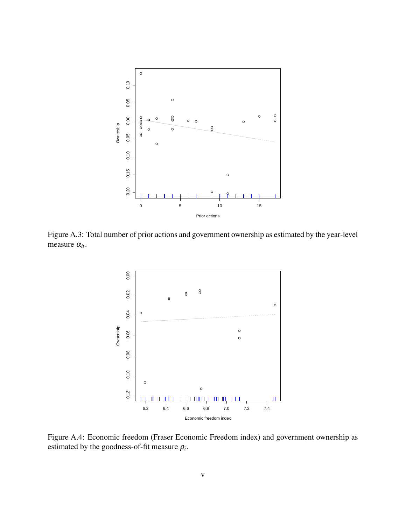

Figure A.3: Total number of prior actions and government ownership as estimated by the year-level measure α*it*.

<span id="page-64-0"></span>

<span id="page-64-1"></span>Figure A.4: Economic freedom (Fraser Economic Freedom index) and government ownership as estimated by the goodness-of-fit measure  $\rho_i$ .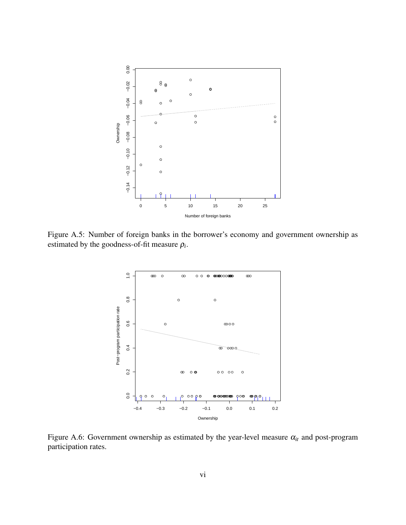

Figure A.5: Number of foreign banks in the borrower's economy and government ownership as estimated by the goodness-of-fit measure  $\rho_i$ .

<span id="page-65-0"></span>

<span id="page-65-1"></span>Figure A.6: Government ownership as estimated by the year-level measure  $\alpha_{it}$  and post-program participation rates.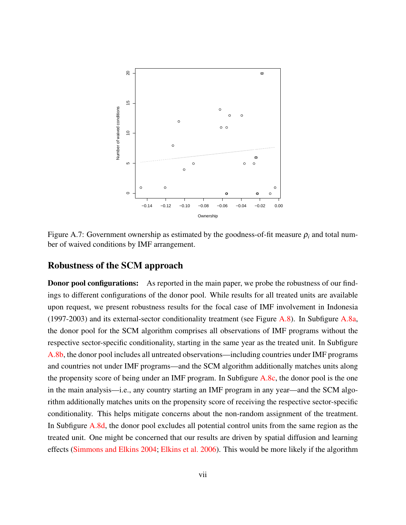

<span id="page-66-0"></span>Figure A.7: Government ownership as estimated by the goodness-of-fit measure  $\rho_i$  and total number of waived conditions by IMF arrangement.

#### Robustness of the SCM approach

**Donor pool configurations:** As reported in the main paper, we probe the robustness of our findings to different configurations of the donor pool. While results for all treated units are available upon request, we present robustness results for the focal case of IMF involvement in Indonesia (1997-2003) and its external-sector conditionality treatment (see Figure [A.8\)](#page-68-0). In Subfigure [A.8a,](#page-68-0) the donor pool for the SCM algorithm comprises all observations of IMF programs without the respective sector-specific conditionality, starting in the same year as the treated unit. In Subfigure [A.8b,](#page-68-0) the donor pool includes all untreated observations—including countries under IMF programs and countries not under IMF programs—and the SCM algorithm additionally matches units along the propensity score of being under an IMF program. In Subfigure [A.8c,](#page-68-0) the donor pool is the one in the main analysis—i.e., any country starting an IMF program in any year—and the SCM algorithm additionally matches units on the propensity score of receiving the respective sector-specific conditionality. This helps mitigate concerns about the non-random assignment of the treatment. In Subfigure [A.8d,](#page-68-0) the donor pool excludes all potential control units from the same region as the treated unit. One might be concerned that our results are driven by spatial diffusion and learning effects [\(Simmons and Elkins](#page-58-2) [2004;](#page-58-2) [Elkins et al.](#page-53-2) [2006\)](#page-53-2). This would be more likely if the algorithm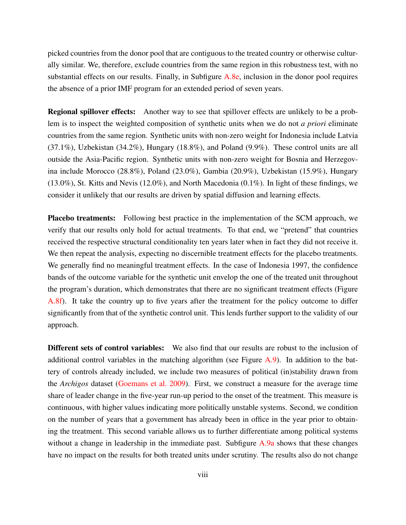picked countries from the donor pool that are contiguous to the treated country or otherwise culturally similar. We, therefore, exclude countries from the same region in this robustness test, with no substantial effects on our results. Finally, in Subfigure [A.8e,](#page-68-0) inclusion in the donor pool requires the absence of a prior IMF program for an extended period of seven years.

Regional spillover effects: Another way to see that spillover effects are unlikely to be a problem is to inspect the weighted composition of synthetic units when we do not *a priori* eliminate countries from the same region. Synthetic units with non-zero weight for Indonesia include Latvia (37.1%), Uzbekistan (34.2%), Hungary (18.8%), and Poland (9.9%). These control units are all outside the Asia-Pacific region. Synthetic units with non-zero weight for Bosnia and Herzegovina include Morocco (28.8%), Poland (23.0%), Gambia (20.9%), Uzbekistan (15.9%), Hungary (13.0%), St. Kitts and Nevis (12.0%), and North Macedonia (0.1%). In light of these findings, we consider it unlikely that our results are driven by spatial diffusion and learning effects.

Placebo treatments: Following best practice in the implementation of the SCM approach, we verify that our results only hold for actual treatments. To that end, we "pretend" that countries received the respective structural conditionality ten years later when in fact they did not receive it. We then repeat the analysis, expecting no discernible treatment effects for the placebo treatments. We generally find no meaningful treatment effects. In the case of Indonesia 1997, the confidence bands of the outcome variable for the synthetic unit envelop the one of the treated unit throughout the program's duration, which demonstrates that there are no significant treatment effects (Figure [A.8f\)](#page-68-0). It take the country up to five years after the treatment for the policy outcome to differ significantly from that of the synthetic control unit. This lends further support to the validity of our approach.

Different sets of control variables: We also find that our results are robust to the inclusion of additional control variables in the matching algorithm (see Figure  $A.9$ ). In addition to the battery of controls already included, we include two measures of political (in)stability drawn from the *Archigos* dataset [\(Goemans et al.](#page-53-3) [2009\)](#page-53-3). First, we construct a measure for the average time share of leader change in the five-year run-up period to the onset of the treatment. This measure is continuous, with higher values indicating more politically unstable systems. Second, we condition on the number of years that a government has already been in office in the year prior to obtaining the treatment. This second variable allows us to further differentiate among political systems without a change in leadership in the immediate past. Subfigure [A.9a](#page-69-0) shows that these changes have no impact on the results for both treated units under scrutiny. The results also do not change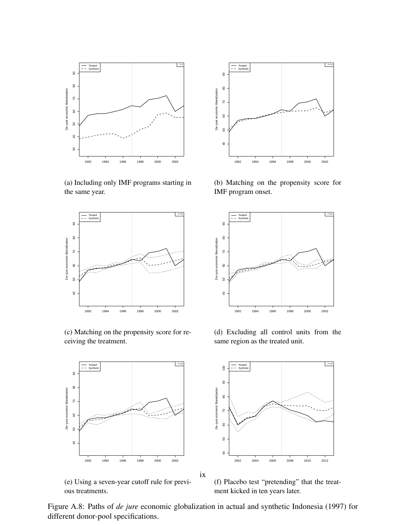<span id="page-68-0"></span>

(a) Including only IMF programs starting in the same year.



(c) Matching on the propensity score for receiving the treatment.



(e) Using a seven-year cutoff rule for previ- $(1992 \t\t\t 1994 \t\t\t 1996 \t\t\t 1998 \t\t 2000 \t\t 2002 \t\t 2004 \t\t 2006 \t\t 2008 \t\t 2010 \t\t 2012$ <br>  $(201 \t\t 2008 \t\t 2009 \t\t 2010 \t\t 2012$ <br>  $(394 \t\t 2010 \t\t 2012$ <br>  $(4) \t\t 2006 \t\t 2008 \t\t 2010 \t\t 2012$ <br>  $(5) \t\t 206 \t\t 206 \t\t 2008$ 



(b) Matching on the propensity score for IMF program onset.



(d) Excluding all control units from the same region as the treated unit.



ix

(f) Placebo test "pretending" that the treatment kicked in ten years later.

Figure A.8: Paths of *de jure* economic globalization in actual and synthetic Indonesia (1997) for different donor-pool specifications.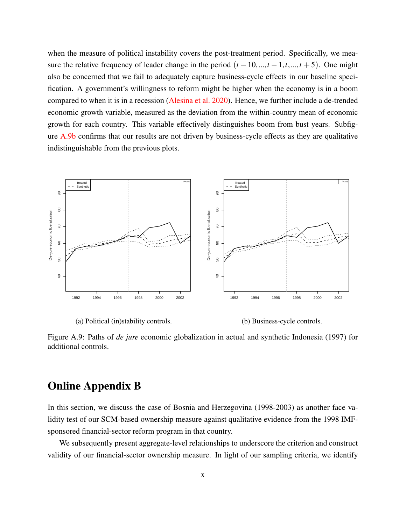when the measure of political instability covers the post-treatment period. Specifically, we measure the relative frequency of leader change in the period  $(t-10, ..., t-1, t, ..., t+5)$ . One might also be concerned that we fail to adequately capture business-cycle effects in our baseline specification. A government's willingness to reform might be higher when the economy is in a boom compared to when it is in a recession [\(Alesina et al.](#page-50-1) [2020\)](#page-50-1). Hence, we further include a de-trended economic growth variable, measured as the deviation from the within-country mean of economic growth for each country. This variable effectively distinguishes boom from bust years. Subfigure [A.9b](#page-69-0) confirms that our results are not driven by business-cycle effects as they are qualitative indistinguishable from the previous plots.

<span id="page-69-0"></span>

(a) Political (in)stability controls. (b) Business-cycle controls.

Figure A.9: Paths of *de jure* economic globalization in actual and synthetic Indonesia (1997) for additional controls.

#### Online Appendix B

In this section, we discuss the case of Bosnia and Herzegovina (1998-2003) as another face validity test of our SCM-based ownership measure against qualitative evidence from the 1998 IMFsponsored financial-sector reform program in that country.

We subsequently present aggregate-level relationships to underscore the criterion and construct validity of our financial-sector ownership measure. In light of our sampling criteria, we identify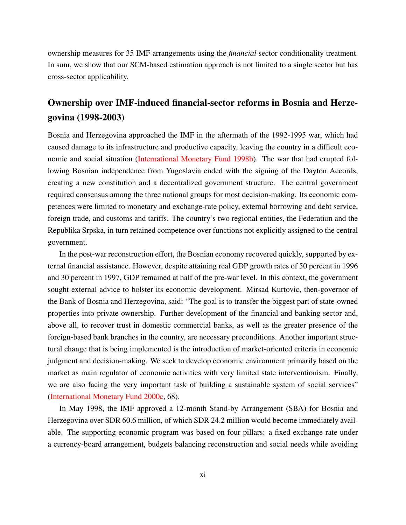ownership measures for 35 IMF arrangements using the *financial* sector conditionality treatment. In sum, we show that our SCM-based estimation approach is not limited to a single sector but has cross-sector applicability.

## Ownership over IMF-induced financial-sector reforms in Bosnia and Herzegovina (1998-2003)

Bosnia and Herzegovina approached the IMF in the aftermath of the 1992-1995 war, which had caused damage to its infrastructure and productive capacity, leaving the country in a difficult economic and social situation [\(International Monetary Fund](#page-54-1) [1998b\)](#page-54-1). The war that had erupted following Bosnian independence from Yugoslavia ended with the signing of the Dayton Accords, creating a new constitution and a decentralized government structure. The central government required consensus among the three national groups for most decision-making. Its economic competences were limited to monetary and exchange-rate policy, external borrowing and debt service, foreign trade, and customs and tariffs. The country's two regional entities, the Federation and the Republika Srpska, in turn retained competence over functions not explicitly assigned to the central government.

In the post-war reconstruction effort, the Bosnian economy recovered quickly, supported by external financial assistance. However, despite attaining real GDP growth rates of 50 percent in 1996 and 30 percent in 1997, GDP remained at half of the pre-war level. In this context, the government sought external advice to bolster its economic development. Mirsad Kurtovic, then-governor of the Bank of Bosnia and Herzegovina, said: "The goal is to transfer the biggest part of state-owned properties into private ownership. Further development of the financial and banking sector and, above all, to recover trust in domestic commercial banks, as well as the greater presence of the foreign-based bank branches in the country, are necessary preconditions. Another important structural change that is being implemented is the introduction of market-oriented criteria in economic judgment and decision-making. We seek to develop economic environment primarily based on the market as main regulator of economic activities with very limited state interventionism. Finally, we are also facing the very important task of building a sustainable system of social services" [\(International Monetary Fund](#page-55-0) [2000c,](#page-55-0) 68).

In May 1998, the IMF approved a 12-month Stand-by Arrangement (SBA) for Bosnia and Herzegovina over SDR 60.6 million, of which SDR 24.2 million would become immediately available. The supporting economic program was based on four pillars: a fixed exchange rate under a currency-board arrangement, budgets balancing reconstruction and social needs while avoiding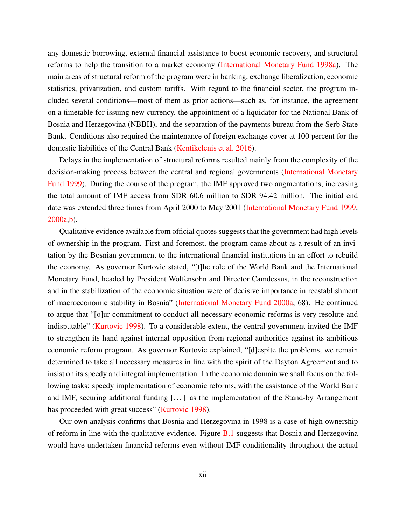any domestic borrowing, external financial assistance to boost economic recovery, and structural reforms to help the transition to a market economy [\(International Monetary Fund](#page-54-2) [1998a\)](#page-54-2). The main areas of structural reform of the program were in banking, exchange liberalization, economic statistics, privatization, and custom tariffs. With regard to the financial sector, the program included several conditions—most of them as prior actions—such as, for instance, the agreement on a timetable for issuing new currency, the appointment of a liquidator for the National Bank of Bosnia and Herzegovina (NBBH), and the separation of the payments bureau from the Serb State Bank. Conditions also required the maintenance of foreign exchange cover at 100 percent for the domestic liabilities of the Central Bank [\(Kentikelenis et al.](#page-55-1) [2016\)](#page-55-1).

Delays in the implementation of structural reforms resulted mainly from the complexity of the decision-making process between the central and regional governments [\(International Monetary](#page-54-3) [Fund](#page-54-3) [1999\)](#page-54-3). During the course of the program, the IMF approved two augmentations, increasing the total amount of IMF access from SDR 60.6 million to SDR 94.42 million. The initial end date was extended three times from April 2000 to May 2001 [\(International Monetary Fund](#page-54-3) [1999,](#page-54-3) [2000a](#page-54-4)[,b\)](#page-55-2).

Qualitative evidence available from official quotes suggests that the government had high levels of ownership in the program. First and foremost, the program came about as a result of an invitation by the Bosnian government to the international financial institutions in an effort to rebuild the economy. As governor Kurtovic stated, "[t]he role of the World Bank and the International Monetary Fund, headed by President Wolfensohn and Director Camdessus, in the reconstruction and in the stabilization of the economic situation were of decisive importance in reestablishment of macroeconomic stability in Bosnia" [\(International Monetary Fund](#page-54-4) [2000a,](#page-54-4) 68). He continued to argue that "[o]ur commitment to conduct all necessary economic reforms is very resolute and indisputable" [\(Kurtovic](#page-56-1) [1998\)](#page-56-1). To a considerable extent, the central government invited the IMF to strengthen its hand against internal opposition from regional authorities against its ambitious economic reform program. As governor Kurtovic explained, "[d]espite the problems, we remain determined to take all necessary measures in line with the spirit of the Dayton Agreement and to insist on its speedy and integral implementation. In the economic domain we shall focus on the following tasks: speedy implementation of economic reforms, with the assistance of the World Bank and IMF, securing additional funding [. . . ] as the implementation of the Stand-by Arrangement has proceeded with great success" [\(Kurtovic](#page-56-1) [1998\)](#page-56-1).

Our own analysis confirms that Bosnia and Herzegovina in 1998 is a case of high ownership of reform in line with the qualitative evidence. Figure [B.1](#page-72-0) suggests that Bosnia and Herzegovina would have undertaken financial reforms even without IMF conditionality throughout the actual